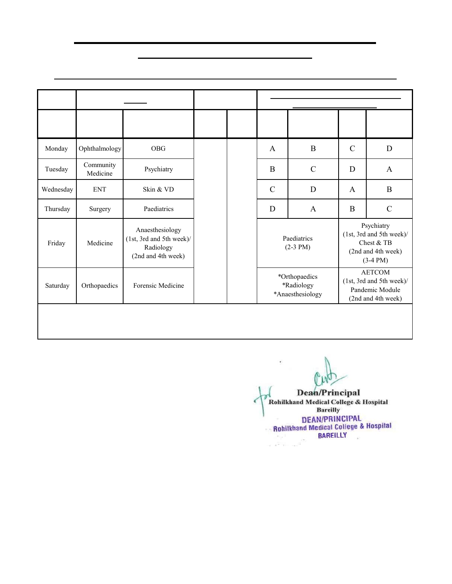**Pilibhit By-Pass Road, Bareilly (U.P.)**

#### **Teaching Schedule for MBBS 3rd Professional (Part - I) Batch-2019 from 01.02.2022 to 31.07.2022**

|           |                                                                                                   | <b>Theory</b>                                                                  |                                                 |                       |                             | <b>Practical/Seminar/Tutorial/Small Group</b><br>Discussion/SDL (2 - 4 PM) |               |                                                                                                 |  |
|-----------|---------------------------------------------------------------------------------------------------|--------------------------------------------------------------------------------|-------------------------------------------------|-----------------------|-----------------------------|----------------------------------------------------------------------------|---------------|-------------------------------------------------------------------------------------------------|--|
| Day       | $8 - 9$ AM                                                                                        | $9 - 10$ AM                                                                    | $10 - 1$ PM $1 - 2$ PM                          |                       | Forensic<br><b>Medicine</b> | Ophthalmology                                                              | <b>ENT</b>    | Community<br><b>Medicine</b>                                                                    |  |
| Monday    | Ophthalmology                                                                                     | <b>OBG</b>                                                                     |                                                 |                       | A                           | $\bf{B}$                                                                   | $\mathcal{C}$ | D                                                                                               |  |
| Tuesday   | Community<br>Medicine                                                                             | Psychiatry                                                                     |                                                 |                       | B                           | $\mathbf C$                                                                | D             | A                                                                                               |  |
| Wednesday | <b>ENT</b>                                                                                        | Skin & VD                                                                      | $\mathbf C$<br>L                                |                       | $\mathcal{C}$               | D                                                                          | A             | B                                                                                               |  |
| Thursday  | Surgery                                                                                           | Paediatrics                                                                    | $\mathbf I$<br>N                                | L<br>$\mathbf U$      | D                           | A                                                                          | B             | $\mathbf C$                                                                                     |  |
| Friday    | Medicine                                                                                          | Anaesthesiology<br>(1st, 3rd and 5th week)/<br>Radiology<br>(2nd and 4th week) | $\mathbf I$<br>$\mathbf C$<br>$\mathbf{A}$<br>L | N<br>$\mathbf C$<br>H |                             | Paediatrics<br>$(2-3 PM)$                                                  |               | Psychiatry<br>(1st, 3rd and 5th week)<br>Chest & TB<br>(2nd and 4th week)<br>$(3-4 \text{ PM})$ |  |
| Saturday  | Orthopaedics                                                                                      | Forensic Medicine                                                              |                                                 |                       |                             | *Orthopaedics<br>*Radiology<br>*Anaesthesiology                            |               | <b>AETCOM</b><br>(1st, 3rd and 5th week)/<br>Pandemic Module<br>(2nd and 4th week)              |  |
|           | *Orthopaedics - February to March<br>*Radiology - April to May<br>*Anaesthesiology - June to July |                                                                                |                                                 |                       |                             |                                                                            |               |                                                                                                 |  |

**Dean/Principal** Rohilkhand Medical College & Hospital **Bareilly DEAN/PRINCIPAL** Rohilkhand Medical College & Hospital BAREILLY  $(4)$ سام کا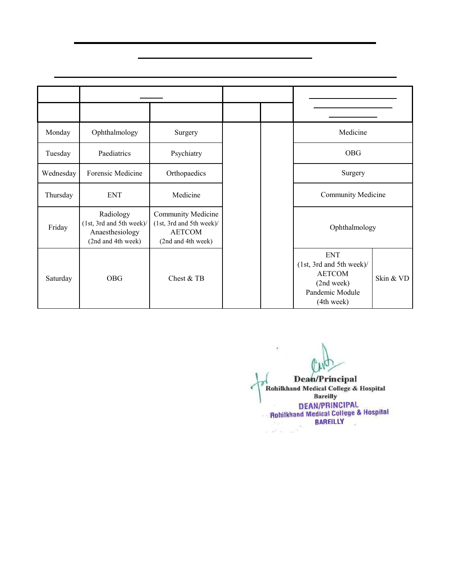**Pilibhit By-Pass Road, Bareilly (U.P.)**

#### **Teaching Schedule for MBBS 3rd Professional (Part - I) Batch-2019 from 01.08.2022 to 31.12.2022**

|           |                                                                                | <b>Theory</b>                                                                                |                                                    |                       | Practical/Seminar/Tutorial/                                                                           |           |
|-----------|--------------------------------------------------------------------------------|----------------------------------------------------------------------------------------------|----------------------------------------------------|-----------------------|-------------------------------------------------------------------------------------------------------|-----------|
| Day       | $8 - 9 AM$                                                                     | $9 - 10$ AM                                                                                  | $10 - 1$ PM                                        | $1 - 2 PM$            | <b>Small Group Discussion/</b><br>$SDL(2-4 PM)$                                                       |           |
| Monday    | Ophthalmology                                                                  | Surgery                                                                                      |                                                    |                       | Medicine                                                                                              |           |
| Tuesday   | Paediatrics                                                                    | Psychiatry                                                                                   |                                                    |                       | <b>OBG</b>                                                                                            |           |
| Wednesday | Forensic Medicine                                                              | Orthopaedics                                                                                 | $\mathbf C$                                        |                       | Surgery                                                                                               |           |
| Thursday  | <b>ENT</b>                                                                     | Medicine                                                                                     | L<br>$\mathbf I$                                   | L<br>$\mathbf U$      | <b>Community Medicine</b>                                                                             |           |
| Friday    | Radiology<br>(1st, 3rd and 5th week)/<br>Anaesthesiology<br>(2nd and 4th week) | <b>Community Medicine</b><br>(1st, 3rd and 5th week)/<br><b>AETCOM</b><br>(2nd and 4th week) | N<br>$\mathbf I$<br>$\overline{C}$<br>$\mathbf{A}$ | N<br>$\mathbf C$<br>H | Ophthalmology                                                                                         |           |
| Saturday  | <b>OBG</b>                                                                     | Chest & TB                                                                                   | L                                                  |                       | <b>ENT</b><br>(1st, 3rd and 5th week)<br><b>AETCOM</b><br>(2nd week)<br>Pandemic Module<br>(4th week) | Skin & VD |

**Dean/Principal** Rohilkhand Medical College & Hospital **Bareilly DEAN/PRINCIPAL Bohilkhand Medical College & Hospital BAREILLY**  $\frac{1}{\sqrt{2}}\sum_{k=1}^{N-1}\frac{1}{\sqrt{2}}\frac{1}{k!}\sum_{k=1}^{N-1}\frac{1}{k!}\sum_{k=1}^{N-1}\frac{1}{k!}\sum_{k=1}^{N-1}\frac{1}{k!}\sum_{k=1}^{N-1}\frac{1}{k!}\sum_{k=1}^{N-1}\frac{1}{k!}\sum_{k=1}^{N-1}\frac{1}{k!}\sum_{k=1}^{N-1}\frac{1}{k!}\sum_{k=1}^{N-1}\frac{1}{k!}\sum_{k=1}^{N-1}\frac{1}{k!}\sum_{k=1}^{N-1}\frac{1}{k!}\sum$  $\frac{1}{2}$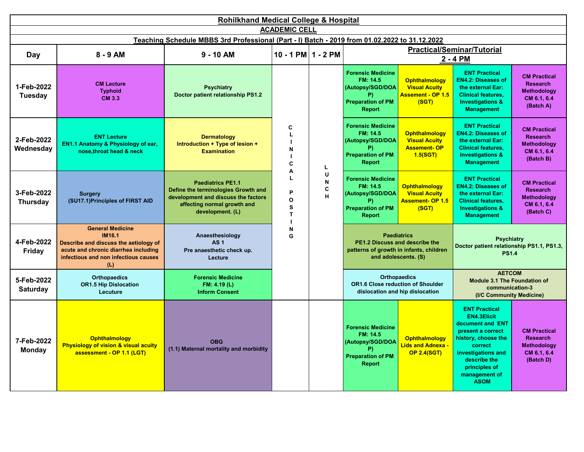|                               | <b>Rohilkhand Medical College &amp; Hospital</b><br><b>ACADEMIC CELL</b>                                                                                          |                                                                                                                                                           |                             |                                                                                                      |                                                                                                      |                                                                                                                                                         |                                                                                                                                                                                                               |                                                                                                      |                                                                                |                                                                                                                                                         |                                                                                          |
|-------------------------------|-------------------------------------------------------------------------------------------------------------------------------------------------------------------|-----------------------------------------------------------------------------------------------------------------------------------------------------------|-----------------------------|------------------------------------------------------------------------------------------------------|------------------------------------------------------------------------------------------------------|---------------------------------------------------------------------------------------------------------------------------------------------------------|---------------------------------------------------------------------------------------------------------------------------------------------------------------------------------------------------------------|------------------------------------------------------------------------------------------------------|--------------------------------------------------------------------------------|---------------------------------------------------------------------------------------------------------------------------------------------------------|------------------------------------------------------------------------------------------|
|                               |                                                                                                                                                                   | Teaching Schedule MBBS 3rd Professional (Part - I) Batch - 2019 from 01.02.2022 to 31.12.2022                                                             |                             |                                                                                                      |                                                                                                      |                                                                                                                                                         |                                                                                                                                                                                                               |                                                                                                      |                                                                                |                                                                                                                                                         |                                                                                          |
| Day                           | $8 - 9$ AM                                                                                                                                                        | $9 - 10$ AM                                                                                                                                               | 10 - 1 PM $1 - 2$ PM        |                                                                                                      |                                                                                                      |                                                                                                                                                         | <b>Practical/Seminar/Tutorial</b><br>2 - 4 PM                                                                                                                                                                 |                                                                                                      |                                                                                |                                                                                                                                                         |                                                                                          |
| 1-Feb-2022<br>Tuesday         | <b>CM Lecture</b><br><b>Typhoid</b><br>CM 3.3                                                                                                                     | <b>Psychiatry</b><br>Doctor patient relationship PS1.2                                                                                                    | C<br>N<br>C<br>L.<br>A      | <b>Forensic Medicine</b><br>FM: 14.5<br>(Autopsy/SGD/DOA<br>P)<br><b>Preparation of PM</b><br>Report | <b>Ophthalmology</b><br><b>Visual Acuity</b><br>Assement - OP 1.5<br>(SGT)                           | <b>ENT Practical</b><br><b>EN4.2: Diseases of</b><br>the external Ear:<br><b>Clinical features.</b><br><b>Investigations &amp;</b><br><b>Management</b> | <b>CM Practical</b><br><b>Research</b><br><b>Methodology</b><br>CM 6.1, 6.4<br>(Batch A)                                                                                                                      |                                                                                                      |                                                                                |                                                                                                                                                         |                                                                                          |
| 2-Feb-2022<br>Wednesdav       | <b>ENT Lecture</b><br>EN1.1 Anatomy & Physiology of ear,<br>nose, throat head & neck                                                                              | <b>Dermatology</b><br>Introduction + Type of lesion +<br><b>Examination</b>                                                                               |                             |                                                                                                      |                                                                                                      |                                                                                                                                                         |                                                                                                                                                                                                               | <b>Forensic Medicine</b><br>FM: 14.5<br>(Autopsy/SGD/DOA<br>P)<br><b>Preparation of PM</b><br>Report | <b>Ophthalmology</b><br><b>Visual Acuity</b><br><b>Assement-OP</b><br>1.5(SGT) | <b>ENT Practical</b><br><b>EN4.2: Diseases of</b><br>the external Ear:<br><b>Clinical features.</b><br><b>Investigations &amp;</b><br><b>Management</b> | <b>CM Practical</b><br><b>Research</b><br><b>Methodology</b><br>CM 6.1, 6.4<br>(Batch B) |
| 3-Feb-2022<br><b>Thursday</b> | <b>Surgery</b><br>(SU17.1) Principles of FIRST AID                                                                                                                | <b>Paediatrics PE1.1</b><br>Define the terminologies Growth and<br>development and discuss the factors<br>affecting normal growth and<br>development. (L) | P<br>O<br>S<br>$\mathbf{T}$ | U<br>N<br>C<br>H                                                                                     | <b>Forensic Medicine</b><br>FM: 14.5<br>(Autopsy/SGD/DOA<br><b>Preparation of PM</b><br>Report       | <b>Ophthalmology</b><br><b>Visual Acuity</b><br><b>Assement- OP 1.5</b><br>(SGT)                                                                        | <b>ENT Practical</b><br><b>EN4.2: Diseases of</b><br>the external Ear:<br><b>Clinical features.</b><br><b>Investigations &amp;</b><br><b>Management</b>                                                       | <b>CM Practical</b><br><b>Research</b><br><b>Methodology</b><br>CM 6.1, 6.4<br>(Batch C)             |                                                                                |                                                                                                                                                         |                                                                                          |
| 4-Feb-2022<br>Friday          | <b>General Medicine</b><br>IM16.1<br>Describe and discuss the aetiology of<br>acute and chronic diarrhea including<br>infectious and non infectious causes<br>(L) | Anaesthesiology<br><b>AS1</b><br>Pre anaesthetic check up.<br>Lecture                                                                                     | N<br>G                      |                                                                                                      |                                                                                                      | <b>Paediatrics</b><br>PE1.2 Discuss and describe the<br>patterns of growth in infants, children<br>and adolescents. (S)                                 | <b>Psychiatry</b><br>Doctor patient relationship PS1.1, PS1.3,<br><b>PS1.4</b><br><b>AETCOM</b><br><b>Module 3.1 The Foundation of</b><br>communication-3<br>(I/C Community Medicine)<br><b>ENT Practical</b> |                                                                                                      |                                                                                |                                                                                                                                                         |                                                                                          |
| 5-Feb-2022<br><b>Saturday</b> | <b>Orthopaedics</b><br><b>OR1.5 Hip Dislocation</b><br>Lecuture                                                                                                   | <b>Forensic Medicine</b><br>FM: 4.19 (L)<br><b>Inform Consent</b>                                                                                         |                             |                                                                                                      |                                                                                                      | <b>Orthopaedics</b><br><b>OR1.6 Close reduction of Shoulder</b><br>dislocation and hip dislocation                                                      |                                                                                                                                                                                                               |                                                                                                      |                                                                                |                                                                                                                                                         |                                                                                          |
| 7-Feb-2022<br><b>Monday</b>   | <b>Ophthalmology</b><br><b>Physiology of vision &amp; visual acuity</b><br>assessment - OP 1.1 (LGT)                                                              | <b>OBG</b><br>(1.1) Maternal mortality and morbidity                                                                                                      |                             |                                                                                                      | <b>Forensic Medicine</b><br>FM: 14.5<br>(Autopsy/SGD/DOA<br>P)<br><b>Preparation of PM</b><br>Report | <b>Ophthalmology</b><br><b>Lids and Adnexa -</b><br><b>OP 2.4(SGT)</b>                                                                                  | <b>EN4.3Elicit</b><br>document and ENT<br>present a correct<br>history, choose the<br>correct<br>investigations and<br>describe the<br>principles of<br>management of<br><b>ASOM</b>                          | <b>CM Practical</b><br><b>Research</b><br><b>Methodology</b><br>CM 6.1, 6.4<br>(Batch D)             |                                                                                |                                                                                                                                                         |                                                                                          |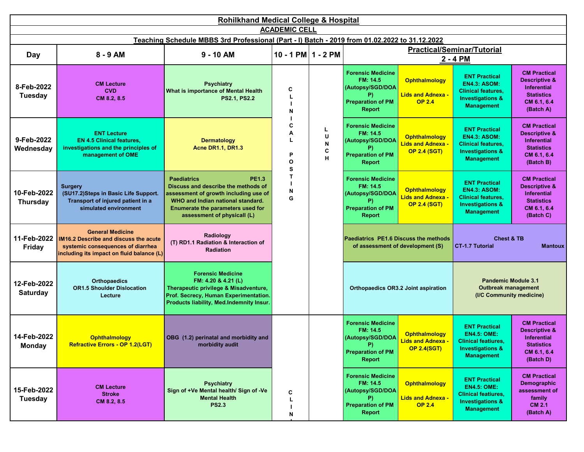|                                | <b>Rohilkhand Medical College &amp; Hospital</b>                                                                                                   |                                                                                                                                                                                                                             |                        |                        |                                                                                                              |                                                                               |                                                                                                                              |                                                                                                                        |  |  |  |
|--------------------------------|----------------------------------------------------------------------------------------------------------------------------------------------------|-----------------------------------------------------------------------------------------------------------------------------------------------------------------------------------------------------------------------------|------------------------|------------------------|--------------------------------------------------------------------------------------------------------------|-------------------------------------------------------------------------------|------------------------------------------------------------------------------------------------------------------------------|------------------------------------------------------------------------------------------------------------------------|--|--|--|
|                                |                                                                                                                                                    | Teaching Schedule MBBS 3rd Professional (Part - I) Batch - 2019 from 01.02.2022 to 31.12.2022                                                                                                                               | <b>ACADEMIC CELL</b>   |                        |                                                                                                              |                                                                               |                                                                                                                              |                                                                                                                        |  |  |  |
| Day                            | 8 - 9 AM                                                                                                                                           | $9 - 10$ AM                                                                                                                                                                                                                 | $10 - 1$ PM $1 - 2$ PM |                        |                                                                                                              |                                                                               | <b>Practical/Seminar/Tutorial</b>                                                                                            |                                                                                                                        |  |  |  |
|                                |                                                                                                                                                    |                                                                                                                                                                                                                             |                        |                        |                                                                                                              |                                                                               | 2 - 4 PM                                                                                                                     |                                                                                                                        |  |  |  |
| 8-Feb-2022<br><b>Tuesday</b>   | <b>CM Lecture</b><br><b>CVD</b><br>CM 8.2, 8.5                                                                                                     | <b>Psychiatry</b><br>What is importance of Mental Health<br><b>PS2.1, PS2.2</b>                                                                                                                                             | C<br>N                 |                        | <b>Forensic Medicine</b><br>FM: 14.5<br>(Autopsy/SGD/DOA<br>P)<br><b>Preparation of PM</b><br><b>Report</b>  | <b>Ophthalmology</b><br>Lids and Adnexa -<br><b>OP 2.4</b>                    | <b>ENT Practical</b><br><b>EN4.3: ASOM:</b><br><b>Clinical features,</b><br><b>Investigations &amp;</b><br><b>Management</b> | <b>CM Practical</b><br><b>Descriptive &amp;</b><br>Inferential<br><b>Statistics</b><br>CM 6.1, 6.4<br>(Batch A)        |  |  |  |
| 9-Feb-2022<br>Wednesday        | <b>ENT Lecture</b><br><b>EN 4.5 Clinical features,</b><br>investigations and the principles of<br>management of OME                                | <b>Dermatology</b><br><b>Acne DR1.1, DR1.3</b>                                                                                                                                                                              | C<br>Α<br>P<br>O<br>s  | L.<br>U<br>N<br>C<br>н | <b>Forensic Medicine</b><br>FM: 14.5<br>(Autopsy/SGD/DOA<br><b>Preparation of PM</b><br><b>Report</b>        | <b>Ophthalmology</b><br><mark>Lids and Adnexa -</mark><br><b>OP 2.4 (SGT)</b> | <b>ENT Practical</b><br><b>EN4.3: ASOM:</b><br><b>Clinical features,</b><br><b>Investigations &amp;</b><br><b>Management</b> | <b>CM Practical</b><br><b>Descriptive &amp;</b><br><b>Inferential</b><br><b>Statistics</b><br>CM 6.1, 6.4<br>(Batch B) |  |  |  |
| 10-Feb-2022<br><b>Thursday</b> | <b>Surgery</b><br>(SU17.2)Steps in Basic Life Support.<br>Transport of injured patient in a<br>simulated environment                               | <b>Paediatrics</b><br><b>PE1.3</b><br>Discuss and describe the methods of<br>assessment of growth including use of<br>WHO and Indian national standard.<br>Enumerate the parameters used for<br>assessment of physicall (L) | Т<br>N<br>G            |                        | <b>Forensic Medicine</b><br>FM: 14.5<br>(Autopsy/SGD/DOA<br><b>Preparation of PM</b><br><b>Report</b>        | <b>Ophthalmology</b><br><mark>Lids and Adnexa -</mark><br><b>OP 2.4 (SGT)</b> | <b>ENT Practical</b><br><b>EN4.3: ASOM:</b><br><b>Clinical features,</b><br><b>Investigations &amp;</b><br><b>Management</b> | <b>CM Practical</b><br><b>Descriptive &amp;</b><br><b>Inferential</b><br><b>Statistics</b><br>CM 6.1, 6.4<br>(Batch C) |  |  |  |
| 11-Feb-2022<br>Friday          | <b>General Medicine</b><br>IM16.2 Describe and discuss the acute<br>systemic consequences of diarrhea<br>including its impact on fluid balance (L) | Radiology<br>(T) RD1.1 Radiation & Interaction of<br><b>Radiation</b>                                                                                                                                                       |                        |                        |                                                                                                              | Paediatrics PE1.6 Discuss the methods<br>of assessment of development (S)     | <b>Chest &amp; TB</b><br><b>CT-1.7 Tutorial</b>                                                                              | <b>Mantoux</b>                                                                                                         |  |  |  |
| 12-Feb-2022<br><b>Saturday</b> | <b>Orthopaedics</b><br><b>OR1.5 Shoulder Dislocation</b><br>Lecture                                                                                | <b>Forensic Medicine</b><br>FM: 4.20 & 4.21 (L)<br>Therapeutic privilege & Misadventure,<br>Prof. Secrecy, Human Experimentation.<br>Products liability, Med.Indemnity Insur.                                               |                        |                        |                                                                                                              | <b>Orthopaedics OR3.2 Joint aspiration</b>                                    | <b>Pandemic Module 3.1</b><br><b>Outbreak management</b><br>(I/C Community medicine)                                         |                                                                                                                        |  |  |  |
| 14-Feb-2022<br><b>Monday</b>   | <b>Ophthalmology</b><br>Refractive Errors - OP 1.2(LGT)                                                                                            | OBG (1.2) perinatal and morbidity and<br>morbidity audit                                                                                                                                                                    |                        |                        | <b>Forensic Medicine</b><br>FM: 14.5<br>(Autopsy/SGD/DOA<br>(P)<br><b>Preparation of PM</b><br><b>Report</b> | <b>Ophthalmology</b><br>Lids and Adnexa -<br><b>OP 2.4(SGT)</b>               | <b>ENT Practical</b><br><b>EN4.5: OME:</b><br><b>Clinical featiures.</b><br><b>Investigations &amp;</b><br><b>Management</b> | <b>CM Practical</b><br><b>Descriptive &amp;</b><br><b>Inferential</b><br><b>Statistics</b><br>CM 6.1, 6.4<br>(Batch D) |  |  |  |
| 15-Feb-2022<br><b>Tuesday</b>  | <b>CM Lecture</b><br><b>Stroke</b><br>CM 8.2, 8.5                                                                                                  | <b>Psychiatry</b><br>Sign of +Ve Mental health/ Sign of -Ve<br><b>Mental Health</b><br><b>PS2.3</b>                                                                                                                         | С<br>N                 |                        | <b>Forensic Medicine</b><br>FM: 14.5<br>(Autopsy/SGD/DOA<br>P)<br><b>Preparation of PM</b><br><b>Report</b>  | <b>Ophthalmology</b><br><b>Lids and Adnexa -</b><br><b>OP 2.4</b>             | <b>ENT Practical</b><br><b>EN4.5: OME:</b><br><b>Clinical featiures,</b><br><b>Investigations &amp;</b><br><b>Management</b> | <b>CM Practical</b><br>Demographic<br>assessment of<br>family<br><b>CM 2.1</b><br>(Batch A)                            |  |  |  |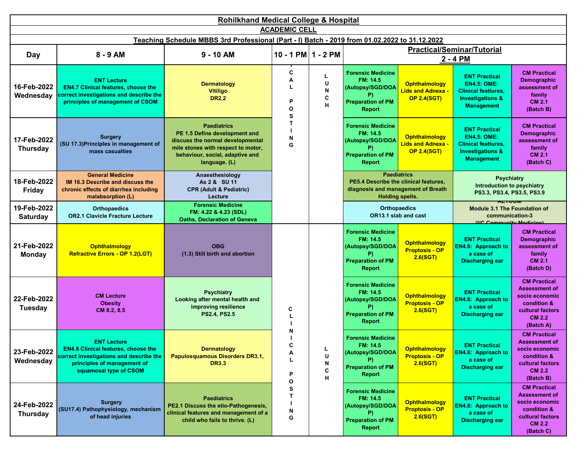|                                | <b>Rohilkhand Medical College &amp; Hospital</b>                                                                                                                     |                                                                                                                                                                                   |                                  |                               |                                                                                                                             |                                                                      |                                                                                                                              |                                                                                                                                |  |  |
|--------------------------------|----------------------------------------------------------------------------------------------------------------------------------------------------------------------|-----------------------------------------------------------------------------------------------------------------------------------------------------------------------------------|----------------------------------|-------------------------------|-----------------------------------------------------------------------------------------------------------------------------|----------------------------------------------------------------------|------------------------------------------------------------------------------------------------------------------------------|--------------------------------------------------------------------------------------------------------------------------------|--|--|
| <b>ACADEMIC CELL</b>           |                                                                                                                                                                      |                                                                                                                                                                                   |                                  |                               |                                                                                                                             |                                                                      |                                                                                                                              |                                                                                                                                |  |  |
|                                |                                                                                                                                                                      | Teaching Schedule MBBS 3rd Professional (Part - I) Batch - 2019 from 01.02.2022 to 31.12.2022                                                                                     |                                  |                               |                                                                                                                             |                                                                      |                                                                                                                              |                                                                                                                                |  |  |
| Day                            | 8 - 9 AM                                                                                                                                                             | $9 - 10$ AM                                                                                                                                                                       | 10 - 1 PM   1 - 2 PM             |                               |                                                                                                                             |                                                                      | <b>Practical/Seminar/Tutorial</b><br>2 - 4 PM                                                                                |                                                                                                                                |  |  |
| 16-Feb-2022<br>Wednesday       | <b>ENT Lecture</b><br><b>EN4.7 Clinical features, choose the</b><br>correct investigations and describe the<br>principles of management of CSOM                      | <b>Dermatology</b><br><b>Vitiligo</b><br><b>DR2.2</b>                                                                                                                             | C<br>А<br>P<br>$\mathbf{o}$<br>s | L<br>U<br>${\sf N}$<br>C<br>H | <b>Forensic Medicine</b><br>FM: 14.5<br>(Autopsy/SGD/DOA<br>P)<br><b>Preparation of PM</b><br><b>Report</b>                 | <b>Ophthalmology</b><br><b>Lids and Adnexa</b><br><b>OP 2.4(SGT)</b> | <b>ENT Practical</b><br><b>EN4.5: OME:</b><br><b>Clinical featiures,</b><br><b>Investigations &amp;</b><br><b>Management</b> | <b>CM Practical</b><br>Demographic<br>assessment of<br>family<br><b>CM 2.1</b><br>(Batch B)                                    |  |  |
| 17-Feb-2022<br><b>Thursday</b> | <b>Surgery</b><br>(SU 17.3) Principles in management of<br>mass casualties                                                                                           | <b>Paediatrics</b><br>PE 1.5 Define development and<br>discuss the normal developmental<br>mile stones with respect to motor,<br>behaviour, social, adaptive and<br>language. (L) | т<br>N<br>G                      |                               | <b>Forensic Medicine</b><br>FM: 14.5<br>(Autopsy/SGD/DOA<br>P)<br><b>Preparation of PM</b><br><b>Report</b>                 | <b>Ophthalmology</b><br><b>Lids and Adnexa</b><br><b>OP 2.4(SGT)</b> | <b>ENT Practical</b><br><b>EN4.5: OME:</b><br><b>Clinical featiures,</b><br><b>Investigations &amp;</b><br><b>Management</b> | <b>CM Practical</b><br>Demographic<br>assessment of<br>family<br><b>CM 2.1</b><br>(Batch C)                                    |  |  |
| 18-Feb-2022<br><b>Friday</b>   | <b>General Medicine</b><br>IM 16.3 Describe and discuss the<br>chronic effects of diarrhea including<br>malabsorption (L)                                            | Anaesthesiology<br>As 2 & SU 11<br><b>CPR (Adult &amp; Pediatric)</b><br>Lecture                                                                                                  |                                  |                               | <b>Paediatrics</b><br>PE5.4 Describe the clinical features,<br>diagnosis and management of Breath<br><b>Holding spells.</b> |                                                                      | <b>Psychiatry</b><br><b>Introduction to psychiatry</b><br>PS3.3, PS3.4, PS3.5, PS3.9                                         |                                                                                                                                |  |  |
| 19-Feb-2022<br><b>Saturday</b> | <b>Orthopaedics</b><br><b>OR2.1 Clavicle Fracture Lecture</b>                                                                                                        | <b>Forensic Medicine</b><br>FM: 4.22 & 4.23 (SDL)<br><b>Oaths, Declaration of Geneva</b>                                                                                          |                                  |                               |                                                                                                                             | <b>Orthopaedics</b><br>OR13.1 slab and cast                          | <b>ALTVUM</b><br><b>Module 3.1 The Foundation of</b><br>communication-3<br><b><i><u>IIC Community Modicinal</u></i></b>      |                                                                                                                                |  |  |
| 21-Feb-2022<br>Monday          | <b>Ophthalmology</b><br><b>Refractive Errors - OP 1.2(LGT)</b>                                                                                                       | <b>OBG</b><br>(1.3) Still birth and abortion                                                                                                                                      |                                  |                               | <b>Forensic Medicine</b><br>FM: 14.5<br>(Autopsy/SGD/DOA<br>P)<br><b>Preparation of PM</b><br><b>Report</b>                 | <b>Ophthalmology</b><br><b>Proptosis - OP</b><br>2.6(SGT)            | <b>ENT Practical</b><br><b>EN4.6: Approach to</b><br>a case of<br><b>Discharging ear</b>                                     | <b>CM Practical</b><br>Demographic<br>assessment of<br>family<br><b>CM 2.1</b><br>(Batch D)                                    |  |  |
| 22-Feb-2022<br><b>Tuesday</b>  | <b>CM Lecture</b><br><b>Obesity</b><br>CM 8.2, 8.5                                                                                                                   | <b>Psychiatry</b><br>Looking after mental health and<br>improving resilience<br><b>PS2.4, PS2.5</b>                                                                               | C                                |                               | <b>Forensic Medicine</b><br>FM: 14.5<br>(Autopsy/SGD/DOA<br>P)<br><b>Preparation of PM</b><br><b>Report</b>                 | <b>Ophthalmology</b><br><b>Proptosis - OP</b><br>2.6(SGT)            | <b>ENT Practical</b><br><b>EN4.6: Approach to</b><br>a case of<br><b>Discharging ear</b>                                     | <b>CM Practical</b><br><b>Assessment of</b><br>socio economic<br>condition &<br>cultural factors<br><b>CM 2.2</b><br>(Batch A) |  |  |
| 23-Feb-2022<br>Wednesday       | <b>ENT Lecture</b><br><b>EN4.8 Clinical features, choose the</b><br>correct investigations and describe the<br>principles of management of<br>squamosal type of CSOM | <b>Dermatology</b><br>Papulosquamous Disorders DR3.1,<br><b>DR3.3</b>                                                                                                             | c<br>Α<br>P<br>О                 | Ч<br>U<br>N<br>С<br>н         | <b>Forensic Medicine</b><br>FM: 14.5<br>(Autopsy/SGD/DOA<br>P)<br><b>Preparation of PM</b><br><b>Report</b>                 | <b>Ophthalmology</b><br><b>Proptosis - OP</b><br>2.6(SGT)            | <b>ENT Practical</b><br><b>EN4.6: Approach to</b><br>a case of<br><b>Discharging ear</b>                                     | <b>CM Practical</b><br><b>Assessment of</b><br>socio economic<br>condition &<br>cultural factors<br><b>CM 2.2</b><br>(Batch B) |  |  |
| 24-Feb-2022<br><b>Thursday</b> | <b>Surgery</b><br>(SU17.4) Pathophysiology, mechanism<br>of head injuries                                                                                            | <b>Paediatrics</b><br>PE2.1 Discuss the etio-Pathogenesis,<br>clinical features and management of a<br>child who fails to thrive. (L)                                             | s<br>т<br>N<br>G                 |                               | <b>Forensic Medicine</b><br>FM: 14.5<br>(Autopsy/SGD/DOA<br>P)<br><b>Preparation of PM</b><br><b>Report</b>                 | <b>Ophthalmology</b><br><b>Proptosis - OP</b><br>2.6(SGT)            | <b>ENT Practical</b><br><b>EN4.6: Approach to</b><br>a case of<br><b>Discharging ear</b>                                     | <b>CM Practical</b><br><b>Assessment of</b><br>socio economic<br>condition &<br>cultural factors<br><b>CM 2.2</b><br>(Batch C) |  |  |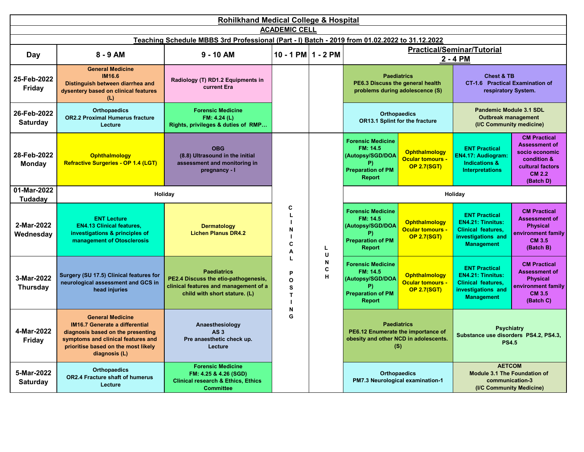| <b>Rohilkhand Medical College &amp; Hospital</b> |                                                                                                                                                                                                     |                                                                                                                                      |                        |                          |                                                                                                      |                                                                       |                                                                                                                          |                                                                                                                                |  |
|--------------------------------------------------|-----------------------------------------------------------------------------------------------------------------------------------------------------------------------------------------------------|--------------------------------------------------------------------------------------------------------------------------------------|------------------------|--------------------------|------------------------------------------------------------------------------------------------------|-----------------------------------------------------------------------|--------------------------------------------------------------------------------------------------------------------------|--------------------------------------------------------------------------------------------------------------------------------|--|
|                                                  |                                                                                                                                                                                                     |                                                                                                                                      | <b>ACADEMIC CELL</b>   |                          |                                                                                                      |                                                                       |                                                                                                                          |                                                                                                                                |  |
|                                                  |                                                                                                                                                                                                     | Teaching Schedule MBBS 3rd Professional (Part - I) Batch - 2019 from 01.02.2022 to 31.12.2022                                        |                        |                          |                                                                                                      |                                                                       |                                                                                                                          |                                                                                                                                |  |
| <b>Day</b>                                       | $8 - 9$ AM                                                                                                                                                                                          | $9 - 10$ AM                                                                                                                          | $10 - 1$ PM $1 - 2$ PM |                          | <b>Practical/Seminar/Tutorial</b><br>2 - 4 PM                                                        |                                                                       |                                                                                                                          |                                                                                                                                |  |
| 25-Feb-2022<br>Friday                            | <b>General Medicine</b><br>IM16.6<br>Distinguish between diarrhea and<br>dysentery based on clinical features<br>(L)                                                                                | Radiology (T) RD1.2 Equipments in<br>current Era                                                                                     |                        |                          | PE6.3 Discuss the general health                                                                     | <b>Paediatrics</b><br>problems during adolescence (S)                 | <b>Chest &amp; TB</b><br><b>CT-1.6 Practical Examination of</b><br>respiratory System.                                   |                                                                                                                                |  |
| 26-Feb-2022<br><b>Saturday</b>                   | <b>Orthopaedics</b><br><b>OR2.2 Proximal Humerus fracture</b><br>Lecture                                                                                                                            | <b>Forensic Medicine</b><br>FM: 4.24 (L)<br>Rights, privileges & duties of RMP                                                       |                        |                          |                                                                                                      | <b>Orthopaedics</b><br>OR13.1 Splint for the fracture                 | <b>Pandemic Module 3.1 SDL</b><br><b>Outbreak management</b><br>(I/C Community medicine)                                 |                                                                                                                                |  |
| 28-Feb-2022<br><b>Monday</b>                     | <b>Ophthalmology</b><br>Refractive Surgeries - OP 1.4 (LGT)                                                                                                                                         | <b>OBG</b><br>(8.8) Ultrasound in the initial<br>assessment and monitoring in<br>pregnancy - I                                       |                        |                          | <b>Forensic Medicine</b><br>FM: 14.5<br>(Autopsy/SGD/DOA<br><b>Preparation of PM</b><br>Report       | <b>Ophthalmology</b><br><b>Ocular tomours -</b><br><b>OP 2.7(SGT)</b> | <b>ENT Practical</b><br>EN4.17: Audiogram:<br><b>Indications &amp;</b><br><b>Interpretations</b>                         | <b>CM Practical</b><br><b>Assessment of</b><br>socio economic<br>condition &<br>cultural factors<br><b>CM 2.2</b><br>(Batch D) |  |
| 01-Mar-2022<br>Tudadav                           |                                                                                                                                                                                                     | Holiday                                                                                                                              |                        |                          |                                                                                                      |                                                                       | Holiday                                                                                                                  |                                                                                                                                |  |
| 2-Mar-2022<br>Wednesday                          | <b>ENT Lecture</b><br><b>EN4.13 Clinical features,</b><br>investigations & principles of<br>management of Otosclerosis                                                                              | <b>Dermatology</b><br><b>Lichen Planus DR4.2</b>                                                                                     | C<br>L<br>N<br>C<br>A  | L.<br>U                  | <b>Forensic Medicine</b><br>FM: 14.5<br>(Autopsy/SGD/DOA<br><b>Preparation of PM</b><br>Report       | <b>Ophthalmology</b><br><b>Ocular tomours -</b><br><b>OP 2.7(SGT)</b> | <b>ENT Practical</b><br><b>EN4.21: Tinnitus:</b><br><b>Clinical features,</b><br>investigations and<br><b>Management</b> | <b>CM Practical</b><br><b>Assessment of</b><br><b>Physical</b><br>environment family<br>CM 3.5<br>(Batch B)                    |  |
| 3-Mar-2022<br><b>Thursday</b>                    | Surgery (SU 17.5) Clinical features for<br>neurological assessment and GCS in<br>head injuries                                                                                                      | <b>Paediatrics</b><br>PE2.4 Discuss the etio-pathogenesis,<br>clinical features and management of a<br>child with short stature. (L) | L<br>P<br>O<br>S<br>T  | N<br>C<br>$\overline{H}$ | <b>Forensic Medicine</b><br>FM: 14.5<br>(Autopsy/SGD/DOA<br>P)<br><b>Preparation of PM</b><br>Report | <b>Ophthalmology</b><br><b>Ocular tomours -</b><br><b>OP 2.7(SGT)</b> | <b>ENT Practical</b><br><b>EN4.21: Tinnitus:</b><br>Clinical features,<br>investigations and<br><b>Management</b>        | <b>CM Practical</b><br><b>Assessment of</b><br><b>Physical</b><br>environment family<br>CM 3.5<br>(Batch C)                    |  |
| 4-Mar-2022<br>Friday                             | <b>General Medicine</b><br><b>IM16.7 Generate a differential</b><br>diagnosis based on the presenting<br>symptoms and clinical features and<br>prioritise based on the most likely<br>diagnosis (L) | Anaesthesiology<br><b>AS3</b><br>Pre anaesthetic check up.<br>Lecture                                                                | N<br>G                 |                          | PE6.12 Enumerate the importance of<br>obesity and other NCD in adolescents.                          | <b>Paediatrics</b><br>(S)                                             | <b>Psychiatry</b><br>Substance use disorders PS4.2, PS4.3,<br><b>PS4.5</b>                                               |                                                                                                                                |  |
| 5-Mar-2022<br><b>Saturday</b>                    | <b>Orthopaedics</b><br><b>OR2.4 Fracture shaft of humerus</b><br>Lecture                                                                                                                            | <b>Forensic Medicine</b><br>FM: 4.25 & 4.26 (SGD)<br><b>Clinical research &amp; Ethics, Ethics</b><br><b>Committee</b>               |                        |                          | PM7.3 Neurological examination-1                                                                     | <b>Orthopaedics</b>                                                   | <b>AETCOM</b><br><b>Module 3.1 The Foundation of</b><br>communication-3<br>(I/C Community Medicine)                      |                                                                                                                                |  |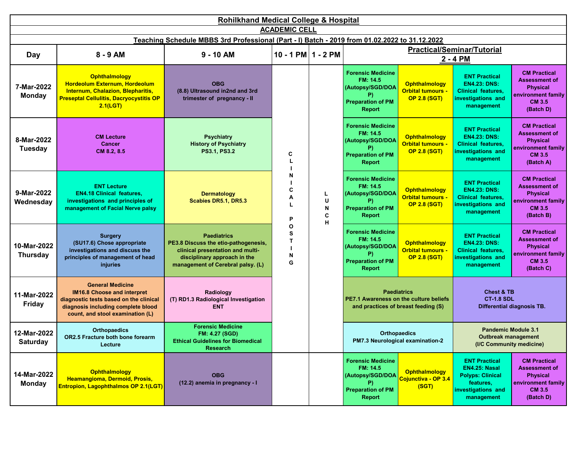|                                | <b>Rohilkhand Medical College &amp; Hospital</b>                                                                                                                                  |                                                                                                                                                                     |                            |                       |                                                                                                             |                                                                         |                                                                                                                    |                                                                                                                    |                                                                                                              |                                                                                                                    |                                                                                                             |                                                                         |
|--------------------------------|-----------------------------------------------------------------------------------------------------------------------------------------------------------------------------------|---------------------------------------------------------------------------------------------------------------------------------------------------------------------|----------------------------|-----------------------|-------------------------------------------------------------------------------------------------------------|-------------------------------------------------------------------------|--------------------------------------------------------------------------------------------------------------------|--------------------------------------------------------------------------------------------------------------------|--------------------------------------------------------------------------------------------------------------|--------------------------------------------------------------------------------------------------------------------|-------------------------------------------------------------------------------------------------------------|-------------------------------------------------------------------------|
|                                |                                                                                                                                                                                   |                                                                                                                                                                     | <b>ACADEMIC CELL</b>       |                       |                                                                                                             |                                                                         |                                                                                                                    |                                                                                                                    |                                                                                                              |                                                                                                                    |                                                                                                             |                                                                         |
|                                |                                                                                                                                                                                   | Teaching Schedule MBBS 3rd Professional (Part - I) Batch - 2019 from 01.02.2022 to 31.12.2022                                                                       |                            |                       |                                                                                                             |                                                                         |                                                                                                                    |                                                                                                                    |                                                                                                              |                                                                                                                    |                                                                                                             |                                                                         |
| Day                            | $8 - 9$ AM                                                                                                                                                                        | $9 - 10$ AM                                                                                                                                                         | 10 - 1 PM $1 - 2$ PM       |                       |                                                                                                             |                                                                         | <b>Practical/Seminar/Tutorial</b><br>2 - 4 PM                                                                      |                                                                                                                    |                                                                                                              |                                                                                                                    |                                                                                                             |                                                                         |
|                                |                                                                                                                                                                                   |                                                                                                                                                                     |                            |                       |                                                                                                             |                                                                         |                                                                                                                    |                                                                                                                    |                                                                                                              |                                                                                                                    |                                                                                                             |                                                                         |
| 7-Mar-2022<br><b>Monday</b>    | <b>Ophthalmology</b><br>Hordeolum Externum, Hordeolum<br>Internum, Chalazion, Blepharitis,<br><b>Preseptal Cellulitis, Dacryocystitis OP</b><br>2.1(LGT)                          | <b>OBG</b><br>(8.8) Ultrasound in2nd and 3rd<br>trimester of pregnancy - II                                                                                         | C<br>N<br>C<br>Α<br>L<br>P |                       |                                                                                                             |                                                                         | <b>Forensic Medicine</b><br>FM: 14.5<br>(Autopsy/SGD/DOA<br>P).<br><b>Preparation of PM</b><br><b>Report</b>       | <b>Ophthalmology</b><br><b>Orbital tumours -</b><br><b>OP 2.8 (SGT)</b>                                            | <b>ENT Practical</b><br><b>EN4.23: DNS:</b><br><b>Clinical features,</b><br>investigations and<br>management | <b>CM Practical</b><br><b>Assessment of</b><br><b>Physical</b><br>environment family<br><b>CM 3.5</b><br>(Batch D) |                                                                                                             |                                                                         |
| 8-Mar-2022<br><b>Tuesday</b>   | <b>CM Lecture</b><br><b>Cancer</b><br>CM 8.2, 8.5                                                                                                                                 | <b>Psychiatry</b><br><b>History of Psychiatry</b><br><b>PS3.1, PS3.2</b>                                                                                            |                            |                       |                                                                                                             |                                                                         |                                                                                                                    |                                                                                                                    |                                                                                                              |                                                                                                                    | <b>Forensic Medicine</b><br>FM: 14.5<br>(Autopsy/SGD/DOA<br>P)<br><b>Preparation of PM</b><br><b>Report</b> | <b>Ophthalmology</b><br><b>Orbital tumours -</b><br><b>OP 2.8 (SGT)</b> |
| 9-Mar-2022<br>Wednesday        | <b>ENT Lecture</b><br><b>EN4.18 Clinical features.</b><br>investigations and principles of<br>management of Facial Nerve palsy                                                    | <b>Dermatology</b><br>Scabies DR5.1, DR5.3                                                                                                                          |                            | L<br>U<br>N<br>C<br>н | <b>Forensic Medicine</b><br>FM: 14.5<br>(Autopsy/SGD/DOA<br>P)<br><b>Preparation of PM</b><br>Report        | <b>Ophthalmology</b><br><b>Orbital tumours -</b><br><b>OP 2.8 (SGT)</b> | <b>ENT Practical</b><br><b>EN4.23: DNS:</b><br><b>Clinical features,</b><br>investigations and<br>management       | <b>CM Practical</b><br><b>Assessment of</b><br><b>Physical</b><br>environment family<br><b>CM 3.5</b><br>(Batch B) |                                                                                                              |                                                                                                                    |                                                                                                             |                                                                         |
| 10-Mar-2022<br><b>Thursday</b> | <b>Surgery</b><br>(SU17.6) Chose appropriate<br>investigations and discuss the<br>principles of management of head<br><i>injuries</i>                                             | <b>Paediatrics</b><br>PE3.8 Discuss the etio-pathogenesis,<br>clinical presentation and multi-<br>disciplinary approach in the<br>management of Cerebral palsy. (L) | O<br>S<br>T<br>N<br>G      |                       | <b>Forensic Medicine</b><br>FM: 14.5<br>(Autopsy/SGD/DOA<br>P)<br><b>Preparation of PM</b><br><b>Report</b> | <b>Ophthalmology</b><br><b>Orbital tumours -</b><br><b>OP 2.8 (SGT)</b> | <b>CM Practical</b><br><b>Assessment of</b><br><b>Physical</b><br>environment family<br><b>CM 3.5</b><br>(Batch C) |                                                                                                                    |                                                                                                              |                                                                                                                    |                                                                                                             |                                                                         |
| 11-Mar-2022<br>Friday          | <b>General Medicine</b><br><b>IM16.8 Choose and interpret</b><br>diagnostic tests based on the clinical<br>diagnosis including complete blood<br>count, and stool examination (L) | Radiology<br>(T) RD1.3 Radiological Investigation<br><b>ENT</b>                                                                                                     |                            |                       | PE7.1 Awareness on the culture beliefs                                                                      | <b>Paediatrics</b><br>and practices of breast feeding (S)               | <b>Chest &amp; TB</b><br><b>CT-1.8 SDL</b>                                                                         | <b>Differential diagnosis TB.</b>                                                                                  |                                                                                                              |                                                                                                                    |                                                                                                             |                                                                         |
| 12-Mar-2022<br><b>Saturdav</b> | <b>Orthopaedics</b><br>OR2.5 Fracture both bone forearm<br>Lecture                                                                                                                | <b>Forensic Medicine</b><br><b>FM: 4.27 (SGD)</b><br><b>Ethical Guidelines for Biomedical</b><br>Research                                                           |                            |                       |                                                                                                             | <b>Orthopaedics</b><br>PM7.3 Neurological examination-2                 | <b>Pandemic Module 3.1</b><br><b>Outbreak management</b><br>(I/C Community medicine)                               |                                                                                                                    |                                                                                                              |                                                                                                                    |                                                                                                             |                                                                         |
| 14-Mar-2022<br><b>Monday</b>   | Ophthalmology<br>Heamangioma, Dermoid, Prosis,<br>Entropion, Lagophthalmos OP 2.1(LGT)                                                                                            | <b>OBG</b><br>(12.2) anemia in pregnancy - I                                                                                                                        |                            |                       | <b>Forensic Medicine</b><br>FM: 14.5<br>(Autopsy/SGD/DOA<br>P)<br><b>Preparation of PM</b><br><b>Report</b> | <b>Ophthalmology</b><br>Cojunctiva - OP 3.4<br>(SGT)                    | <b>ENT Practical</b><br>EN4.25: Nasal<br><b>Polyps: Clinical</b><br>features,<br>investigations and<br>management  | <b>CM Practical</b><br><b>Assessment of</b><br><b>Physical</b><br>environment family<br>CM 3.5<br>(Batch D)        |                                                                                                              |                                                                                                                    |                                                                                                             |                                                                         |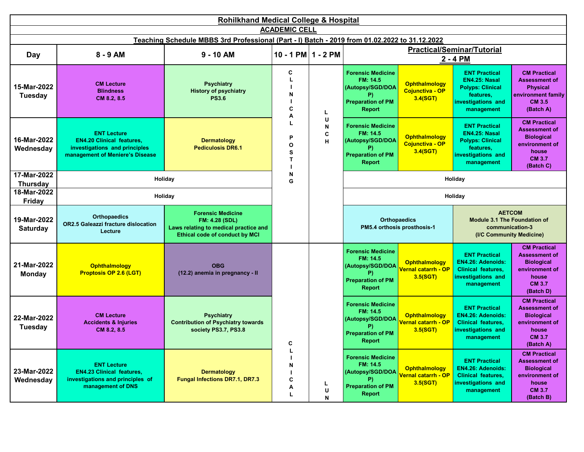|                                | <b>Rohilkhand Medical College &amp; Hospital</b>                                                                           |                                                                                                                              |                                  |                          |                                                                                                              |                                                                      |                                                                                                                   |                                                                                                                           |  |  |  |
|--------------------------------|----------------------------------------------------------------------------------------------------------------------------|------------------------------------------------------------------------------------------------------------------------------|----------------------------------|--------------------------|--------------------------------------------------------------------------------------------------------------|----------------------------------------------------------------------|-------------------------------------------------------------------------------------------------------------------|---------------------------------------------------------------------------------------------------------------------------|--|--|--|
|                                |                                                                                                                            |                                                                                                                              | <b>ACADEMIC CELL</b>             |                          |                                                                                                              |                                                                      |                                                                                                                   |                                                                                                                           |  |  |  |
|                                |                                                                                                                            | Teaching Schedule MBBS 3rd Professional (Part - I) Batch - 2019 from 01.02.2022 to 31.12.2022                                |                                  |                          |                                                                                                              |                                                                      |                                                                                                                   |                                                                                                                           |  |  |  |
| <b>Day</b>                     | 8 - 9 AM                                                                                                                   | $9 - 10$ AM                                                                                                                  | $10 - 1$ PM $1 - 2$ PM           |                          |                                                                                                              |                                                                      | <b>Practical/Seminar/Tutorial</b><br>2 - 4 PM                                                                     |                                                                                                                           |  |  |  |
| 15-Mar-2022<br><b>Tuesday</b>  | <b>CM Lecture</b><br><b>Blindness</b><br>CM 8.2, 8.5                                                                       | <b>Psychiatry</b><br><b>History of psychiatry</b><br><b>PS3.6</b>                                                            | C<br>L<br>N<br>C<br>A            | L                        | <b>Forensic Medicine</b><br>FM: 14.5<br>(Autopsy/SGD/DOA<br>P).<br><b>Preparation of PM</b><br><b>Report</b> | <b>Ophthalmology</b><br>Cojunctiva - OP<br>3.4(SGT)                  | <b>ENT Practical</b><br>EN4.25: Nasal<br><b>Polyps: Clinical</b><br>features,<br>investigations and<br>management | <b>CM Practical</b><br><b>Assessment of</b><br><b>Physical</b><br>environment family<br>CM 3.5<br>(Batch A)               |  |  |  |
| 16-Mar-2022<br>Wednesday       | <b>ENT Lecture</b><br><b>EN4.20 Clinical features,</b><br>investigations and principles<br>management of Meniere's Disease | <b>Dermatology</b><br><b>Pediculosis DR6.1</b>                                                                               | L<br>P<br>$\mathbf{o}$<br>S<br>T | U<br>${\sf N}$<br>C<br>н | <b>Forensic Medicine</b><br>FM: 14.5<br>(Autopsy/SGD/DOA<br>P).<br><b>Preparation of PM</b><br><b>Report</b> | <b>Ophthalmology</b><br>Cojunctiva - OP<br>3.4(SGT)                  | <b>ENT Practical</b><br>EN4.25: Nasal<br><b>Polyps: Clinical</b><br>features,<br>investigations and<br>management | <b>CM Practical</b><br><b>Assessment of</b><br><b>Biological</b><br>environment of<br>house<br><b>CM 3.7</b><br>(Batch C) |  |  |  |
| 17-Mar-2022                    |                                                                                                                            | Holiday                                                                                                                      | N<br>G                           |                          |                                                                                                              |                                                                      | Holiday                                                                                                           |                                                                                                                           |  |  |  |
| <b>Thursday</b><br>18-Mar-2022 |                                                                                                                            |                                                                                                                              |                                  |                          |                                                                                                              |                                                                      |                                                                                                                   |                                                                                                                           |  |  |  |
| <b>Friday</b>                  |                                                                                                                            | Holiday                                                                                                                      |                                  |                          |                                                                                                              |                                                                      | Holiday                                                                                                           |                                                                                                                           |  |  |  |
| 19-Mar-2022<br><b>Saturday</b> | <b>Orthopaedics</b><br>OR2.5 Galeazzi fracture dislocation<br>Lecture                                                      | <b>Forensic Medicine</b><br><b>FM: 4.28 (SDL)</b><br>Laws relating to medical practice and<br>Ethical code of conduct by MCI |                                  |                          | Orthopaedics<br>PM5.4 orthosis prosthosis-1                                                                  |                                                                      | <b>AETCOM</b><br>Module 3.1 The Foundation of<br>communication-3<br>(I/C Community Medicine)                      |                                                                                                                           |  |  |  |
| 21-Mar-2022<br><b>Monday</b>   | Ophthalmology<br><b>Proptosis OP 2.6 (LGT)</b>                                                                             | <b>OBG</b><br>(12.2) anemia in pregnancy - II                                                                                |                                  |                          | <b>Forensic Medicine</b><br>FM: 14.5<br>(Autopsy/SGD/DOA<br>P).<br><b>Preparation of PM</b><br><b>Report</b> | <b>Ophthalmology</b><br><mark>Vernal catarrh - OP</mark><br>3.5(SGT) | <b>ENT Practical</b><br><b>EN4.26: Adenoids:</b><br><b>Clinical features,</b><br>investigations and<br>management | <b>CM Practical</b><br><b>Assessment of</b><br><b>Biological</b><br>environment of<br>house<br><b>CM 3.7</b><br>(Batch D) |  |  |  |
| 22-Mar-2022<br><b>Tuesday</b>  | <b>CM Lecture</b><br><b>Accidents &amp; Injuries</b><br>CM 8.2, 8.5                                                        | <b>Psychiatry</b><br><b>Contribution of Psychiatry towards</b><br>society PS3.7, PS3.8                                       | С                                |                          | <b>Forensic Medicine</b><br>FM: 14.5<br>(Autopsy/SGD/DOA<br>P)<br><b>Preparation of PM</b><br><b>Report</b>  | <b>Ophthalmology</b><br><mark>Vernal catarrh - OP</mark><br>3.5(SGT) | <b>ENT Practical</b><br><b>EN4.26: Adenoids:</b><br><b>Clinical features,</b><br>investigations and<br>management | <b>CM Practical</b><br><b>Assessment of</b><br><b>Biological</b><br>environment of<br>house<br><b>CM 3.7</b><br>(Batch A) |  |  |  |
| 23-Mar-2022<br>Wednesday       | <b>ENT Lecture</b><br><b>EN4.23 Clinical features,</b><br>investigations and principles of<br>management of DNS            | <b>Dermatology</b><br><b>Fungal Infections DR7.1, DR7.3</b>                                                                  | L<br>N<br>C<br>Α<br>L            | L<br>U<br>N              | <b>Forensic Medicine</b><br>FM: 14.5<br>(Autopsy/SGD/DOA<br>P)<br><b>Preparation of PM</b><br><b>Report</b>  | <b>Ophthalmology</b><br><mark>Vernal catarrh - OP</mark><br>3.5(SGT) | <b>ENT Practical</b><br><b>EN4.26: Adenoids:</b><br><b>Clinical features,</b><br>investigations and<br>management | <b>CM Practical</b><br><b>Assessment of</b><br><b>Biological</b><br>environment of<br>house<br><b>CM 3.7</b><br>(Batch B) |  |  |  |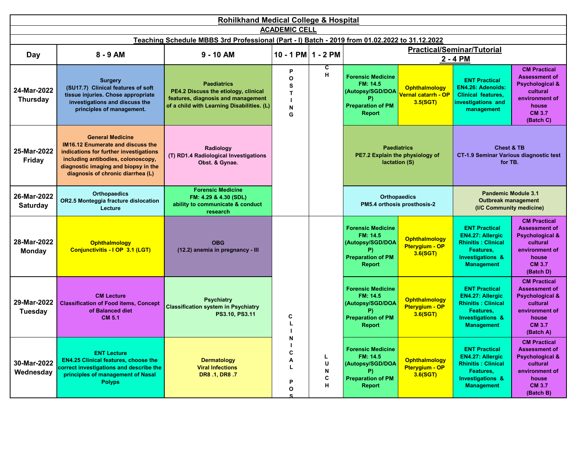|                                | <b>Rohilkhand Medical College &amp; Hospital</b>                                                                                                                                                                          |                                                                                                                                                |                                       |                             |                                                                                                             |                                                                      |                                                                                                                                               |                                                                                                                                                |  |  |  |
|--------------------------------|---------------------------------------------------------------------------------------------------------------------------------------------------------------------------------------------------------------------------|------------------------------------------------------------------------------------------------------------------------------------------------|---------------------------------------|-----------------------------|-------------------------------------------------------------------------------------------------------------|----------------------------------------------------------------------|-----------------------------------------------------------------------------------------------------------------------------------------------|------------------------------------------------------------------------------------------------------------------------------------------------|--|--|--|
|                                |                                                                                                                                                                                                                           |                                                                                                                                                | <b>ACADEMIC CELL</b>                  |                             |                                                                                                             |                                                                      |                                                                                                                                               |                                                                                                                                                |  |  |  |
|                                |                                                                                                                                                                                                                           | Teaching Schedule MBBS 3rd Professional (Part - I) Batch - 2019 from 01.02.2022 to 31.12.2022                                                  |                                       |                             |                                                                                                             |                                                                      |                                                                                                                                               |                                                                                                                                                |  |  |  |
| Day                            | 8 - 9 AM                                                                                                                                                                                                                  | $9 - 10$ AM                                                                                                                                    | 10 - 1 PM $1 - 2$ PM                  |                             |                                                                                                             |                                                                      | <b>Practical/Seminar/Tutorial</b>                                                                                                             |                                                                                                                                                |  |  |  |
|                                |                                                                                                                                                                                                                           |                                                                                                                                                |                                       |                             |                                                                                                             |                                                                      | 2 - 4 PM                                                                                                                                      |                                                                                                                                                |  |  |  |
| 24-Mar-2022<br><b>Thursday</b> | <b>Surgery</b><br>(SU17.7) Clinical features of soft<br>tissue injuries. Chose appropriate<br>investigations and discuss the<br>principles of management.                                                                 | <b>Paediatrics</b><br>PE4.2 Discuss the etiology, clinical<br>features, diagnosis and management<br>of a child with Learning Disabilities. (L) | P<br>$\Omega$<br>s<br>T<br>N<br>G     | c<br>H                      | <b>Forensic Medicine</b><br>FM: 14.5<br>(Autopsy/SGD/DOA<br>P)<br><b>Preparation of PM</b><br><b>Report</b> | <b>Ophthalmology</b><br><mark>Vernal catarrh - OP</mark><br>3.5(SGT) | <b>ENT Practical</b><br>EN4.26: Adenoids:<br>Clinical features,<br>investigations and<br>management                                           | <b>CM Practical</b><br><b>Assessment of</b><br><b>Psychological &amp;</b><br>cultural<br>environment of<br>house<br><b>CM 3.7</b><br>(Batch C) |  |  |  |
| 25-Mar-2022<br>Friday          | <b>General Medicine</b><br>IM16.12 Enumerate and discuss the<br>indications for further investigations<br>including antibodies, colonoscopy,<br>diagnostic imaging and biopsy in the<br>diagnosis of chronic diarrhea (L) | Radiology<br>(T) RD1.4 Radiological Investigations<br>Obst. & Gynae.                                                                           |                                       |                             | PE7.2 Explain the physiology of<br>lactation (S)                                                            | <b>Paediatrics</b>                                                   | <b>Chest &amp; TB</b><br><b>CT-1.9 Seminar Various diagnostic test</b><br>for TB.                                                             |                                                                                                                                                |  |  |  |
| 26-Mar-2022<br><b>Saturday</b> | <b>Orthopaedics</b><br>OR2.5 Monteggia fracture dislocation<br>Lecture                                                                                                                                                    | <b>Forensic Medicine</b><br>FM: 4.29 & 4.30 (SDL)<br>ability to communicate & conduct<br>research                                              |                                       |                             | <b>Orthopaedics</b><br>PM5.4 orthosis prosthosis-2                                                          |                                                                      | <b>Pandemic Module 3.1</b><br><b>Outbreak management</b><br>(I/C Community medicine)                                                          |                                                                                                                                                |  |  |  |
| 28-Mar-2022<br><b>Monday</b>   | <b>Ophthalmology</b><br>Conjunctivitis - I OP 3.1 (LGT)                                                                                                                                                                   | <b>OBG</b><br>(12.2) anemia in pregnancy - III                                                                                                 |                                       |                             | <b>Forensic Medicine</b><br>FM: 14.5<br>(Autopsy/SGD/DOA<br>P)<br><b>Preparation of PM</b><br><b>Report</b> | <b>Ophthalmology</b><br>Pterygium - OP<br>3.6(SGT)                   | <b>ENT Practical</b><br>EN4.27: Allergic<br><b>Rhinitis: Clinical</b><br>Features,<br><b>Investigations &amp;</b><br><b>Management</b>        | <b>CM Practical</b><br><b>Assessment of</b><br><b>Psychological &amp;</b><br>cultural<br>environment of<br>house<br><b>CM 3.7</b><br>(Batch D) |  |  |  |
| 29-Mar-2022<br><b>Tuesday</b>  | <b>CM Lecture</b><br><b>Classification of Food items, Concept</b><br>of Balanced diet<br><b>CM 5.1</b>                                                                                                                    | <b>Psychiatry</b><br><b>Classification system in Psychiatry</b><br>PS3.10, PS3.11                                                              | C                                     |                             | <b>Forensic Medicine</b><br>FM: 14.5<br>(Autopsy/SGD/DOA<br>P)<br><b>Preparation of PM</b><br><b>Report</b> | <b>Ophthalmology</b><br>Pterygium - OP<br>3.6(SGT)                   | <b>ENT Practical</b><br><b>EN4.27: Allergic</b><br><b>Rhinitis: Clinical</b><br>Features.<br><b>Investigations &amp;</b><br><b>Management</b> | <b>CM Practical</b><br><b>Assessment of</b><br><b>Psychological &amp;</b><br>cultural<br>environment of<br>house<br><b>CM 3.7</b><br>(Batch A) |  |  |  |
| 30-Mar-2022<br>Wednesday       | <b>ENT Lecture</b><br><b>EN4.25 Clinical features, choose the</b><br>correct investigations and describe the<br>principles of management of Nasal<br><b>Polyps</b>                                                        | <b>Dermatology</b><br><b>Viral Infections</b><br>DR8 .1, DR8 .7                                                                                | N<br>C<br>A<br>L<br>P<br>$\mathbf{o}$ | Ц<br>$\sf U$<br>N<br>C<br>н | <b>Forensic Medicine</b><br>FM: 14.5<br>(Autopsy/SGD/DOA<br><b>Preparation of PM</b><br><b>Report</b>       | Ophthalmology<br>Pterygium - OP<br>3.6(SGT)                          | <b>ENT Practical</b><br><b>EN4.27: Alleraic</b><br><b>Rhinitis: Clinical</b><br>Features,<br><b>Investigations &amp;</b><br><b>Management</b> | <b>CM Practical</b><br><b>Assessment of</b><br><b>Psychological &amp;</b><br>cultural<br>environment of<br>house<br><b>CM 3.7</b><br>(Batch B) |  |  |  |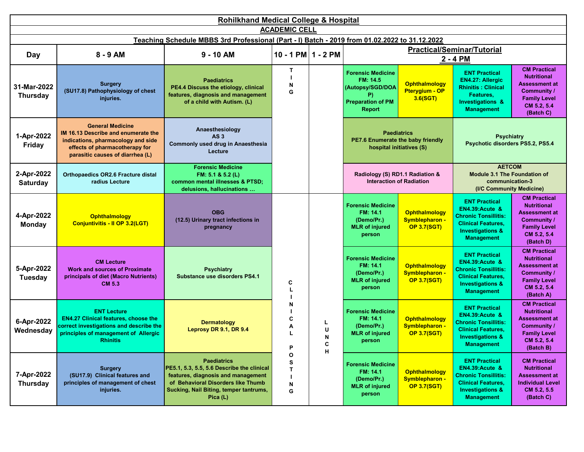|                                | <b>Rohilkhand Medical College &amp; Hospital</b>                                                                                                                           |                                                                                                                                                                                                      |                                  |                       |                                                                                                             |                                                              |                                                                                                                                                                    |                                                                                                                                            |  |  |
|--------------------------------|----------------------------------------------------------------------------------------------------------------------------------------------------------------------------|------------------------------------------------------------------------------------------------------------------------------------------------------------------------------------------------------|----------------------------------|-----------------------|-------------------------------------------------------------------------------------------------------------|--------------------------------------------------------------|--------------------------------------------------------------------------------------------------------------------------------------------------------------------|--------------------------------------------------------------------------------------------------------------------------------------------|--|--|
|                                |                                                                                                                                                                            |                                                                                                                                                                                                      | <b>ACADEMIC CELL</b>             |                       |                                                                                                             |                                                              |                                                                                                                                                                    |                                                                                                                                            |  |  |
|                                |                                                                                                                                                                            | Teaching Schedule MBBS 3rd Professional (Part - I) Batch - 2019 from 01.02.2022 to 31.12.2022                                                                                                        |                                  |                       |                                                                                                             |                                                              | <b>Practical/Seminar/Tutorial</b>                                                                                                                                  |                                                                                                                                            |  |  |
| Day                            | $8 - 9$ AM                                                                                                                                                                 | $9 - 10$ AM                                                                                                                                                                                          | 10 - 1 PM $1 - 2$ PM             |                       |                                                                                                             |                                                              | 2 - 4 PM                                                                                                                                                           |                                                                                                                                            |  |  |
| 31-Mar-2022<br><b>Thursday</b> | <b>Surgery</b><br>(SU17.8) Pathophysiology of chest<br>injuries.                                                                                                           | <b>Paediatrics</b><br>PE4.4 Discuss the etiology, clinical<br>features, diagnosis and management<br>of a child with Autism. (L)                                                                      | T<br>N<br>G                      |                       | <b>Forensic Medicine</b><br>FM: 14.5<br>(Autopsy/SGD/DOA<br>P)<br><b>Preparation of PM</b><br><b>Report</b> | <b>Ophthalmology</b><br>Pterygium - OP<br>3.6(SGT)           | <b>ENT Practical</b><br><b>EN4.27: Allergic</b><br><b>Rhinitis: Clinical</b><br>Features,<br><b>Investigations &amp;</b><br><b>Management</b>                      | <b>CM Practical</b><br><b>Nutritional</b><br><b>Assessment at</b><br>Community /<br><b>Family Level</b><br>CM 5.2, 5.4<br>(Batch C)        |  |  |
| 1-Apr-2022<br>Friday           | <b>General Medicine</b><br>IM 16.13 Describe and enumerate the<br>indications, pharmacology and side<br>effects of pharmacotherapy for<br>parasitic causes of diarrhea (L) | Anaesthesiology<br>AS <sub>3</sub><br>Commonly used drug in Anaesthesia<br>Lecture                                                                                                                   |                                  |                       | PE7.6 Enumerate the baby friendly                                                                           | <b>Paediatrics</b><br>hospital initiatives (S)               | <b>Psychiatry</b><br>Psychotic disorders PS5.2, PS5.4                                                                                                              |                                                                                                                                            |  |  |
| 2-Apr-2022<br><b>Saturday</b>  | <b>Orthopaedics OR2.6 Fracture distal</b><br>radius Lecture                                                                                                                | <b>Forensic Medicine</b><br>FM: 5.1 & 5.2 (L)<br>common mental illnesses & PTSD;<br>delusions, hallucinations                                                                                        |                                  |                       | Radiology (S) RD1.1 Radiation &                                                                             | <b>Interaction of Radiation</b>                              | <b>AETCOM</b><br><b>Module 3.1 The Foundation of</b><br>communication-3<br>(I/C Community Medicine)                                                                |                                                                                                                                            |  |  |
| 4-Apr-2022<br><b>Monday</b>    | Ophthalmology<br>Conjuntivitis - Il OP 3.2(LGT)                                                                                                                            | <b>OBG</b><br>(12.5) Urinary tract infections in<br>pregnancy                                                                                                                                        |                                  |                       | <b>Forensic Medicine</b><br>FM: 14.1<br>(Demo/Pr.)<br><b>MLR</b> of injured<br>person                       | <b>Ophthalmology</b><br>Symblepharon -<br><b>OP 3.7(SGT)</b> | <b>ENT Practical</b><br><b>EN4.39: Acute &amp;</b><br><b>Chronic Tonsillitis:</b><br><b>Clinical Features,</b><br><b>Investigations &amp;</b><br><b>Management</b> | <b>CM Practical</b><br><b>Nutritional</b><br><b>Assessment at</b><br><b>Community /</b><br><b>Family Level</b><br>CM 5.2, 5.4<br>(Batch D) |  |  |
| 5-Apr-2022<br>Tuesday          | <b>CM Lecture</b><br><b>Work and sources of Proximate</b><br>principals of diet (Macro Nutrients)<br>CM 5.3                                                                | <b>Psychiatry</b><br>Substance use disorders PS4.1                                                                                                                                                   | C                                |                       | <b>Forensic Medicine</b><br>FM: 14.1<br>(Demo/Pr.)<br><b>MLR</b> of injured<br>person                       | <b>Ophthalmology</b><br>Symblepharon -<br><b>OP 3.7(SGT)</b> | <b>ENT Practical</b><br><b>EN4.39: Acute &amp;</b><br><b>Chronic Tonsillitis:</b><br><b>Clinical Features,</b><br><b>Investigations &amp;</b><br><b>Management</b> | <b>CM Practical</b><br><b>Nutritional</b><br><b>Assessment at</b><br>Community /<br><b>Family Level</b><br>CM 5.2, 5.4<br>(Batch A)        |  |  |
| 6-Apr-2022<br>Wednesday        | <b>ENT Lecture</b><br><b>EN4.27 Clinical features, choose the</b><br>correct investigations and describe the<br>principles of management of Allergic<br><b>Rhinitis</b>    | <b>Dermatology</b><br>Leprosy DR 9.1, DR 9.4                                                                                                                                                         | N<br>C<br>Α<br>P                 | L<br>U<br>N<br>c<br>H | <b>Forensic Medicine</b><br>FM: 14.1<br>(Demo/Pr.)<br><b>MLR</b> of injured<br>person                       | <b>Ophthalmology</b><br>Symblepharon -<br><b>OP 3.7(SGT)</b> | <b>ENT Practical</b><br><b>EN4.39: Acute &amp;</b><br><b>Chronic Tonsillitis:</b><br><b>Clinical Features,</b><br><b>Investigations &amp;</b><br>Management        | <b>CM Practical</b><br><b>Nutritional</b><br><b>Assessment at</b><br>Community /<br><b>Family Level</b><br>CM 5.2, 5.4<br>(Batch B)        |  |  |
| 7-Apr-2022<br><b>Thursday</b>  | <b>Surgery</b><br>(SU17.9) Clinical features and<br>principles of management of chest<br>injuries.                                                                         | <b>Paediatrics</b><br>PE5.1, 5.3, 5.5, 5.6 Describe the clinical<br>features, diagnosis and management<br>of Behavioral Disorders like Thumb<br>Sucking, Nail Biting, temper tantrums,<br>Pica $(L)$ | $\mathbf{o}$<br>s<br>Т<br>N<br>G |                       | <b>Forensic Medicine</b><br>FM: 14.1<br>(Demo/Pr.)<br><b>MLR</b> of injured<br>person                       | <b>Ophthalmology</b><br>Symblepharon -<br><b>OP 3.7(SGT)</b> | <b>ENT Practical</b><br><b>EN4.39:Acute &amp;</b><br><b>Chronic Tonsillitis:</b><br><b>Clinical Features,</b><br><b>Investigations &amp;</b><br><b>Management</b>  | <b>CM Practical</b><br><b>Nutritional</b><br><b>Assessment at</b><br><b>Individual Level</b><br>CM 5.2, 5.5<br>(Batch C)                   |  |  |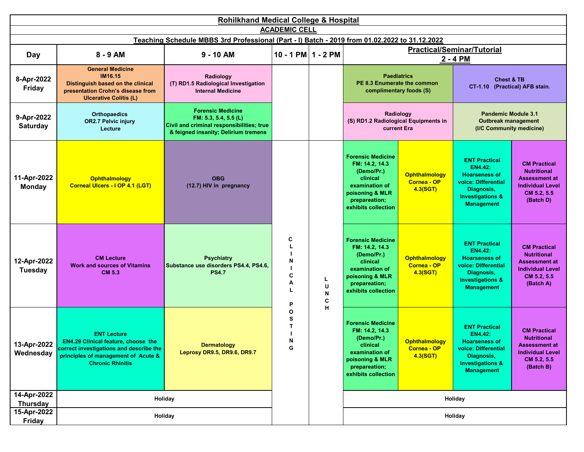|                               | <b>Rohilkhand Medical College &amp; Hospital</b>                                                                                                                       |                                                                                                                                        |                            |                  |                                                                                                                                                   |                                                        |                                                                                                                                                         |                                                                                                                          |  |  |  |
|-------------------------------|------------------------------------------------------------------------------------------------------------------------------------------------------------------------|----------------------------------------------------------------------------------------------------------------------------------------|----------------------------|------------------|---------------------------------------------------------------------------------------------------------------------------------------------------|--------------------------------------------------------|---------------------------------------------------------------------------------------------------------------------------------------------------------|--------------------------------------------------------------------------------------------------------------------------|--|--|--|
|                               | <b>ACADEMIC CELL</b><br>Teaching Schedule MBBS 3rd Professional (Part - I) Batch - 2019 from 01.02.2022 to 31.12.2022                                                  |                                                                                                                                        |                            |                  |                                                                                                                                                   |                                                        |                                                                                                                                                         |                                                                                                                          |  |  |  |
|                               |                                                                                                                                                                        |                                                                                                                                        |                            |                  |                                                                                                                                                   |                                                        |                                                                                                                                                         |                                                                                                                          |  |  |  |
| Day                           | 8 - 9 AM                                                                                                                                                               | $9 - 10$ AM                                                                                                                            | $10 - 1$ PM $1 - 2$ PM     |                  | <b>Practical/Seminar/Tutorial</b><br>$2 - 4 PM$                                                                                                   |                                                        |                                                                                                                                                         |                                                                                                                          |  |  |  |
| 8-Apr-2022<br>Friday          | <b>General Medicine</b><br><b>IM16.15</b><br>Distinguish based on the clinical<br>presentation Crohn's disease from<br><b>Ulcerative Colitis (L)</b>                   | Radiology<br>(T) RD1.5 Radiological Investigation<br><b>Internal Medicine</b>                                                          |                            |                  | PE 8.3 Enumerate the common                                                                                                                       | <b>Paediatrics</b><br>complimentary foods (S)          | <b>Chest &amp; TB</b><br>CT-1.10 (Practical) AFB stain.                                                                                                 |                                                                                                                          |  |  |  |
| 9-Apr-2022<br><b>Saturday</b> | <b>Orthopaedics</b><br><b>OR2.7 Pelvic injury</b><br>Lecture                                                                                                           | <b>Forensic Medicine</b><br>FM: 5.3, 5.4, 5.5 (L)<br>Civil and criminal responsibilities; true<br>& feigned insanity; Delirium tremens |                            |                  | (S) RD1.2 Radiological Equipments in                                                                                                              | Radiology<br>current Era                               | <b>Pandemic Module 3.1</b><br><b>Outbreak management</b><br>(I/C Community medicine)                                                                    |                                                                                                                          |  |  |  |
| 11-Apr-2022<br><b>Monday</b>  | <b>Ophthalmology</b><br>Corneal Ulcers - I OP 4.1 (LGT)                                                                                                                | <b>OBG</b><br>(12.7) HIV in pregnancy                                                                                                  |                            |                  | <b>Forensic Medicine</b><br>FM: 14.2, 14.3<br>(Demo/Pr.)<br>clinical<br>examination of<br>poisoning & MLR<br>prepareation;<br>exhibits collection | <b>Ophthalmology</b><br><b>Cornea - OP</b><br>4.3(SGT) | <b>ENT Practical</b><br><b>EN4.42:</b><br><b>Hoarseness of</b><br>voice: Differential<br>Diagnosis,<br><b>Investigations &amp;</b><br><b>Management</b> | <b>CM Practical</b><br><b>Nutritional</b><br><b>Assessment at</b><br><b>Individual Level</b><br>CM 5.2, 5.5<br>(Batch D) |  |  |  |
| 12-Apr-2022<br><b>Tuesday</b> | <b>CM Lecture</b><br><b>Work and sources of Vitamins</b><br><b>CM 5.3</b>                                                                                              | <b>Psychiatry</b><br>Substance use disorders PS4.4, PS4.6,<br><b>PS4.7</b>                                                             | C<br>N<br>С<br>А           | L<br>U<br>N<br>C | <b>Forensic Medicine</b><br>FM: 14.2, 14.3<br>(Demo/Pr.)<br>clinical<br>examination of<br>poisoning & MLR<br>prepareation;<br>exhibits collection | <b>Ophthalmology</b><br>Cornea - OP<br>4.3(SGT)        | <b>ENT Practical</b><br><b>EN4.42:</b><br><b>Hoarseness of</b><br>voice: Differential<br>Diagnosis,<br><b>Investigations &amp;</b><br><b>Management</b> | <b>CM Practical</b><br><b>Nutritional</b><br><b>Assessment at</b><br><b>Individual Level</b><br>CM 5.2, 5.5<br>(Batch A) |  |  |  |
| 13-Apr-2022<br>Wednesday      | <b>ENT Lecture</b><br>EN4.29 Clinical feature, choose the<br>correct investigations and describe the<br>principles of management of Acute &<br><b>Chronic Rhinitis</b> | <b>Dermatology</b><br>Leprosy DR9.5, DR9.6, DR9.7                                                                                      | P<br>O<br>s<br>т<br>N<br>G | н                | <b>Forensic Medicine</b><br>FM: 14.2, 14.3<br>(Demo/Pr.)<br>clinical<br>examination of<br>poisoning & MLR<br>prepareation;<br>exhibits collection | <b>Ophthalmology</b><br>Cornea - OP<br>4.3(SGT)        | <b>ENT Practical</b><br><b>EN4.42:</b><br><b>Hoarseness of</b><br>voice: Differential<br>Diagnosis,<br><b>Investigations &amp;</b><br><b>Management</b> | <b>CM Practical</b><br><b>Nutritional</b><br><b>Assessment at</b><br><b>Individual Level</b><br>CM 5.2, 5.5<br>(Batch B) |  |  |  |
| 14-Apr-2022<br>Thursday       | Holiday                                                                                                                                                                |                                                                                                                                        |                            |                  |                                                                                                                                                   |                                                        | Holiday                                                                                                                                                 |                                                                                                                          |  |  |  |
| 15-Apr-2022                   |                                                                                                                                                                        | Holiday                                                                                                                                |                            |                  |                                                                                                                                                   |                                                        | Holiday                                                                                                                                                 |                                                                                                                          |  |  |  |
| Friday                        |                                                                                                                                                                        |                                                                                                                                        |                            |                  |                                                                                                                                                   |                                                        |                                                                                                                                                         |                                                                                                                          |  |  |  |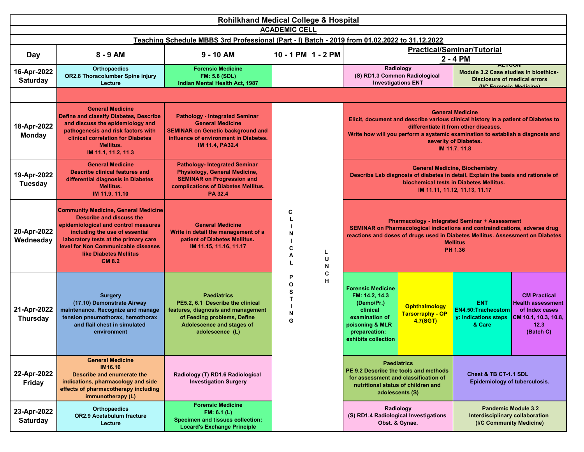| <b>Rohilkhand Medical College &amp; Hospital</b> |                                                                                                                                                                                                                                                                                    |                                                                                                                                                                                 |                                                  |             |                                                                                                                                                                                                           |                                                                                                                                                                                                                                                                                                                                                                                                                                                                                                                                                                                                                                                                                                                                                                                                                                                                                                                                                                                                                                                                                                                                                                                                |  |  |
|--------------------------------------------------|------------------------------------------------------------------------------------------------------------------------------------------------------------------------------------------------------------------------------------------------------------------------------------|---------------------------------------------------------------------------------------------------------------------------------------------------------------------------------|--------------------------------------------------|-------------|-----------------------------------------------------------------------------------------------------------------------------------------------------------------------------------------------------------|------------------------------------------------------------------------------------------------------------------------------------------------------------------------------------------------------------------------------------------------------------------------------------------------------------------------------------------------------------------------------------------------------------------------------------------------------------------------------------------------------------------------------------------------------------------------------------------------------------------------------------------------------------------------------------------------------------------------------------------------------------------------------------------------------------------------------------------------------------------------------------------------------------------------------------------------------------------------------------------------------------------------------------------------------------------------------------------------------------------------------------------------------------------------------------------------|--|--|
|                                                  |                                                                                                                                                                                                                                                                                    |                                                                                                                                                                                 | <b>ACADEMIC CELL</b>                             |             |                                                                                                                                                                                                           |                                                                                                                                                                                                                                                                                                                                                                                                                                                                                                                                                                                                                                                                                                                                                                                                                                                                                                                                                                                                                                                                                                                                                                                                |  |  |
|                                                  |                                                                                                                                                                                                                                                                                    | Teaching Schedule MBBS 3rd Professional (Part - I) Batch - 2019 from 01.02.2022 to 31.12.2022                                                                                   |                                                  |             |                                                                                                                                                                                                           |                                                                                                                                                                                                                                                                                                                                                                                                                                                                                                                                                                                                                                                                                                                                                                                                                                                                                                                                                                                                                                                                                                                                                                                                |  |  |
| Day                                              | 8 - 9 AM                                                                                                                                                                                                                                                                           | $9 - 10$ AM                                                                                                                                                                     | $10 - 1$ PM $1 - 2$ PM                           |             |                                                                                                                                                                                                           |                                                                                                                                                                                                                                                                                                                                                                                                                                                                                                                                                                                                                                                                                                                                                                                                                                                                                                                                                                                                                                                                                                                                                                                                |  |  |
| 16-Apr-2022<br><b>Saturday</b>                   | <b>Orthopaedics</b><br>OR2.8 Thoracolumber Spine injury<br>Lecture                                                                                                                                                                                                                 | <b>Forensic Medicine</b><br><b>FM: 5.6 (SDL)</b><br>Indian Mental Health Act, 1987                                                                                              |                                                  |             | ACTOUR<br>Radiology<br>(S) RD1.3 Common Radiological<br><b>Investigations ENT</b>                                                                                                                         |                                                                                                                                                                                                                                                                                                                                                                                                                                                                                                                                                                                                                                                                                                                                                                                                                                                                                                                                                                                                                                                                                                                                                                                                |  |  |
|                                                  |                                                                                                                                                                                                                                                                                    |                                                                                                                                                                                 | <b>AITO DIABETES</b>                             |             |                                                                                                                                                                                                           |                                                                                                                                                                                                                                                                                                                                                                                                                                                                                                                                                                                                                                                                                                                                                                                                                                                                                                                                                                                                                                                                                                                                                                                                |  |  |
| 18-Apr-2022<br><b>Monday</b>                     | <b>General Medicine</b><br>Define and classify Diabetes, Describe<br>and discuss the epidemiology and<br>pathogenesis and risk factors with<br><b>clinical correlation for Diabetes</b><br><b>Mellitus.</b><br>IM 11.1, 11.2, 11.3                                                 | <b>Pathology - Integrated Seminar</b><br><b>General Medicine</b><br><b>SEMINAR on Genetic background and</b><br>influence of environment in Diabetes.<br><b>IM 11.4, PA32.4</b> |                                                  |             |                                                                                                                                                                                                           |                                                                                                                                                                                                                                                                                                                                                                                                                                                                                                                                                                                                                                                                                                                                                                                                                                                                                                                                                                                                                                                                                                                                                                                                |  |  |
| 19-Apr-2022<br><b>Tuesday</b>                    | <b>General Medicine</b><br><b>Describe clinical features and</b><br>differential diagnosis in Diabetes<br>Mellitus.<br>IM 11.9, 11.10                                                                                                                                              | <b>Pathology- Integrated Seminar</b><br><b>Physiology, General Medicine,</b><br><b>SEMINAR on Progression and</b><br>complications of Diabetes Mellitus.<br><b>PA 32.4</b>      |                                                  |             |                                                                                                                                                                                                           |                                                                                                                                                                                                                                                                                                                                                                                                                                                                                                                                                                                                                                                                                                                                                                                                                                                                                                                                                                                                                                                                                                                                                                                                |  |  |
| 20-Apr-2022<br>Wednesday                         | <b>Community Medicine, General Medicine</b><br>Describe and discuss the<br>epidemiological and control measures<br>including the use of essential<br>laboratory tests at the primary care<br>level for Non Communicable diseases<br><b>like Diabetes Mellitus</b><br><b>CM 8.2</b> | <b>General Medicine</b><br>Write in detail the management of a<br>patient of Diabetes Mellitus.<br>IM 11.15, 11.16, 11.17                                                       | C<br>N<br>C<br>Α<br>L                            | L<br>U<br>N |                                                                                                                                                                                                           | <b>Practical/Seminar/Tutorial</b><br>2 - 4 PM<br>Module 3.2 Case studies in bioethics-<br><b>Disclosure of medical errors</b><br>(IIC Enrangic Modicina)<br><b>General Medicine</b><br>Elicit, document and describe various clinical history in a patient of Diabetes to<br>differentiate it from other diseases.<br>Write how will you perform a systemic examination to establish a diagnosis and<br>severity of Diabetes.<br>IM 11.7, 11.8<br><b>General Medicine, Biochemistry</b><br>Describe Lab diagnosis of diabetes in detail. Explain the basis and rationale of<br>biochemical tests in Diabetes Mellitus.<br>IM 11.11, 11.12, 11.13, 11.17<br><b>Pharmacology - Integrated Seminar + Assessment</b><br>SEMINAR on Pharmacological indications and contraindications, adverse drug<br>reactions and doses of drugs used in Diabetes Mellitus. Assessment on Diabetes<br><b>Mellitus</b><br>PH 1.36<br><b>CM Practical</b><br><b>ENT</b><br><b>EN4.50:Tracheostom</b><br>y: Indications steps<br>& Care<br>12.3<br>(Batch C)<br>Chest & TB CT-1.1 SDL<br>Epidemiology of tuberculosis.<br><b>Pandemic Module 3.2</b><br>Interdisciplinary collaboration<br>(I/C Community Medicine) |  |  |
| 21-Apr-2022<br><b>Thursday</b>                   | <b>Surgery</b><br>(17.10) Demonstrate Airway<br>maintenance. Recognize and manage<br>tension pneumothorax, hemothorax<br>and flail chest in simulated<br>environment                                                                                                               | <b>Paediatrics</b><br>PE5.2, 6.1 Describe the clinical<br>features, diagnosis and management<br>of Feeding problems, Define<br>Adolescence and stages of<br>adolescence (L)     | P<br>$\mathbf{o}$<br>S<br>$\mathbf{T}$<br>N<br>G | C<br>н      | <b>Forensic Medicine</b><br>FM: 14.2, 14.3<br>(Demo/Pr.)<br>Ophthalmology<br>clinical<br><b>Tarsorraphy - OP</b><br>examination of<br>4.7(SGT)<br>poisoning & MLR<br>prepareation;<br>exhibits collection | <b>Health assessment</b><br>of Index cases<br>CM 10.1, 10.3, 10.8,                                                                                                                                                                                                                                                                                                                                                                                                                                                                                                                                                                                                                                                                                                                                                                                                                                                                                                                                                                                                                                                                                                                             |  |  |
| 22-Apr-2022<br>Friday                            | <b>General Medicine</b><br><b>IM16.16</b><br>Describe and enumerate the<br>indications, pharmacology and side<br>effects of pharmacotherapy including<br>immunotherapy (L)                                                                                                         | Radiology (T) RD1.6 Radiological<br><b>Investigation Surgery</b>                                                                                                                |                                                  |             | <b>Paediatrics</b><br>PE 9.2 Describe the tools and methods<br>for assessment and classification of<br>nutritional status of children and<br>adolescents (S)                                              |                                                                                                                                                                                                                                                                                                                                                                                                                                                                                                                                                                                                                                                                                                                                                                                                                                                                                                                                                                                                                                                                                                                                                                                                |  |  |
| 23-Apr-2022<br><b>Saturday</b>                   | <b>Orthopaedics</b><br><b>OR2.9 Acetabulum fracture</b><br>Lecture                                                                                                                                                                                                                 | <b>Forensic Medicine</b><br>FM: 6.1 (L)<br><b>Specimen and tissues collection;</b><br><b>Locard's Exchange Principle</b>                                                        |                                                  |             | Radiology<br>(S) RD1.4 Radiological Investigations<br>Obst. & Gynae.                                                                                                                                      |                                                                                                                                                                                                                                                                                                                                                                                                                                                                                                                                                                                                                                                                                                                                                                                                                                                                                                                                                                                                                                                                                                                                                                                                |  |  |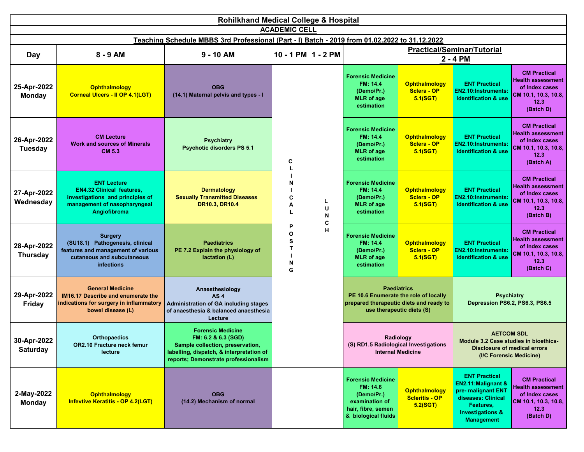|                                | <b>Rohilkhand Medical College &amp; Hospital</b><br><b>ACADEMIC CELL</b>                                                                   |                                                                                                                                                                         |                            |                  |                                                                                                                   |                                                                                                                |                                                                                                                                                          |                                                                                                                |                                                                                                                |  |  |                                                                                       |                                                        |                                                                                |                                                                                                                |
|--------------------------------|--------------------------------------------------------------------------------------------------------------------------------------------|-------------------------------------------------------------------------------------------------------------------------------------------------------------------------|----------------------------|------------------|-------------------------------------------------------------------------------------------------------------------|----------------------------------------------------------------------------------------------------------------|----------------------------------------------------------------------------------------------------------------------------------------------------------|----------------------------------------------------------------------------------------------------------------|----------------------------------------------------------------------------------------------------------------|--|--|---------------------------------------------------------------------------------------|--------------------------------------------------------|--------------------------------------------------------------------------------|----------------------------------------------------------------------------------------------------------------|
|                                |                                                                                                                                            |                                                                                                                                                                         |                            |                  |                                                                                                                   |                                                                                                                |                                                                                                                                                          |                                                                                                                |                                                                                                                |  |  |                                                                                       |                                                        |                                                                                |                                                                                                                |
|                                |                                                                                                                                            | Teaching Schedule MBBS 3rd Professional (Part - I) Batch - 2019 from 01.02.2022 to 31.12.2022                                                                           |                            |                  |                                                                                                                   |                                                                                                                | <b>Practical/Seminar/Tutorial</b>                                                                                                                        |                                                                                                                |                                                                                                                |  |  |                                                                                       |                                                        |                                                                                |                                                                                                                |
| Day                            | $8 - 9$ AM                                                                                                                                 | $9 - 10$ AM                                                                                                                                                             | 10 - 1 PM $1 - 2$ PM       |                  |                                                                                                                   |                                                                                                                | $2 - 4 PM$                                                                                                                                               |                                                                                                                |                                                                                                                |  |  |                                                                                       |                                                        |                                                                                |                                                                                                                |
| 25-Apr-2022<br><b>Monday</b>   | Ophthalmology<br><b>Corneal Ulcers - II OP 4.1(LGT)</b>                                                                                    | <b>OBG</b><br>(14.1) Maternal pelvis and types - I                                                                                                                      | C                          |                  |                                                                                                                   |                                                                                                                |                                                                                                                                                          |                                                                                                                |                                                                                                                |  |  | <b>Forensic Medicine</b><br>FM: 14.4<br>(Demo/Pr.)<br><b>MLR</b> of age<br>estimation | <b>Ophthalmology</b><br><b>Sclera - OP</b><br>5.1(SGT) | <b>ENT Practical</b><br>EN2.10:Instruments:<br><b>Identification &amp; use</b> | <b>CM Practical</b><br><b>Health assessment</b><br>of Index cases<br>CM 10.1, 10.3, 10.8,<br>12.3<br>(Batch D) |
| 26-Apr-2022<br><b>Tuesday</b>  | <b>CM Lecture</b><br><b>Work and sources of Minerals</b><br><b>CM 5.3</b>                                                                  | <b>Psychiatry</b><br><b>Psychotic disorders PS 5.1</b>                                                                                                                  |                            |                  |                                                                                                                   | <b>Forensic Medicine</b><br>FM: 14.4<br>(Demo/Pr.)<br><b>MLR</b> of age<br>estimation                          | <b>Ophthalmology</b><br><b>Sclera - OP</b><br>5.1(SGT)                                                                                                   | <b>ENT Practical</b><br><b>EN2.10:Instruments:</b><br><b>Identification &amp; use</b>                          | <b>CM Practical</b><br><b>Health assessment</b><br>of Index cases<br>CM 10.1, 10.3, 10.8,<br>12.3<br>(Batch A) |  |  |                                                                                       |                                                        |                                                                                |                                                                                                                |
| 27-Apr-2022<br>Wednesday       | <b>ENT Lecture</b><br><b>EN4.32 Clinical features,</b><br>investigations and principles of<br>management of nasopharyngeal<br>Angiofibroma | <b>Dermatology</b><br><b>Sexually Transmitted Diseases</b><br>DR10.3, DR10.4                                                                                            | N<br>C<br>Α<br>L           | L<br>U<br>N<br>C | <b>Forensic Medicine</b><br>FM: 14.4<br>(Demo/Pr.)<br><b>MLR</b> of age<br>estimation                             | <b>Ophthalmology</b><br><b>Sclera - OP</b><br>5.1(SGT)                                                         | <b>ENT Practical</b><br>EN2.10:Instruments:<br><b>Identification &amp; use</b>                                                                           | <b>CM Practical</b><br><b>Health assessment</b><br>of Index cases<br>CM 10.1, 10.3, 10.8,<br>12.3<br>(Batch B) |                                                                                                                |  |  |                                                                                       |                                                        |                                                                                |                                                                                                                |
| 28-Apr-2022<br><b>Thursday</b> | <b>Surgery</b><br>(SU18.1) Pathogenesis, clinical<br>features and management of various<br>cutaneous and subcutaneous<br><b>infections</b> | <b>Paediatrics</b><br>PE 7.2 Explain the physiology of<br>lactation (L)                                                                                                 | P<br>O<br>S<br>Т<br>N<br>G | H                | <b>Forensic Medicine</b><br>FM: 14.4<br>(Demo/Pr.)<br><b>MLR</b> of age<br>estimation                             | <b>CM Practical</b><br><b>Health assessment</b><br>of Index cases<br>CM 10.1, 10.3, 10.8,<br>12.3<br>(Batch C) |                                                                                                                                                          |                                                                                                                |                                                                                                                |  |  |                                                                                       |                                                        |                                                                                |                                                                                                                |
| 29-Apr-2022<br>Friday          | <b>General Medicine</b><br>IM16.17 Describe and enumerate the<br>indications for surgery in inflammatory<br>bowel disease (L)              | Anaesthesiology<br>AS <sub>4</sub><br>Administration of GA including stages<br>of anaesthesia & balanced anaesthesia<br>Lecture                                         |                            |                  | PE 10.6 Enumerate the role of locally<br>prepared therapeutic diets and ready to                                  | <b>Paediatrics</b><br>use therapeutic diets (S)                                                                | <b>Psychiatry</b><br>Depression PS6.2, PS6.3, PS6.5                                                                                                      |                                                                                                                |                                                                                                                |  |  |                                                                                       |                                                        |                                                                                |                                                                                                                |
| 30-Apr-2022<br><b>Saturday</b> | <b>Orthopaedics</b><br>OR2.10 Fracture neck femur<br>lecture                                                                               | <b>Forensic Medicine</b><br>FM: 6.2 & 6.3 (SGD)<br>Sample collection, preservation,<br>labelling, dispatch, & interpretation of<br>reports; Demonstrate professionalism |                            |                  | (S) RD1.5 Radiological Investigations                                                                             | Radiology<br><b>Internal Medicine</b>                                                                          | <b>AETCOM SDL</b><br>Module 3.2 Case studies in bioethics-<br><b>Disclosure of medical errors</b><br>(I/C Forensic Medicine)                             |                                                                                                                |                                                                                                                |  |  |                                                                                       |                                                        |                                                                                |                                                                                                                |
| 2-May-2022<br><b>Monday</b>    | Ophthalmology<br><b>Infevtive Keratitis - OP 4.2(LGT)</b>                                                                                  | <b>OBG</b><br>(14.2) Mechanism of normal                                                                                                                                |                            |                  | <b>Forensic Medicine</b><br>FM: 14.6<br>(Demo/Pr.)<br>examination of<br>hair, fibre, semen<br>& biological fluids | <b>Ophthalmology</b><br><b>Scleritis - OP</b><br>5.2(SGT)                                                      | <b>ENT Practical</b><br>EN2.11: Malignant &<br>pre- malignant ENT<br>diseases: Clinical<br>Features,<br><b>Investigations &amp;</b><br><b>Management</b> | <b>CM Practical</b><br>Health assessment<br>of Index cases<br>CM 10.1, 10.3, 10.8,<br>12.3<br>(Batch D)        |                                                                                                                |  |  |                                                                                       |                                                        |                                                                                |                                                                                                                |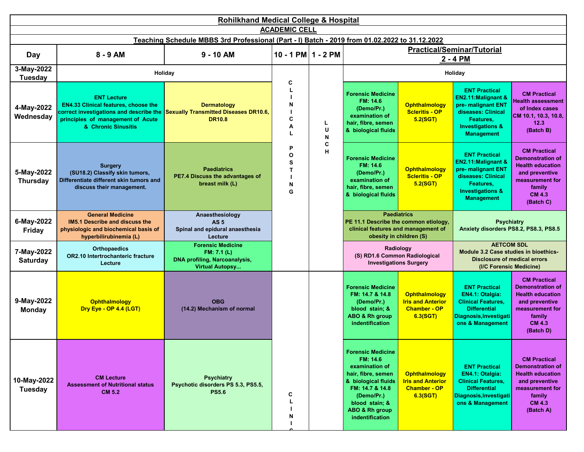| <b>Rohilkhand Medical College &amp; Hospital</b><br><b>ACADEMIC CELL</b> |                                                                                                                                                                          |                                                                                                           |                            |              |                                                                                                                                                                                             |                                                                                     |                                                                                                                                                          |                                                                                                                                                        |  |  |
|--------------------------------------------------------------------------|--------------------------------------------------------------------------------------------------------------------------------------------------------------------------|-----------------------------------------------------------------------------------------------------------|----------------------------|--------------|---------------------------------------------------------------------------------------------------------------------------------------------------------------------------------------------|-------------------------------------------------------------------------------------|----------------------------------------------------------------------------------------------------------------------------------------------------------|--------------------------------------------------------------------------------------------------------------------------------------------------------|--|--|
|                                                                          |                                                                                                                                                                          | Teaching Schedule MBBS 3rd Professional (Part - I) Batch - 2019 from 01.02.2022 to 31.12.2022             |                            |              |                                                                                                                                                                                             |                                                                                     |                                                                                                                                                          |                                                                                                                                                        |  |  |
| Day                                                                      | 8 - 9 AM                                                                                                                                                                 | $9 - 10$ AM                                                                                               | 10 - 1 PM $1 - 2$ PM       |              |                                                                                                                                                                                             |                                                                                     | <b>Practical/Seminar/Tutorial</b>                                                                                                                        |                                                                                                                                                        |  |  |
| 3-May-2022                                                               |                                                                                                                                                                          | Holiday                                                                                                   |                            |              |                                                                                                                                                                                             |                                                                                     | 2 - 4 PM<br>Holiday                                                                                                                                      |                                                                                                                                                        |  |  |
| Tuesday                                                                  |                                                                                                                                                                          |                                                                                                           | C                          |              |                                                                                                                                                                                             |                                                                                     |                                                                                                                                                          |                                                                                                                                                        |  |  |
| 4-May-2022<br>Wednesday                                                  | <b>ENT Lecture</b><br><b>EN4.33 Clinical features, choose the</b><br>correct investigations and describe the<br>principles of management of Acute<br>& Chronic Sinusitis | <b>Dermatology</b><br><b>Sexually Transmitted Diseases DR10.6,</b><br><b>DR10.8</b>                       | N<br>С<br>A<br>L           | L.<br>U<br>N | <b>Forensic Medicine</b><br>FM: 14.6<br>(Demo/Pr.)<br>examination of<br>hair, fibre, semen<br>& biological fluids                                                                           | <b>Ophthalmology</b><br><b>Scleritis - OP</b><br>5.2(SGT)                           | <b>ENT Practical</b><br>EN2.11: Malignant &<br>pre- malignant ENT<br>diseases: Clinical<br>Features.<br><b>Investigations &amp;</b><br><b>Management</b> | <b>CM Practical</b><br><b>Health assessment</b><br>of Index cases<br>CM 10.1, 10.3, 10.8,<br>12.3<br>(Batch B)                                         |  |  |
| 5-May-2022<br><b>Thursday</b>                                            | <b>Surgery</b><br>(SU18.2) Classify skin tumors,<br>Differentiate different skin tumors and<br>discuss their management.                                                 | <b>Paediatrics</b><br>PE7.4 Discuss the advantages of<br>breast milk (L)                                  | P<br>O<br>s<br>т<br>N<br>G | C<br>н       | <b>Forensic Medicine</b><br>FM: 14.6<br>(Demo/Pr.)<br>examination of<br>hair, fibre, semen<br>& biological fluids                                                                           | <b>Ophthalmology</b><br><b>Scleritis - OP</b><br>5.2(SGT)                           | <b>ENT Practical</b><br>EN2.11:Malignant &<br>pre- malignant ENT<br>diseases: Clinical<br>Features,<br><b>Investigations &amp;</b><br><b>Management</b>  | <b>CM Practical</b><br><b>Demonstration of</b><br><b>Health education</b><br>and preventive<br>measurement for<br>family<br><b>CM 4.3</b><br>(Batch C) |  |  |
| 6-May-2022<br>Friday                                                     | <b>General Medicine</b><br><b>IM5.1 Describe and discuss the</b><br>physiologic and biochemical basis of<br>hyperbilirubinemia (L)                                       | Anaesthesiology<br><b>AS 5</b><br>Spinal and epidural anaesthesia<br>Lecture                              |                            |              | PE 11.1 Describe the common etiology,<br>clinical features and management of                                                                                                                | <b>Paediatrics</b><br>obesity in children (S)                                       | <b>Psychiatry</b><br>Anxiety disorders PS8.2, PS8.3, PS8.5                                                                                               |                                                                                                                                                        |  |  |
| 7-May-2022<br><b>Saturday</b>                                            | <b>Orthopaedics</b><br>OR2.10 Intertrochanteric fracture<br>Lecture                                                                                                      | <b>Forensic Medicine</b><br>FM: 7.1 (L)<br><b>DNA profiling, Narcoanalysis,</b><br><b>Virtual Autopsy</b> |                            |              | (S) RD1.6 Common Radiological                                                                                                                                                               | Radiology<br><b>Investigations Surgery</b>                                          | <b>AETCOM SDL</b><br>Module 3.2 Case studies in bioethics-<br><b>Disclosure of medical errors</b><br>(I/C Forensic Medicine)                             |                                                                                                                                                        |  |  |
| 9-May-2022<br><b>Monday</b>                                              | Ophthalmology<br>Dry Eye - OP 4.4 (LGT)                                                                                                                                  | <b>OBG</b><br>(14.2) Mechanism of normal                                                                  |                            |              | <b>Forensic Medicine</b><br>FM: 14.7 & 14.8<br>(Demo/Pr.)<br>blood stain; &<br>ABO & Rh group<br>indentification                                                                            | <b>Ophthalmology</b><br><b>Iris and Anterior</b><br><b>Chamber - OP</b><br>6.3(SGT) | <b>ENT Practical</b><br><b>EN4.1: Otalgia:</b><br><b>Clinical Features,</b><br><b>Differential</b><br>Diagnosis, Investigati<br>ons & Management         | <b>CM Practical</b><br><b>Demonstration of</b><br><b>Health education</b><br>and preventive<br>measurement for<br>family<br><b>CM 4.3</b><br>(Batch D) |  |  |
| 10-May-2022<br><b>Tuesday</b>                                            | <b>CM Lecture</b><br><b>Assessment of Nutritional status</b><br><b>CM 5.2</b>                                                                                            | <b>Psychiatry</b><br>Psychotic disorders PS 5.3, PS5.5,<br><b>PS5.6</b>                                   | C<br>N                     |              | <b>Forensic Medicine</b><br>FM: 14.6<br>examination of<br>hair, fibre, semen<br>& biological fluids<br>FM: 14.7 & 14.8<br>(Demo/Pr.)<br>blood stain; &<br>ABO & Rh group<br>indentification | <b>Ophthalmology</b><br><b>Iris and Anterior</b><br><b>Chamber - OP</b><br>6.3(SGT) | <b>ENT Practical</b><br><b>EN4.1: Otalgia:</b><br><b>Clinical Features,</b><br><b>Differential</b><br>Diagnosis, Investigati<br>ons & Management         | <b>CM Practical</b><br><b>Demonstration of</b><br><b>Health education</b><br>and preventive<br>measurement for<br>family<br><b>CM 4.3</b><br>(Batch A) |  |  |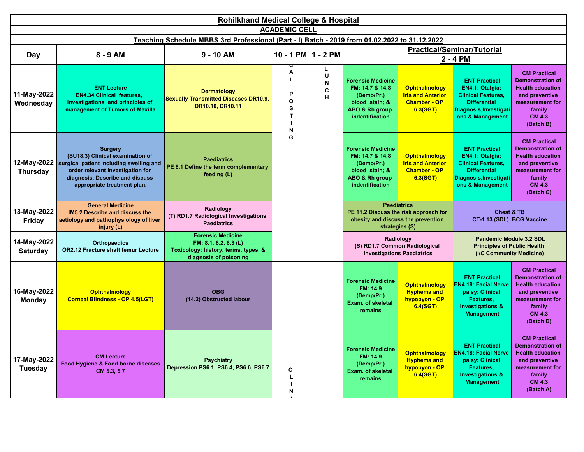|                                | <b>Rohilkhand Medical College &amp; Hospital</b>                                                                                                                                                                |                                                                                                                     |                            |                  |                                                                                                                             |                                                                                     |                                                                                                                                           |                                                                                                                                                        |  |  |  |
|--------------------------------|-----------------------------------------------------------------------------------------------------------------------------------------------------------------------------------------------------------------|---------------------------------------------------------------------------------------------------------------------|----------------------------|------------------|-----------------------------------------------------------------------------------------------------------------------------|-------------------------------------------------------------------------------------|-------------------------------------------------------------------------------------------------------------------------------------------|--------------------------------------------------------------------------------------------------------------------------------------------------------|--|--|--|
|                                |                                                                                                                                                                                                                 |                                                                                                                     | <b>ACADEMIC CELL</b>       |                  |                                                                                                                             |                                                                                     |                                                                                                                                           |                                                                                                                                                        |  |  |  |
|                                |                                                                                                                                                                                                                 | Teaching Schedule MBBS 3rd Professional (Part - I) Batch - 2019 from 01.02.2022 to 31.12.2022                       |                            |                  |                                                                                                                             |                                                                                     |                                                                                                                                           |                                                                                                                                                        |  |  |  |
| Day                            | 8 - 9 AM                                                                                                                                                                                                        | $9 - 10$ AM                                                                                                         | 10 - 1 PM 1 - 2 PM         |                  |                                                                                                                             |                                                                                     | <b>Practical/Seminar/Tutorial</b>                                                                                                         |                                                                                                                                                        |  |  |  |
|                                |                                                                                                                                                                                                                 |                                                                                                                     |                            | L                |                                                                                                                             |                                                                                     | 2 - 4 PM                                                                                                                                  |                                                                                                                                                        |  |  |  |
| 11-May-2022<br>Wednesday       | <b>ENT Lecture</b><br><b>EN4.34 Clinical features,</b><br>investigations and principles of<br>management of Tumors of Maxilla                                                                                   | <b>Dermatology</b><br><b>Sexually Transmitted Diseases DR10.9,</b><br>DR10.10, DR10.11                              | A<br>Р<br>O<br>s<br>T<br>N | U<br>N<br>C<br>н | <b>Forensic Medicine</b><br>FM: 14.7 & 14.8<br>(Demo/Pr.)<br>blood stain; &<br><b>ABO &amp; Rh group</b><br>indentification | Ophthalmology<br><b>Iris and Anterior</b><br><b>Chamber - OP</b><br>6.3(SGT)        | <b>ENT Practical</b><br>EN4.1: Otalgia:<br><b>Clinical Features,</b><br><b>Differential</b><br>Diagnosis, Investigati<br>ons & Management | <b>CM Practical</b><br><b>Demonstration of</b><br><b>Health education</b><br>and preventive<br>measurement for<br>family<br><b>CM 4.3</b><br>(Batch B) |  |  |  |
| <b>Thursday</b>                | <b>Surgery</b><br>(SU18.3) Clinical examination of<br>12-May-2022 surgical patient including swelling and<br>order relevant investigation for<br>diagnosis. Describe and discuss<br>appropriate treatment plan. | <b>Paediatrics</b><br>PE 8.1 Define the term complementary<br>feeding (L)                                           | G                          |                  | <b>Forensic Medicine</b><br>FM: 14.7 & 14.8<br>(Demo/Pr.)<br>blood stain; &<br>ABO & Rh group<br>indentification            | <b>Ophthalmology</b><br><b>Iris and Anterior</b><br><b>Chamber - OP</b><br>6.3(SGT) | <b>ENT Practical</b><br>EN4.1: Otalgia:<br><b>Clinical Features.</b><br><b>Differential</b><br>Diagnosis, Investigati<br>ons & Management | <b>CM Practical</b><br><b>Demonstration of</b><br><b>Health education</b><br>and preventive<br>measurement for<br>family<br><b>CM 4.3</b><br>(Batch C) |  |  |  |
| 13-May-2022<br><b>Friday</b>   | <b>General Medicine</b><br>IM5.2 Describe and discuss the<br>aetiology and pathophysiology of liver<br>injury (L)                                                                                               | Radiology<br>(T) RD1.7 Radiological Investigations<br><b>Paediatrics</b>                                            |                            |                  | PE 11.2 Discuss the risk approach for<br>obesity and discuss the prevention                                                 | <b>Paediatrics</b><br>strategies (S)                                                | <b>Chest &amp; TB</b><br>CT-1.13 (SDL) BCG Vaccine                                                                                        |                                                                                                                                                        |  |  |  |
| 14-May-2022<br><b>Saturday</b> | <b>Orthopaedics</b><br><b>OR2.12 Fracture shaft femur Lecture</b>                                                                                                                                               | <b>Forensic Medicine</b><br>FM: 8.1, 8.2, 8.3 (L)<br>Toxicology: history, terms, types, &<br>diagnosis of poisoning |                            |                  | (S) RD1.7 Common Radiological                                                                                               | Radiology<br><b>Investigations Paediatrics</b>                                      | Pandemic Module 3.2 SDL<br><b>Principles of Public Health</b><br>(I/C Community Medicine)                                                 |                                                                                                                                                        |  |  |  |
| 16-May-2022<br><b>Monday</b>   | <b>Ophthalmology</b><br><b>Corneal Blindness - OP 4.5(LGT)</b>                                                                                                                                                  | <b>OBG</b><br>(14.2) Obstructed labour                                                                              |                            |                  | <b>Forensic Medicine</b><br>FM: 14.9<br>(Demp/Pr.)<br><b>Exam. of skeletal</b><br>remains                                   | <b>Ophthalmology</b><br><b>Hyphema and</b><br>hypopyon - OP<br>6.4(SGT)             | <b>ENT Practical</b><br><b>EN4.18: Facial Nerve</b><br>palsy: Clinical<br>Features,<br><b>Investigations &amp;</b><br><b>Management</b>   | <b>CM Practical</b><br><b>Demonstration of</b><br><b>Health education</b><br>and preventive<br>measurement for<br>family<br><b>CM 4.3</b><br>(Batch D) |  |  |  |
| 17-May-2022<br><b>Tuesday</b>  | <b>CM Lecture</b><br>Food Hygiene & Food borne diseases<br>CM 5.3, 5.7                                                                                                                                          | <b>Psychiatry</b><br>Depression PS6.1, PS6.4, PS6.6, PS6.7                                                          | C<br>L<br>N                |                  | <b>Forensic Medicine</b><br>FM: 14.9<br>(Demp/Pr.)<br>Exam. of skeletal<br>remains                                          | <b>Ophthalmology</b><br><b>Hyphema and</b><br>hypopyon - OP<br>6.4(SGT)             | <b>ENT Practical</b><br><b>EN4.18: Facial Nerve</b><br>palsy: Clinical<br>Features,<br><b>Investigations &amp;</b><br><b>Management</b>   | <b>CM Practical</b><br><b>Demonstration of</b><br><b>Health education</b><br>and preventive<br>measurement for<br>family<br><b>CM 4.3</b><br>(Batch A) |  |  |  |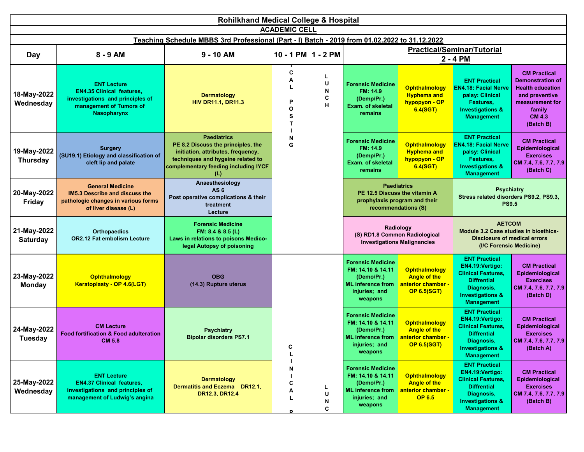|                                | <b>Rohilkhand Medical College &amp; Hospital</b>                                                                                            |                                                                                                                                                                                    |                                   |                       |                                                                                                                     |                                                                                         |                                                                                                                                                               |                                                                                                                                                        |  |  |  |
|--------------------------------|---------------------------------------------------------------------------------------------------------------------------------------------|------------------------------------------------------------------------------------------------------------------------------------------------------------------------------------|-----------------------------------|-----------------------|---------------------------------------------------------------------------------------------------------------------|-----------------------------------------------------------------------------------------|---------------------------------------------------------------------------------------------------------------------------------------------------------------|--------------------------------------------------------------------------------------------------------------------------------------------------------|--|--|--|
|                                |                                                                                                                                             |                                                                                                                                                                                    | <b>ACADEMIC CELL</b>              |                       |                                                                                                                     |                                                                                         |                                                                                                                                                               |                                                                                                                                                        |  |  |  |
|                                |                                                                                                                                             | Teaching Schedule MBBS 3rd Professional (Part - I) Batch - 2019 from 01.02.2022 to 31.12.2022                                                                                      |                                   |                       |                                                                                                                     |                                                                                         | <b>Practical/Seminar/Tutorial</b>                                                                                                                             |                                                                                                                                                        |  |  |  |
| Day                            | 8 - 9 AM                                                                                                                                    | $9 - 10$ AM                                                                                                                                                                        | 10 - 1 PM $1 - 2$ PM              |                       |                                                                                                                     |                                                                                         | 2 - 4 PM                                                                                                                                                      |                                                                                                                                                        |  |  |  |
| 18-May-2022<br>Wednesday       | <b>ENT Lecture</b><br><b>EN4.35 Clinical features,</b><br>investigations and principles of<br>management of Tumors of<br><b>Nasopharynx</b> | <b>Dermatology</b><br><b>HIV DR11.1, DR11.3</b>                                                                                                                                    | C<br>А<br>P<br>$\Omega$<br>S<br>Т | L<br>U<br>N<br>C<br>н | <b>Forensic Medicine</b><br>FM: 14.9<br>(Demp/Pr.)<br>Exam. of skeletal<br>remains                                  | Ophthalmology<br><b>Hyphema and</b><br>hypopyon - OP<br>6.4(SGT)                        | <b>ENT Practical</b><br><b>EN4.18: Facial Nerve</b><br>palsy: Clinical<br>Features,<br><b>Investigations &amp;</b><br><b>Management</b>                       | <b>CM Practical</b><br><b>Demonstration of</b><br><b>Health education</b><br>and preventive<br>measurement for<br>family<br><b>CM 4.3</b><br>(Batch B) |  |  |  |
| 19-May-2022<br><b>Thursday</b> | <b>Surgery</b><br>(SU19.1) Etiology and classification of<br>cleft lip and palate                                                           | <b>Paediatrics</b><br>PE 8.2 Discuss the principles, the<br>initiation, attributes, frequency,<br>techniques and hygeine related to<br>complementary feeding including IYCF<br>(L) | N<br>G                            |                       | <b>Forensic Medicine</b><br>FM: 14.9<br>(Demp/Pr.)<br><b>Exam. of skeletal</b><br>remains                           | <b>Ophthalmology</b><br><b>Hyphema and</b><br>hypopyon - OP<br>6.4(SGT)                 | <b>ENT Practical</b><br><b>EN4.18: Facial Nerve</b><br>palsy: Clinical<br>Features,<br><b>Investigations &amp;</b><br><b>Management</b>                       | <b>CM Practical</b><br>Epidemiological<br><b>Exercises</b><br>CM 7.4, 7.6, 7.7, 7.9<br>(Batch C)                                                       |  |  |  |
| 20-May-2022<br><b>Friday</b>   | <b>General Medicine</b><br>IM5.3 Describe and discuss the<br>pathologic changes in various forms<br>of liver disease (L)                    | Anaesthesiology<br>AS <sub>6</sub><br>Post operative complications & their<br>treatment<br>Lecture                                                                                 |                                   |                       | PE 12.5 Discuss the vitamin A<br>prophylaxis program and their                                                      | <b>Paediatrics</b><br>recommendations (S)                                               | <b>Psychiatry</b><br>Stress related disorders PS9.2, PS9.3,<br><b>PS9.5</b>                                                                                   |                                                                                                                                                        |  |  |  |
| 21-May-2022<br><b>Saturday</b> | <b>Orthopaedics</b><br><b>OR2.12 Fat embolism Lecture</b>                                                                                   | <b>Forensic Medicine</b><br>FM: 8.4 & 8.5 (L)<br>Laws in relations to poisons Medico-<br>legal Autopsy of poisoning                                                                |                                   |                       | (S) RD1.8 Common Radiological                                                                                       | Radiology<br><b>Investigations Malignancies</b>                                         | <b>AETCOM</b><br>Module 3.2 Case studies in bioethics-<br><b>Disclosure of medical errors</b><br>(I/C Forensic Medicine)                                      |                                                                                                                                                        |  |  |  |
| 23-May-2022<br><b>Monday</b>   | <b>Ophthalmology</b><br><b>Keratoplasty - OP 4.6(LGT)</b>                                                                                   | <b>OBG</b><br>(14.3) Rupture uterus                                                                                                                                                |                                   |                       | <b>Forensic Medicine</b><br>FM: 14.10 & 14.11<br>(Demo/Pr.)<br><b>ML</b> inference from<br>injuries; and<br>weapons | <b>Ophthalmology</b><br><b>Angle of the</b><br>anterior chamber -<br><b>OP 6.5(SGT)</b> | <b>ENT Practical</b><br>EN4.19: Vertigo:<br><b>Clinical Features,</b><br><b>Diffrential</b><br>Diagnosis,<br><b>Investigations &amp;</b><br><b>Management</b> | <b>CM Practical</b><br>Epidemiological<br><b>Exercises</b><br>CM 7.4, 7.6, 7.7, 7.9<br>(Batch D)                                                       |  |  |  |
| 24-May-2022<br><b>Tuesday</b>  | <b>CM Lecture</b><br><b>Food fortification &amp; Food adulteration</b><br><b>CM 5.8</b>                                                     | <b>Psychiatry</b><br><b>Bipolar disorders PS7.1</b>                                                                                                                                | C                                 |                       | <b>Forensic Medicine</b><br>FM: 14.10 & 14.11<br>(Demo/Pr.)<br><b>ML</b> inference from<br>injuries; and<br>weapons | <b>Ophthalmology</b><br><b>Angle of the</b><br>anterior chamber -<br><b>OP 6.5(SGT)</b> | <b>ENT Practical</b><br>EN4.19: Vertigo:<br><b>Clinical Features,</b><br><b>Diffrential</b><br>Diagnosis,<br><b>Investigations &amp;</b><br><b>Management</b> | <b>CM Practical</b><br>Epidemiological<br><b>Exercises</b><br>CM 7.4, 7.6, 7.7, 7.9<br>(Batch A)                                                       |  |  |  |
| 25-May-2022<br>Wednesday       | <b>ENT Lecture</b><br><b>EN4.37 Clinical features,</b><br>investigations and principles of<br>management of Ludwig's angina                 | <b>Dermatology</b><br>Dermatitis and Eczema DR12.1,<br>DR12.3, DR12.4                                                                                                              | N<br>С<br>А                       | L<br>U<br>N<br>С      | <b>Forensic Medicine</b><br>FM: 14.10 & 14.11<br>(Demo/Pr.)<br><b>ML</b> inference from<br>injuries; and<br>weapons | <b>Ophthalmology</b><br><b>Angle of the</b><br>anterior chamber -<br><b>OP 6.5</b>      | <b>ENT Practical</b><br>EN4.19: Vertigo:<br><b>Clinical Features,</b><br><b>Diffrential</b><br>Diagnosis,<br><b>Investigations &amp;</b><br><b>Management</b> | <b>CM Practical</b><br>Epidemiological<br><b>Exercises</b><br>CM 7.4, 7.6, 7.7, 7.9<br>(Batch B)                                                       |  |  |  |

 **H**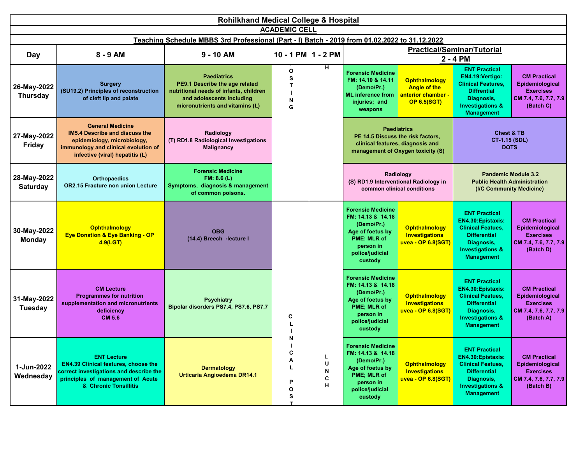|                                | <b>Rohilkhand Medical College &amp; Hospital</b>                                                                                                                           |                                                                                                                                                                |                                             |                       |                                                                                                                                                   |                                                                                             |                                                                                                                                                                        |                                                                                                  |  |  |  |
|--------------------------------|----------------------------------------------------------------------------------------------------------------------------------------------------------------------------|----------------------------------------------------------------------------------------------------------------------------------------------------------------|---------------------------------------------|-----------------------|---------------------------------------------------------------------------------------------------------------------------------------------------|---------------------------------------------------------------------------------------------|------------------------------------------------------------------------------------------------------------------------------------------------------------------------|--------------------------------------------------------------------------------------------------|--|--|--|
|                                | <b>ACADEMIC CELL</b><br>Teaching Schedule MBBS 3rd Professional (Part - I) Batch - 2019 from 01.02.2022 to 31.12.2022                                                      |                                                                                                                                                                |                                             |                       |                                                                                                                                                   |                                                                                             |                                                                                                                                                                        |                                                                                                  |  |  |  |
|                                |                                                                                                                                                                            |                                                                                                                                                                |                                             |                       |                                                                                                                                                   |                                                                                             |                                                                                                                                                                        |                                                                                                  |  |  |  |
| Day                            | 8 - 9 AM                                                                                                                                                                   | $9 - 10$ AM                                                                                                                                                    | $10 - 1$ PM $1 - 2$ PM                      |                       |                                                                                                                                                   |                                                                                             | <b>Practical/Seminar/Tutorial</b><br>2 - 4 PM                                                                                                                          |                                                                                                  |  |  |  |
| 26-May-2022<br><b>Thursday</b> | <b>Surgery</b><br>(SU19.2) Principles of reconstruction<br>of cleft lip and palate                                                                                         | <b>Paediatrics</b><br>PE9.1 Describe the age related<br>nutritional needs of infants, children<br>and adolescents including<br>micronutrients and vitamins (L) | $\mathbf{o}$<br>s<br>$\mathbf{T}$<br>N<br>G | н                     | <b>Forensic Medicine</b><br>FM: 14.10 & 14.11<br>(Demo/Pr.)<br><b>ML</b> inference from<br>injuries; and<br>weapons                               | <b>Ophthalmology</b><br><b>Angle of the</b><br>anterior chamber -<br><b>OP 6.5(SGT)</b>     | <b>ENT Practical</b><br>EN4.19:Vertigo:<br><b>Clinical Features,</b><br><b>Diffrential</b><br>Diagnosis,<br><b>Investigations &amp;</b><br><b>Management</b>           | <b>CM Practical</b><br>Epidemiological<br><b>Exercises</b><br>CM 7.4, 7.6, 7.7, 7.9<br>(Batch C) |  |  |  |
| 27-May-2022<br><b>Friday</b>   | <b>General Medicine</b><br>IM5.4 Describe and discuss the<br>epidemiology, microbiology,<br>immunology and clinical evolution of<br>infective (viral) hepatitis (L)        | Radiology<br>(T) RD1.8 Radiological Investigations<br><b>Malignancy</b>                                                                                        |                                             |                       | PE 14.5 Discuss the risk factors,                                                                                                                 | <b>Paediatrics</b><br>clinical features, diagnosis and<br>management of Oxygen toxicity (S) | <b>Chest &amp; TB</b><br>CT-1.15 (SDL)<br><b>DOTS</b>                                                                                                                  |                                                                                                  |  |  |  |
| 28-May-2022<br><b>Saturday</b> | <b>Orthopaedics</b><br><b>OR2.15 Fracture non union Lecture</b>                                                                                                            | <b>Forensic Medicine</b><br>FM: 8.6(L)<br>Symptoms, diagnosis & management<br>of common poisons.                                                               |                                             |                       |                                                                                                                                                   | Radiology<br>(S) RD1.9 Interventional Radiology in<br>common clinical conditions            | <b>Public Health Administration</b><br>(I/C Community Medicine)                                                                                                        | <b>Pandemic Module 3.2</b>                                                                       |  |  |  |
| 30-May-2022<br><b>Monday</b>   | <b>Ophthalmology</b><br><b>Eye Donation &amp; Eye Banking - OP</b><br>4.9(LGT)                                                                                             | <b>OBG</b><br>(14.4) Breech -lecture I                                                                                                                         |                                             |                       | <b>Forensic Medicine</b><br>FM: 14.13 & 14.18<br>(Demo/Pr.)<br>Age of foetus by<br>PME; MLR of<br>person in<br>police/judicial<br>custody         | <b>Ophthalmology</b><br><b>Investigations</b><br>uvea - OP 6.8(SGT)                         | <b>ENT Practical</b><br>EN4.30: Epistaxis:<br><b>Clinical Featues,</b><br><b>Differential</b><br>Diagnosis,<br><b>Investigations &amp;</b><br><b>Management</b>        | <b>CM Practical</b><br>Epidemiological<br><b>Exercises</b><br>CM 7.4, 7.6, 7.7, 7.9<br>(Batch D) |  |  |  |
| 31-May-2022<br><b>Tuesday</b>  | <b>CM Lecture</b><br><b>Programmes for nutrition</b><br>supplementation and micronutrients<br>deficiency<br><b>CM 5.6</b>                                                  | <b>Psychiatry</b><br>Bipolar disorders PS7.4, PS7.6, PS7.7                                                                                                     | C                                           |                       | <b>Forensic Medicine</b><br>FM: 14.13 & 14.18<br>(Demo/Pr.)<br>Age of foetus by<br><b>PME</b> ; MLR of<br>person in<br>police/judicial<br>custody | Ophthalmology<br>Investigations<br>uvea - OP 6.8(SGT) <mark>I</mark>                        | <b>ENT Practical</b><br><b>EN4.30:Epistaxis:</b><br><b>Clinical Featues,</b><br><b>Differential</b><br>Diagnosis,<br><b>Investigations &amp;</b><br><b>Management</b>  | <b>CM Practical</b><br>Epidemiological<br><b>Exercises</b><br>CM 7.4, 7.6, 7.7, 7.9<br>(Batch A) |  |  |  |
| 1-Jun-2022<br>Wednesday        | <b>ENT Lecture</b><br><b>EN4.39 Clinical features, choose the</b><br>correct investigations and describe the<br>principles of management of Acute<br>& Chronic Tonsillitis | <b>Dermatology</b><br>Urticaria Angioedema DR14.1                                                                                                              | N<br>С<br>Α<br>L<br>P<br>O<br>s<br>T        | L<br>U<br>N<br>С<br>н | <b>Forensic Medicine</b><br>FM: 14.13 & 14.18<br>(Demo/Pr.)<br>Age of foetus by<br>PME; MLR of<br>person in<br>police/judicial<br>custody         | <b>Ophthalmology</b><br>Investigations<br>uvea - OP 6.8(SGT) <mark>I</mark>                 | <b>ENT Practical</b><br><b>EN4.30: Epistaxis:</b><br><b>Clinical Featues,</b><br><b>Differential</b><br>Diagnosis,<br><b>Investigations &amp;</b><br><b>Management</b> | <b>CM Practical</b><br>Epidemiological<br><b>Exercises</b><br>CM 7.4, 7.6, 7.7, 7.9<br>(Batch B) |  |  |  |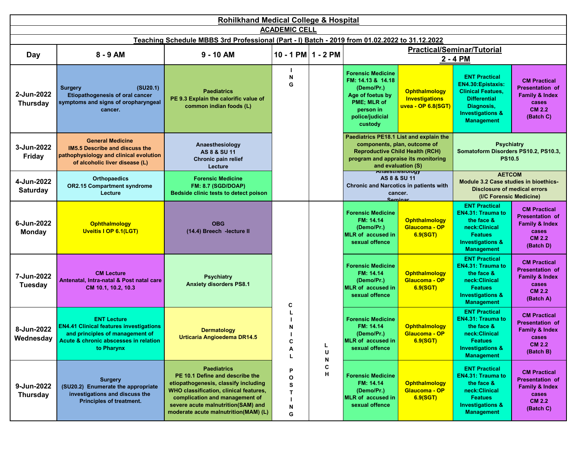|                               | <b>Rohilkhand Medical College &amp; Hospital</b><br><b>ACADEMIC CELL</b>                                                                                       |                                                                                                                                                                                                                                                         |                            |        |                                                                                                                                                          |                                                                     |                                                                                                                                                                |                                                                                                                   |  |  |
|-------------------------------|----------------------------------------------------------------------------------------------------------------------------------------------------------------|---------------------------------------------------------------------------------------------------------------------------------------------------------------------------------------------------------------------------------------------------------|----------------------------|--------|----------------------------------------------------------------------------------------------------------------------------------------------------------|---------------------------------------------------------------------|----------------------------------------------------------------------------------------------------------------------------------------------------------------|-------------------------------------------------------------------------------------------------------------------|--|--|
|                               |                                                                                                                                                                |                                                                                                                                                                                                                                                         |                            |        |                                                                                                                                                          |                                                                     |                                                                                                                                                                |                                                                                                                   |  |  |
|                               |                                                                                                                                                                | Teaching Schedule MBBS 3rd Professional (Part - I) Batch - 2019 from 01.02.2022 to 31.12.2022                                                                                                                                                           |                            |        |                                                                                                                                                          |                                                                     | <b>Practical/Seminar/Tutorial</b>                                                                                                                              |                                                                                                                   |  |  |
| Day                           | 8 - 9 AM                                                                                                                                                       | $9 - 10$ AM                                                                                                                                                                                                                                             | $10 - 1$ PM $1 - 2$ PM     |        |                                                                                                                                                          |                                                                     | 2 - 4 PM                                                                                                                                                       |                                                                                                                   |  |  |
| 2-Jun-2022<br><b>Thursday</b> | (SU20.1)<br><b>Surgery</b><br>Etiopathogenesis of oral cancer<br>symptoms and signs of oropharyngeal<br>cancer.                                                | <b>Paediatrics</b><br>PE 9.3 Explain the calorific value of<br>common indian foods (L)                                                                                                                                                                  | N<br>G                     |        | <b>Forensic Medicine</b><br>FM: 14.13 & 14.18<br>(Demo/Pr.)<br>Age of foetus by<br>PME; MLR of<br>person in<br>police/judicial<br>custody                | <b>Ophthalmology</b><br><b>Investigations</b><br>uvea - OP 6.8(SGT) | <b>ENT Practical</b><br>EN4.30:Epistaxis:<br><b>Clinical Featues,</b><br><b>Differential</b><br>Diagnosis,<br><b>Investigations &amp;</b><br><b>Management</b> | <b>CM Practical</b><br><b>Presentation of</b><br><b>Family &amp; Index</b><br>cases<br><b>CM 2.2</b><br>(Batch C) |  |  |
| 3-Jun-2022<br>Friday          | <b>General Medicine</b><br><b>IM5.5 Describe and discuss the</b><br>pathophysiology and clinical evolution<br>of alcoholic liver disease (L)                   | Anaesthesiology<br>AS 8 & SU 11<br>Chronic pain relief<br>Lecture                                                                                                                                                                                       |                            |        | Paediatrics PE18.1 List and explain the<br>components, plan, outcome of<br><b>Reproductive Child Health (RCH)</b><br>program and appraise its monitoring | and evaluation (S)                                                  | <b>Psychiatry</b><br>Somatoform Disorders PS10.2, PS10.3,<br><b>PS10.5</b>                                                                                     |                                                                                                                   |  |  |
| 4-Jun-2022<br><b>Saturday</b> | <b>Orthopaedics</b><br><b>OR2.15 Compartment syndrome</b><br>Lecture                                                                                           | <b>Forensic Medicine</b><br><b>FM: 8.7 (SGD/DOAP)</b><br>Bedside clinic tests to detect poison                                                                                                                                                          |                            |        | <b>Anaesthesiology</b><br><b>Chronic and Narcotics in patients with</b>                                                                                  | AS 8 & SU 11<br>cancer.<br>Saminar                                  | <b>AETCOM</b><br>Module 3.2 Case studies in bioethics-<br><b>Disclosure of medical errors</b><br>(I/C Forensic Medicine)                                       |                                                                                                                   |  |  |
| 6-Jun-2022<br>Monday          | Ophthalmology<br><b>Uveitis I OP 6.1(LGT)</b>                                                                                                                  | <b>OBG</b><br>(14.4) Breech -lecture II                                                                                                                                                                                                                 |                            |        | <b>Forensic Medicine</b><br>FM: 14.14<br>(Demo/Pr.)<br><b>MLR</b> of accused in<br>sexual offence                                                        | <b>Ophthalmology</b><br>Glaucoma - OP<br>6.9(SGT)                   | <b>ENT Practical</b><br><b>EN4.31: Trauma to</b><br>the face &<br>neck:Clinical<br><b>Featues</b><br><b>Investigations &amp;</b><br><b>Management</b>          | <b>CM Practical</b><br><b>Presentation of</b><br><b>Family &amp; Index</b><br>cases<br><b>CM 2.2</b><br>(Batch D) |  |  |
| 7-Jun-2022<br><b>Tuesday</b>  | <b>CM Lecture</b><br>Antenatal, Intra-natal & Post natal care<br>CM 10.1, 10.2, 10.3                                                                           | <b>Psychiatry</b><br><b>Anxiety disorders PS8.1</b>                                                                                                                                                                                                     | C                          |        | <b>Forensic Medicine</b><br>FM: 14.14<br>(Demo/Pr.)<br><b>MLR</b> of accused in<br>sexual offence                                                        | <b>Ophthalmology</b><br>Glaucoma - OP<br>6.9(SGT)                   | <b>ENT Practical</b><br><b>EN4.31: Trauma to</b><br>the face &<br>neck:Clinical<br><b>Featues</b><br><b>Investigations &amp;</b><br><b>Management</b>          | <b>CM Practical</b><br><b>Presentation of</b><br><b>Family &amp; Index</b><br>cases<br><b>CM 2.2</b><br>(Batch A) |  |  |
| 8-Jun-2022<br>Wednesday       | <b>ENT Lecture</b><br><b>EN4.41 Clinical features investigations</b><br>and principles of management of<br>Acute & chronic abscesses in relation<br>to Pharynx | <b>Dermatology</b><br>Urticaria Angioedema DR14.5                                                                                                                                                                                                       | N<br>C<br>Α                | U<br>N | <b>Forensic Medicine</b><br>FM: 14.14<br>(Demo/Pr.)<br>MLR of accused in<br>sexual offence                                                               | <b>Ophthalmology</b><br>Glaucoma - OP<br>6.9(SGT)                   | <b>ENT Practical</b><br><b>EN4.31: Trauma to</b><br>the face &<br>neck:Clinical<br><b>Featues</b><br><b>Investigations &amp;</b><br><b>Management</b>          | <b>CM Practical</b><br>Presentation of<br>Family & Index<br>cases<br><b>CM 2.2</b><br>(Batch B)                   |  |  |
| 9-Jun-2022<br><b>Thursday</b> | <b>Surgery</b><br>(SU20.2) Enumerate the appropriate<br>investigations and discuss the<br><b>Principles of treatment.</b>                                      | <b>Paediatrics</b><br>PE 10.1 Define and describe the<br>etiopathogenesis, classify including<br>WHO classification, clinical features,<br>complication and management of<br>severe acute malnutrition(SAM) and<br>moderate acute malnutrition(MAM) (L) | P<br>O<br>S<br>Т<br>N<br>G | C<br>Н | <b>Forensic Medicine</b><br>FM: 14.14<br>(Demo/Pr.)<br><b>MLR</b> of accused in<br>sexual offence                                                        | <b>Ophthalmology</b><br>Glaucoma - OP<br>6.9(SGT)                   | <b>ENT Practical</b><br><b>EN4.31: Trauma to</b><br>the face &<br>neck:Clinical<br><b>Featues</b><br><b>Investigations &amp;</b><br><b>Management</b>          | <b>CM Practical</b><br><b>Presentation</b> of<br><b>Family &amp; Index</b><br>cases<br><b>CM 2.2</b><br>(Batch C) |  |  |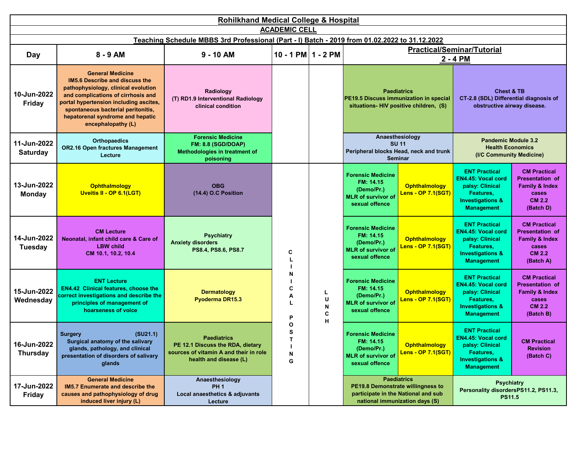|                                | Rohilkhand Medical College & Hospital                                                                                                                                                                                                                                                   |                                                                                                                            |                        |                        |                                                                                                        |                                                                                                                                  |                                                                                                                                       |                                                                                                                   |  |  |  |
|--------------------------------|-----------------------------------------------------------------------------------------------------------------------------------------------------------------------------------------------------------------------------------------------------------------------------------------|----------------------------------------------------------------------------------------------------------------------------|------------------------|------------------------|--------------------------------------------------------------------------------------------------------|----------------------------------------------------------------------------------------------------------------------------------|---------------------------------------------------------------------------------------------------------------------------------------|-------------------------------------------------------------------------------------------------------------------|--|--|--|
|                                | <b>ACADEMIC CELL</b><br>Teaching Schedule MBBS 3rd Professional (Part - I) Batch - 2019 from 01.02.2022 to 31.12.2022                                                                                                                                                                   |                                                                                                                            |                        |                        |                                                                                                        |                                                                                                                                  |                                                                                                                                       |                                                                                                                   |  |  |  |
|                                |                                                                                                                                                                                                                                                                                         |                                                                                                                            |                        |                        |                                                                                                        |                                                                                                                                  |                                                                                                                                       |                                                                                                                   |  |  |  |
| Day                            | 8 - 9 AM                                                                                                                                                                                                                                                                                | $9 - 10$ AM                                                                                                                | $10 - 1$ PM $1 - 2$ PM |                        | <b>Practical/Seminar/Tutorial</b><br>2 - 4 PM                                                          |                                                                                                                                  |                                                                                                                                       |                                                                                                                   |  |  |  |
| 10-Jun-2022<br><b>Friday</b>   | <b>General Medicine</b><br><b>IM5.6 Describe and discuss the</b><br>pathophysiology, clinical evolution<br>and complications of cirrhosis and<br>portal hypertension including ascites,<br>spontaneous bacterial peritonitis,<br>hepatorenal syndrome and hepatic<br>encephalopathy (L) | Radiology<br>(T) RD1.9 Interventional Radiology<br>clinical condition                                                      |                        |                        | <b>Paediatrics</b><br>PE19.5 Discuss immunization in special<br>situations- HIV positive children, (S) |                                                                                                                                  | <b>Chest &amp; TB</b><br>CT-2.8 (SDL) Differential diagnosis of<br>obstructive airway disease.                                        |                                                                                                                   |  |  |  |
| 11-Jun-2022<br><b>Saturday</b> | <b>Orthopaedics</b><br><b>OR2.16 Open fractures Management</b><br>Lecture                                                                                                                                                                                                               | <b>Forensic Medicine</b><br><b>FM: 8.8 (SGD/DOAP)</b><br>Methodologies in treatment of<br>poisoning                        |                        |                        |                                                                                                        | Anaesthesiology<br><b>SU 11</b><br>Peripheral blocks Head, neck and trunk<br><b>Seminar</b>                                      | <b>Pandemic Module 3.2</b><br><b>Health Economics</b><br>(I/C Community Medicine)                                                     |                                                                                                                   |  |  |  |
| 13-Jun-2022<br><b>Monday</b>   | Ophthalmology<br>Uveitis II - OP 6.1(LGT)                                                                                                                                                                                                                                               | <b>OBG</b><br>(14.4) O.C Position                                                                                          |                        |                        | <b>Forensic Medicine</b><br>FM: 14.15<br>(Demo/Pr.)<br><b>MLR</b> of survivor of<br>sexual offence     | <b>Ophthalmology</b><br>Lens - OP 7.1(SGT) I                                                                                     | <b>ENT Practical</b><br><b>EN4.45: Vocal cord</b><br>palsy: Clinical<br>Features,<br><b>Investigations &amp;</b><br><b>Management</b> | <b>CM Practical</b><br><b>Presentation of</b><br><b>Family &amp; Index</b><br>cases<br><b>CM 2.2</b><br>(Batch D) |  |  |  |
| 14-Jun-2022<br><b>Tuesday</b>  | <b>CM Lecture</b><br>Neonatal, infant child care & Care of<br><b>LBW child</b><br>CM 10.1, 10.2, 10.4                                                                                                                                                                                   | <b>Psychiatry</b><br><b>Anxiety disorders</b><br>PS8.4, PS8.6, PS8.7                                                       | C                      |                        | <b>Forensic Medicine</b><br>FM: 14.15<br>(Demo/Pr.)<br><b>MLR</b> of survivor of<br>sexual offence     | <b>Ophthalmology</b><br>Lens - OP 7.1(SGT)                                                                                       | <b>ENT Practical</b><br><b>EN4.45: Vocal cord</b><br>palsy: Clinical<br>Features,<br><b>Investigations &amp;</b><br><b>Management</b> | <b>CM Practical</b><br>Presentation of<br><b>Family &amp; Index</b><br>cases<br><b>CM 2.2</b><br>(Batch A)        |  |  |  |
| 15-Jun-2022<br>Wednesday       | <b>ENT Lecture</b><br><b>EN4.42 Clinical features, choose the</b><br>correct investigations and describe the<br>principles of management of<br>hoarseness of voice                                                                                                                      | <b>Dermatology</b><br>Pyoderma DR15.3                                                                                      | N<br>C<br>А<br>Р       | L.<br>U<br>N<br>C<br>H | <b>Forensic Medicine</b><br>FM: 14.15<br>(Demo/Pr.)<br><b>MLR of survivor of</b><br>sexual offence     | <b>Ophthalmology</b><br>Lens - OP 7.1(SGT) I                                                                                     | <b>ENT Practical</b><br><b>EN4.45: Vocal cord</b><br>palsy: Clinical<br>Features,<br><b>Investigations &amp;</b><br><b>Management</b> | <b>CM Practical</b><br>Presentation of<br><b>Family &amp; Index</b><br>cases<br><b>CM 2.2</b><br>(Batch B)        |  |  |  |
| 16-Jun-2022<br><b>Thursday</b> | (SU21.1)<br><b>Surgery</b><br>Surgical anatomy of the salivary<br>glands, pathology, and clinical<br>presentation of disorders of salivary<br>glands                                                                                                                                    | <b>Paediatrics</b><br>PE 12.1 Discuss the RDA, dietary<br>sources of vitamin A and their in role<br>health and disease (L) | O<br>s<br>Т<br>N<br>G  |                        | <b>Forensic Medicine</b><br>FM: 14.15<br>(Demo/Pr.)<br><b>MLR</b> of survivor of<br>sexual offence     | <b>Ophthalmology</b><br>Lens - OP $7.1(SGT)$                                                                                     | <b>ENT Practical</b><br><b>EN4.45: Vocal cord</b><br>palsy: Clinical<br>Features,<br><b>Investigations &amp;</b><br><b>Management</b> | <b>CM Practical</b><br><b>Revision</b><br>(Batch C)                                                               |  |  |  |
| 17-Jun-2022<br>Friday          | <b>General Medicine</b><br><b>IM5.7 Enumerate and describe the</b><br>causes and pathophysiology of drug<br>induced liver injury (L)                                                                                                                                                    | Anaesthesiology<br><b>PH1</b><br>Local anaesthetics & adjuvants<br>Lecture                                                 |                        |                        |                                                                                                        | <b>Paediatrics</b><br>PE19.8 Demonstrate willingness to<br>participate in the National and sub<br>national immunization days (S) | <b>Psychiatry</b><br>Personality disordersPS11.2, PS11.3,<br><b>PS11.5</b>                                                            |                                                                                                                   |  |  |  |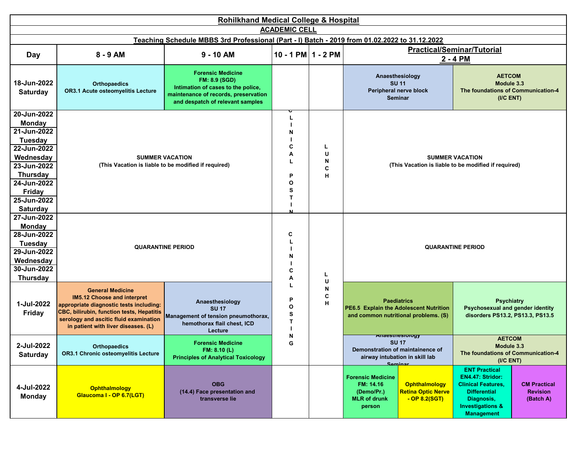|                                                                                                                                                                                               | <b>Rohilkhand Medical College &amp; Hospital</b>                                                                                                                                                                                |                                                                                                                                                                    |                                 |                       |                                                                                                                                                              |                                                                                                                                                                                                                       |  |  |  |  |
|-----------------------------------------------------------------------------------------------------------------------------------------------------------------------------------------------|---------------------------------------------------------------------------------------------------------------------------------------------------------------------------------------------------------------------------------|--------------------------------------------------------------------------------------------------------------------------------------------------------------------|---------------------------------|-----------------------|--------------------------------------------------------------------------------------------------------------------------------------------------------------|-----------------------------------------------------------------------------------------------------------------------------------------------------------------------------------------------------------------------|--|--|--|--|
|                                                                                                                                                                                               |                                                                                                                                                                                                                                 |                                                                                                                                                                    | <b>ACADEMIC CELL</b>            |                       |                                                                                                                                                              |                                                                                                                                                                                                                       |  |  |  |  |
|                                                                                                                                                                                               |                                                                                                                                                                                                                                 | Teaching Schedule MBBS 3rd Professional (Part - I) Batch - 2019 from 01.02.2022 to 31.12.2022                                                                      |                                 |                       |                                                                                                                                                              |                                                                                                                                                                                                                       |  |  |  |  |
| Day                                                                                                                                                                                           | 8 - 9 AM                                                                                                                                                                                                                        | $9 - 10$ AM                                                                                                                                                        | 10 - 1 PM $1 - 2$ PM            |                       |                                                                                                                                                              | <b>Practical/Seminar/Tutorial</b><br>2 - 4 PM                                                                                                                                                                         |  |  |  |  |
| 18-Jun-2022<br>Saturday                                                                                                                                                                       | <b>Orthopaedics</b><br>OR3.1 Acute osteomyelitis Lecture                                                                                                                                                                        | <b>Forensic Medicine</b><br><b>FM: 8.9 (SGD)</b><br>Intimation of cases to the police,<br>maintenance of records, preservation<br>and despatch of relevant samples |                                 |                       | Anaesthesiology<br><b>SU 11</b><br>Peripheral nerve block<br><b>Seminar</b>                                                                                  | <b>AETCOM</b><br>Module 3.3<br>The foundations of Communication-4<br>(ICENT)                                                                                                                                          |  |  |  |  |
| 20-Jun-2022<br><b>Monday</b><br>21-Jun-2022<br><b>Tuesday</b><br>22-Jun-2022<br>Wednesday<br>23-Jun-2022<br><b>Thursday</b><br>24-Jun-2022<br><b>Friday</b><br>25-Jun-2022<br><b>Saturday</b> |                                                                                                                                                                                                                                 | <b>SUMMER VACATION</b><br>(This Vacation is liable to be modified if required)                                                                                     | N<br>С<br>Α<br>P<br>O<br>S<br>т | L<br>U<br>N<br>C<br>н |                                                                                                                                                              | <b>SUMMER VACATION</b><br>(This Vacation is liable to be modified if required)                                                                                                                                        |  |  |  |  |
| 27-Jun-2022<br>Monday<br>28-Jun-2022<br><b>Tuesday</b><br>29-Jun-2022<br>Wednesday<br>30-Jun-2022<br><b>Thursday</b>                                                                          |                                                                                                                                                                                                                                 | <b>QUARANTINE PERIOD</b>                                                                                                                                           | C<br>N<br>C<br>Α                | L<br>U                |                                                                                                                                                              | <b>QUARANTINE PERIOD</b>                                                                                                                                                                                              |  |  |  |  |
| 1-Jul-2022<br><b>Friday</b>                                                                                                                                                                   | <b>General Medicine</b><br>IM5.12 Choose and interpret<br>appropriate diagnostic tests including:<br>CBC, bilirubin, function tests, Hepatitis<br>serology and ascitic fluid examination<br>in patient with liver diseases. (L) | Anaesthesiology<br><b>SU 17</b><br>Management of tension pneumothorax,<br>hemothorax flail chest, ICD<br>Lecture                                                   | P<br>O<br>S<br>Т<br>N           | N<br>C<br>н           | <b>Paediatrics</b><br><b>PE6.5 Explain the Adolescent Nutrition</b><br>and common nutritional problems. (S)                                                  | <b>Psychiatry</b><br>Psychosexual and gender identity<br>disorders PS13.2, PS13.3, PS13.5                                                                                                                             |  |  |  |  |
| 2-Jul-2022<br><b>Saturday</b>                                                                                                                                                                 | Orthopaedics<br>OR3.1 Chronic osteomyelitis Lecture                                                                                                                                                                             | <b>Forensic Medicine</b><br>FM: 8.10 (L)<br><b>Principles of Analytical Toxicology</b>                                                                             | G                               |                       | <del>Anaesmesiology</del><br><b>SU 17</b><br>Demonstration of maintainence of<br>airway intubation in skill lab<br>Saminar                                   | <b>AETCOM</b><br>Module 3.3<br>The foundations of Communication-4<br>(IC ENT)                                                                                                                                         |  |  |  |  |
| 4-Jul-2022<br><b>Monday</b>                                                                                                                                                                   | <b>Ophthalmology</b><br>Glaucoma I - OP 6.7(LGT)                                                                                                                                                                                | <b>OBG</b><br>(14.4) Face presentation and<br>transverse lie                                                                                                       |                                 |                       | <b>Forensic Medicine</b><br>FM: 14.16<br><b>Ophthalmology</b><br><b>Retina Optic Nerve</b><br>(Demo/Pr.)<br>$-$ OP 8.2(SGT)<br><b>MLR of drunk</b><br>person | <b>ENT Practical</b><br>EN4.47: Stridor:<br><b>Clinical Features,</b><br><b>CM Practical</b><br><b>Differential</b><br><b>Revision</b><br>Diagnosis,<br>(Batch A)<br><b>Investigations &amp;</b><br><b>Management</b> |  |  |  |  |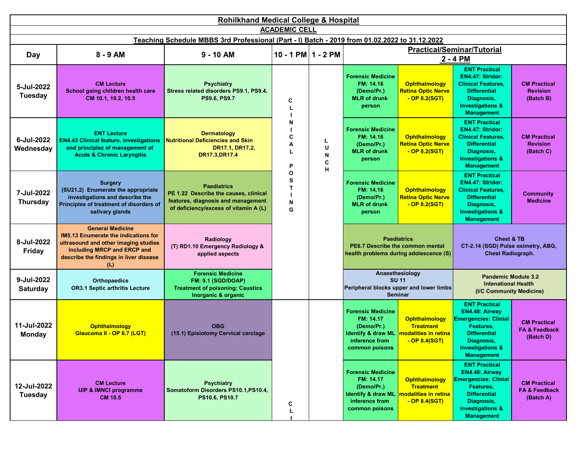|                               | <b>Rohilkhand Medical College &amp; Hospital</b>                                                                                                                                        |                                                                                                                                            |                        |                       |                                                                                                                          |                                                                                                  |                                                                                                                                                                  |                                                                                      |  |  |
|-------------------------------|-----------------------------------------------------------------------------------------------------------------------------------------------------------------------------------------|--------------------------------------------------------------------------------------------------------------------------------------------|------------------------|-----------------------|--------------------------------------------------------------------------------------------------------------------------|--------------------------------------------------------------------------------------------------|------------------------------------------------------------------------------------------------------------------------------------------------------------------|--------------------------------------------------------------------------------------|--|--|
|                               |                                                                                                                                                                                         |                                                                                                                                            | <b>ACADEMIC CELL</b>   |                       |                                                                                                                          |                                                                                                  |                                                                                                                                                                  |                                                                                      |  |  |
|                               |                                                                                                                                                                                         | Teaching Schedule MBBS 3rd Professional (Part - I) Batch - 2019 from 01.02.2022 to 31.12.2022                                              |                        |                       |                                                                                                                          |                                                                                                  |                                                                                                                                                                  |                                                                                      |  |  |
| <b>Day</b>                    | 8 - 9 AM                                                                                                                                                                                | $9 - 10$ AM                                                                                                                                | $10 - 1$ PM $1 - 2$ PM |                       |                                                                                                                          |                                                                                                  | <b>Practical/Seminar/Tutorial</b><br>2 - 4 PM                                                                                                                    |                                                                                      |  |  |
| 5-Jul-2022<br>Tuesday         | <b>CM Lecture</b><br>School going children health care<br>CM 10.1, 10.2, 10.5                                                                                                           | <b>Psychiatry</b><br>Stress related disorders PS9.1, PS9.4,<br><b>PS9.6, PS9.7</b>                                                         | C                      |                       | <b>Forensic Medicine</b><br>FM: 14.16<br>(Demo/Pr.)<br><b>MLR</b> of drunk<br>person                                     | <b>Ophthalmology</b><br><b>Retina Optic Nerve</b><br>$-$ OP 8.2(SGT)                             | <b>ENT Practical</b><br>EN4.47: Stridor:<br><b>Clinical Features,</b><br><b>Differential</b><br>Diagnosis,<br><b>Investigations &amp;</b><br><b>Management</b>   | <b>CM Practical</b><br><b>Revision</b><br>(Batch B)                                  |  |  |
| 6-Jul-2022<br>Wednesday       | <b>ENT Lecture</b><br><b>EN4.43 Clinical feature, investigations</b><br>and principlez of management of<br><b>Acute &amp; Chronic Laryngitis</b>                                        | <b>Dermatology</b><br><b>Nutritional Deficiencies and Skin</b><br>DR17.1, DR17.2,<br>DR17.3, DR17.4                                        | N<br>C<br>A<br>P       | L<br>U<br>N<br>C<br>н | <b>Forensic Medicine</b><br>FM: 14.16<br>(Demo/Pr.)<br><b>MLR of drunk</b><br>person                                     | <b>Ophthalmology</b><br><b>Retina Optic Nerve</b><br>$-$ OP 8.2(SGT)                             | <b>ENT Practical</b><br>EN4.47: Stridor:<br><b>Clinical Features,</b><br><b>Differential</b><br>Diagnosis,<br><b>Investigations &amp;</b><br><b>Management</b>   | <b>CM Practical</b><br><b>Revision</b><br>(Batch C)                                  |  |  |
| 7-Jul-2022<br><b>Thursday</b> | <b>Surgery</b><br>(SU21.2) Enumerate the appropriate<br>investigations and describe the<br>Principles of treatment of disorders of<br>salivary glands                                   | <b>Paediatrics</b><br>PE 1.22 Describe the causes, clinical<br>features, diagnosis and management<br>of deficiency/excess of vitamin A (L) | O<br>s<br>т<br>N<br>G  |                       | <b>Forensic Medicine</b><br>FM: 14.16<br>(Demo/Pr.)<br><b>MLR</b> of drunk<br>person                                     | <b>Ophthalmology</b><br><b>Retina Optic Nerve</b><br>$-$ OP 8.2(SGT)                             | <b>ENT Practical</b><br>EN4.47: Stridor:<br><b>Clinical Features,</b><br><b>Differential</b><br>Diagnosis,<br><b>Investigations &amp;</b><br><b>Management</b>   | <b>Community</b><br><b>Medicine</b>                                                  |  |  |
| 8-Jul-2022<br><b>Friday</b>   | <b>General Medicine</b><br>IM5.13 Enumerate the indications for<br>ultrasound and other imaging studies<br>including MRCP and ERCP and<br>describe the findings in liver disease<br>(L) | Radiology<br>(T) RD1.10 Emergency Radiology &<br>applied aspects                                                                           |                        |                       |                                                                                                                          | <b>Paediatrics</b><br>PE6.7 Describe the common mental<br>health problems during adolescence (S) | <b>Chest &amp; TB</b><br>CT-2.14 (SGD) Pulse oximetry, ABG,<br><b>Chest Radiograph.</b>                                                                          |                                                                                      |  |  |
| 9-Jul-2022<br><b>Saturday</b> | <b>Orthopaedics</b><br><b>OR3.1 Septic arthritis Lecture</b>                                                                                                                            | <b>Forensic Medicine</b><br><b>FM: 9.1 (SGD/DOAP)</b><br><b>Treatment of poisoning; Caustics</b><br>Inorganic & organic                    |                        |                       |                                                                                                                          |                                                                                                  | Anaesthesiology<br><b>SU 11</b><br>Peripheral blocks upper and lower limbs<br><b>Seminar</b>                                                                     | <b>Pandemic Module 3.2</b><br><b>Intenational Health</b><br>(I/C Community Medicine) |  |  |
| 11-Jul-2022<br><b>Monday</b>  | <b>Ophthalmology</b><br>Glaucoma II - OP 6.7 (LGT)                                                                                                                                      | <b>OBG</b><br>(15.1) Episiotomy Cervical cerclage                                                                                          |                        |                       | <b>Forensic Medicine</b><br>FM: 14.17<br>(Demo/Pr.)<br><b>Identify &amp; draw ML</b><br>inference from<br>common poisons | <b>Ophthalmology</b><br><b>Treatment</b><br>modalities in retina<br>$-$ OP 8.4(SGT)              | <b>ENT Practical</b><br>EN4.48: Airway<br><b>Emergencies: Clinial</b><br>Features,<br><b>Differential</b><br>Diagnosis,<br>investigations &<br><b>Management</b> | <b>CM Practical</b><br><b>FA &amp; Feedback</b><br>(Batch D)                         |  |  |
| 12-Jul-2022<br>Tuesday        | <b>CM Lecture</b><br>UIP & IMNCI programme<br><b>CM 10.5</b>                                                                                                                            | <b>Psychiatry</b><br>Somatoform Disorders PS10.1, PS10.4,<br>PS10.6, PS10.7                                                                | C                      |                       | <b>Forensic Medicine</b><br>FM: 14.17<br>(Demo/Pr.)<br><b>Identify &amp; draw ML</b><br>inference from<br>common poisons | <b>Ophthalmology</b><br><b>Treatment</b><br>modalities in retina<br>$-$ OP 8.4(SGT)              | <b>ENT Practical</b><br>EN4.48: Airway<br><b>Emergencies: Clinial</b><br>Features,<br><b>Differential</b><br>Diagnosis,<br>investigations &<br><b>Management</b> | <b>CM Practical</b><br><b>FA &amp; Feedback</b><br>(Batch A)                         |  |  |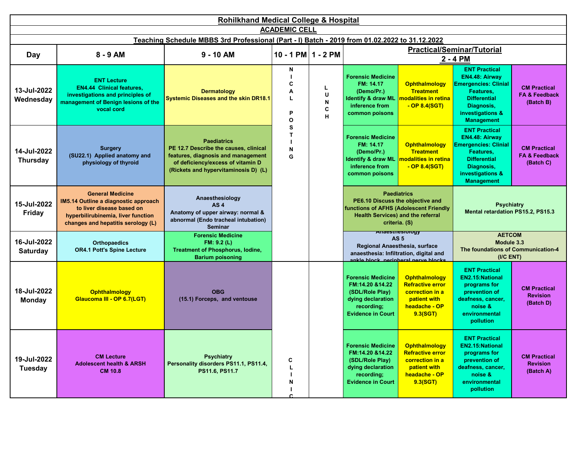|                                | <b>Rohilkhand Medical College &amp; Hospital</b>                                                                                                                         |                                                                                                                                                                                |                            |                       |                                                                                                                               |                                                                                                                                                              |                                                                                                                                                                  |                                                              |  |  |  |
|--------------------------------|--------------------------------------------------------------------------------------------------------------------------------------------------------------------------|--------------------------------------------------------------------------------------------------------------------------------------------------------------------------------|----------------------------|-----------------------|-------------------------------------------------------------------------------------------------------------------------------|--------------------------------------------------------------------------------------------------------------------------------------------------------------|------------------------------------------------------------------------------------------------------------------------------------------------------------------|--------------------------------------------------------------|--|--|--|
|                                |                                                                                                                                                                          |                                                                                                                                                                                | <b>ACADEMIC CELL</b>       |                       |                                                                                                                               |                                                                                                                                                              |                                                                                                                                                                  |                                                              |  |  |  |
|                                |                                                                                                                                                                          | Teaching Schedule MBBS 3rd Professional (Part - I) Batch - 2019 from 01.02.2022 to 31.12.2022                                                                                  |                            |                       |                                                                                                                               |                                                                                                                                                              |                                                                                                                                                                  |                                                              |  |  |  |
| Day                            | $8 - 9$ AM                                                                                                                                                               | $9 - 10$ AM                                                                                                                                                                    | 10 - 1 PM $1 - 2$ PM       |                       |                                                                                                                               |                                                                                                                                                              | <b>Practical/Seminar/Tutorial</b><br>2 - 4 PM                                                                                                                    |                                                              |  |  |  |
| 13-Jul-2022<br>Wednesday       | <b>ENT Lecture</b><br><b>EN4.44 Clinical features.</b><br>investigations and principles of<br>management of Benign lesions of the<br>vocal cord                          | <b>Dermatology</b><br><b>Systemic Diseases and the skin DR18.1</b>                                                                                                             | N<br>C<br>Α<br>L<br>P<br>O | L<br>U<br>N<br>C<br>н | <b>Forensic Medicine</b><br>FM: 14.17<br>(Demo/Pr.)<br><b>Identify &amp; draw ML</b><br>inference from<br>common poisons      | <b>Ophthalmology</b><br><b>Treatment</b><br>modalities in retina<br>$-$ OP 8.4(SGT)                                                                          | <b>ENT Practical</b><br>EN4.48: Airway<br><b>Emergencies: Clinial</b><br>Features,<br><b>Differential</b><br>Diagnosis,<br>investigations &<br><b>Management</b> | <b>CM Practical</b><br><b>FA &amp; Feedback</b><br>(Batch B) |  |  |  |
| 14-Jul-2022<br><b>Thursday</b> | <b>Surgery</b><br>(SU22.1) Applied anatomy and<br>physiology of thyroid                                                                                                  | <b>Paediatrics</b><br>PE 12.7 Describe the causes, clinical<br>features, diagnosis and management<br>of deficiency/excess of vitamin D<br>(Rickets and hypervitaminosis D) (L) | s<br>т<br>N<br>G           |                       | <b>Forensic Medicine</b><br>FM: 14.17<br>(Demo/Pr.)<br><b>Identify &amp; draw ML</b><br>inference from<br>common poisons      | <b>Ophthalmology</b><br><b>Treatment</b><br>modalities in retina<br>$-$ OP 8.4(SGT)                                                                          | <b>ENT Practical</b><br>EN4.48: Airway<br><b>Emergencies: Clinial</b><br>Features.<br><b>Differential</b><br>Diagnosis,<br>investigations &<br><b>Management</b> | <b>CM Practical</b><br><b>FA &amp; Feedback</b><br>(Batch C) |  |  |  |
| 15-Jul-2022<br><b>Friday</b>   | <b>General Medicine</b><br>IM5.14 Outline a diagnostic approach<br>to liver disease based on<br>hyperbilirubinemia, liver function<br>changes and hepatitis serology (L) | Anaesthesiology<br>AS <sub>4</sub><br>Anatomy of upper airway: normal &<br>abnormal (Endo tracheal intubation)<br><b>Seminar</b>                                               |                            |                       | PE6.10 Discuss the objective and<br>functions of AFHS (Adolescent Friendly                                                    | <b>Paediatrics</b><br><b>Health Services) and the referral</b><br>criteria. (S)                                                                              | <b>Psychiatry</b><br>Mental retardation PS15.2, PS15.3                                                                                                           |                                                              |  |  |  |
| 16-Jul-2022<br><b>Saturday</b> | <b>Orthopaedics</b><br><b>OR4.1 Pott's Spine Lecture</b>                                                                                                                 | <b>Forensic Medicine</b><br>FM: 9.2 (L)<br><b>Treatment of Phosphorus, lodine,</b><br><b>Barium poisoning</b>                                                                  |                            |                       |                                                                                                                               | <b>Anaesthesiology</b><br>AS <sub>5</sub><br>Regional Anaesthesia, surface<br>anaesthesia: Infiltration, digital and<br>ankle block, nerinheral nerve blocks | <b>AETCOM</b><br>Module 3.3<br>The foundations of Communication-4<br>(IC ENT)                                                                                    |                                                              |  |  |  |
| 18-Jul-2022<br><b>Monday</b>   | <b>Ophthalmology</b><br>Glaucoma III - OP 6.7(LGT)                                                                                                                       | <b>OBG</b><br>(15.1) Forceps, and ventouse                                                                                                                                     |                            |                       | <b>Forensic Medicine</b><br>FM:14.20 &14.22<br>(SDL/Role Play)<br>dying declaration<br>recording;<br><b>Evidence in Court</b> | <b>Ophthalmology</b><br><b>Refractive error</b><br>correction in a<br>patient with<br>headache - OP<br>9.3(SGT)                                              | <b>ENT Practical</b><br>EN2.15:National<br>programs for<br>prevention of<br>deafness, cancer,<br>noise &<br>environmental<br>pollution                           | <b>CM Practical</b><br><b>Revision</b><br>(Batch D)          |  |  |  |
| 19-Jul-2022<br><b>Tuesday</b>  | <b>CM Lecture</b><br><b>Adolescent health &amp; ARSH</b><br><b>CM 10.8</b>                                                                                               | <b>Psychiatry</b><br>Personality disorders PS11.1, PS11.4,<br>PS11.6, PS11.7                                                                                                   | С<br>L<br>N<br>◠           |                       | <b>Forensic Medicine</b><br>FM:14.20 &14.22<br>(SDL/Role Play)<br>dying declaration<br>recording;<br><b>Evidence in Court</b> | Ophthalmology<br><b>Refractive error</b><br>correction in a<br>patient with<br>headache - OP<br>9.3(SGT)                                                     | <b>ENT Practical</b><br>EN2.15: National<br>programs for<br>prevention of<br>deafness, cancer,<br>noise &<br>environmental<br>pollution                          | <b>CM Practical</b><br><b>Revision</b><br>(Batch A)          |  |  |  |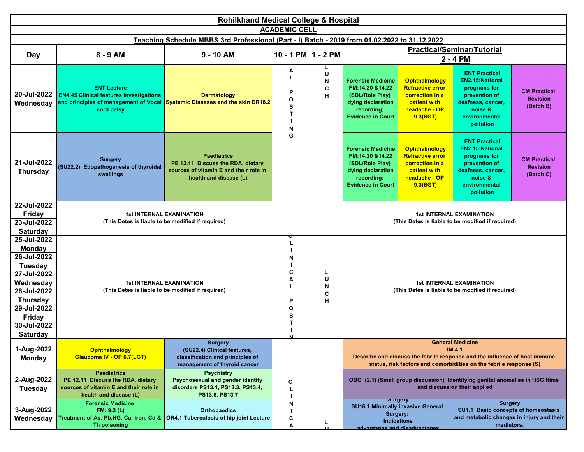|                                | <b>Rohilkhand Medical College &amp; Hospital</b>                                                                            |                                                                                                                             |                                  |                       |                                                                                                                               |                                                                                                                 |                                                                                                                                               |                                                     |  |  |
|--------------------------------|-----------------------------------------------------------------------------------------------------------------------------|-----------------------------------------------------------------------------------------------------------------------------|----------------------------------|-----------------------|-------------------------------------------------------------------------------------------------------------------------------|-----------------------------------------------------------------------------------------------------------------|-----------------------------------------------------------------------------------------------------------------------------------------------|-----------------------------------------------------|--|--|
|                                |                                                                                                                             |                                                                                                                             | <b>ACADEMIC CELL</b>             |                       |                                                                                                                               |                                                                                                                 |                                                                                                                                               |                                                     |  |  |
|                                |                                                                                                                             | Teaching Schedule MBBS 3rd Professional (Part - I) Batch - 2019 from 01.02.2022 to 31.12.2022                               |                                  |                       |                                                                                                                               |                                                                                                                 |                                                                                                                                               |                                                     |  |  |
| <b>Day</b>                     | 8 - 9 AM                                                                                                                    | $9 - 10$ AM                                                                                                                 | 10 - 1 PM $1 - 2$ PM             |                       |                                                                                                                               |                                                                                                                 | <b>Practical/Seminar/Tutorial</b>                                                                                                             |                                                     |  |  |
|                                |                                                                                                                             |                                                                                                                             |                                  |                       |                                                                                                                               |                                                                                                                 | 2 - 4 PM                                                                                                                                      |                                                     |  |  |
| 20-Jul-2022<br>Wednesday       | <b>ENT Lecture</b><br><b>EN4.45 Clinical features investigations</b><br>cord palsy                                          | <b>Dermatology</b><br>and principles of management of Vocal Systemic Diseases and the skin DR18.2                           | Α<br>P<br>$\circ$<br>s<br>т<br>N | L<br>U<br>N<br>C<br>н | <b>Forensic Medicine</b><br>FM:14.20 &14.22<br>(SDL/Role Play)<br>dying declaration<br>recording;<br><b>Evidence in Court</b> | <b>Ophthalmology</b><br><b>Refractive error</b><br>correction in a<br>patient with<br>headache - OP<br>9.3(SGT) | <b>ENT Practical</b><br><b>EN2.15:National</b><br>programs for<br>prevention of<br>deafness, cancer,<br>noise &<br>environmental<br>pollution | <b>CM Practical</b><br><b>Revision</b><br>(Batch B) |  |  |
| 21-Jul-2022<br><b>Thursday</b> | <b>Surgery</b><br>(SU22.2) Etiopathogenesis of thyroidal<br>swellings                                                       | <b>Paediatrics</b><br>PE 12.11 Discuss the RDA, dietary<br>sources of vitamin E and their role in<br>health and disease (L) | G                                |                       | <b>Forensic Medicine</b><br>FM:14.20 &14.22<br>(SDL/Role Play)<br>dying declaration<br>recording;<br><b>Evidence in Court</b> | <b>Ophthalmology</b><br><b>Refractive error</b><br>correction in a<br>patient with<br>headache - OP<br>9.3(SGT) | <b>ENT Practical</b><br><b>EN2.15:National</b><br>programs for<br>prevention of<br>deafness, cancer,<br>noise &<br>environmental<br>pollution | <b>CM Practical</b><br><b>Revision</b><br>(Batch C) |  |  |
| 22-Jul-2022                    |                                                                                                                             |                                                                                                                             |                                  |                       |                                                                                                                               |                                                                                                                 |                                                                                                                                               |                                                     |  |  |
| <b>Friday</b>                  | <b>1st INTERNAL EXAMINATION</b><br>(This Detes is liable to be modified if required)                                        |                                                                                                                             |                                  |                       |                                                                                                                               |                                                                                                                 | <b>1st INTERNAL EXAMINATION</b>                                                                                                               |                                                     |  |  |
| 23-Jul-2022                    |                                                                                                                             |                                                                                                                             |                                  |                       |                                                                                                                               |                                                                                                                 | (This Detes is liable to be modified if required)                                                                                             |                                                     |  |  |
| <b>Saturday</b>                |                                                                                                                             |                                                                                                                             |                                  |                       |                                                                                                                               |                                                                                                                 |                                                                                                                                               |                                                     |  |  |
| 25-Jul-2022                    |                                                                                                                             |                                                                                                                             |                                  |                       |                                                                                                                               |                                                                                                                 |                                                                                                                                               |                                                     |  |  |
| <b>Monday</b><br>26-Jul-2022   |                                                                                                                             |                                                                                                                             |                                  |                       |                                                                                                                               |                                                                                                                 |                                                                                                                                               |                                                     |  |  |
|                                |                                                                                                                             |                                                                                                                             | N                                |                       |                                                                                                                               |                                                                                                                 |                                                                                                                                               |                                                     |  |  |
| Tuesday                        |                                                                                                                             |                                                                                                                             | C                                | L                     |                                                                                                                               |                                                                                                                 |                                                                                                                                               |                                                     |  |  |
| 27-Jul-2022                    |                                                                                                                             |                                                                                                                             | А                                | U                     |                                                                                                                               |                                                                                                                 |                                                                                                                                               |                                                     |  |  |
| Wednesday<br>28-Jul-2022       |                                                                                                                             | <b>1st INTERNAL EXAMINATION</b><br>(This Detes is liable to be modified if required)                                        |                                  | N                     |                                                                                                                               |                                                                                                                 | <b>1st INTERNAL EXAMINATION</b><br>(This Detes is liable to be modified if required)                                                          |                                                     |  |  |
|                                |                                                                                                                             |                                                                                                                             |                                  | C                     |                                                                                                                               |                                                                                                                 |                                                                                                                                               |                                                     |  |  |
| <b>Thursday</b><br>29-Jul-2022 |                                                                                                                             |                                                                                                                             | P                                | н                     |                                                                                                                               |                                                                                                                 |                                                                                                                                               |                                                     |  |  |
|                                |                                                                                                                             |                                                                                                                             | O<br>S                           |                       |                                                                                                                               |                                                                                                                 |                                                                                                                                               |                                                     |  |  |
| Friday<br>30-Jul-2022          |                                                                                                                             |                                                                                                                             | Т                                |                       |                                                                                                                               |                                                                                                                 |                                                                                                                                               |                                                     |  |  |
| <b>Saturday</b>                |                                                                                                                             |                                                                                                                             |                                  |                       |                                                                                                                               |                                                                                                                 |                                                                                                                                               |                                                     |  |  |
|                                |                                                                                                                             | <b>Surgery</b>                                                                                                              | M                                |                       |                                                                                                                               |                                                                                                                 | <b>General Medicine</b>                                                                                                                       |                                                     |  |  |
| 1-Aug-2022                     | <b>Ophthalmology</b>                                                                                                        | (SU22.4) Clinical features,                                                                                                 |                                  |                       |                                                                                                                               |                                                                                                                 | <b>IM 4.1</b>                                                                                                                                 |                                                     |  |  |
| <b>Monday</b>                  | Glaucoma IV - OP 6.7(LGT)                                                                                                   | classification and principles of                                                                                            |                                  |                       |                                                                                                                               |                                                                                                                 | Describe and discuss the febrile response and the influence of host immune                                                                    |                                                     |  |  |
|                                |                                                                                                                             | management of thyroid cancer                                                                                                |                                  |                       |                                                                                                                               |                                                                                                                 | status, risk factors and comorbidities on the febrile response (S)                                                                            |                                                     |  |  |
| 2-Aug-2022<br><b>Tuesday</b>   | <b>Paediatrics</b><br>PE 12.11 Discuss the RDA, dietary<br>sources of vitamin E and their role in<br>health and disease (L) | <b>Psychiatry</b><br>Psychosexual and gender identity<br>disorders PS13.1, PS13.3, PS13.4,<br>PS13.6, PS13.7                | C                                |                       |                                                                                                                               |                                                                                                                 | OBG (2.1) (Small group discussion) Identifying genital anomalies in HSG films<br>and discussion their applied                                 |                                                     |  |  |
| 3-Aug-2022<br>Wednesday        | <b>Forensic Medicine</b><br>FM: 9.3(L)<br>Treatment of As, Pb,HG, Cu, iron, Cd &<br><b>Th poisoning</b>                     | <b>Orthopaedics</b><br>OR4.1 Tuberculosis of hip joint Lecture                                                              | N<br>C<br>Α                      | Ц                     | <b>SU16.1 Minimally invasive General</b><br>Surgery:<br><b>Indications</b>                                                    | <del>उषापुरा</del> ण<br>sonstrisyhsaih hris agnistrisyhs                                                        | <b>Surgery</b><br>SU1.1 Basic concepts of homeostasis<br>and metabolic changes in injury and their<br>mediators.                              |                                                     |  |  |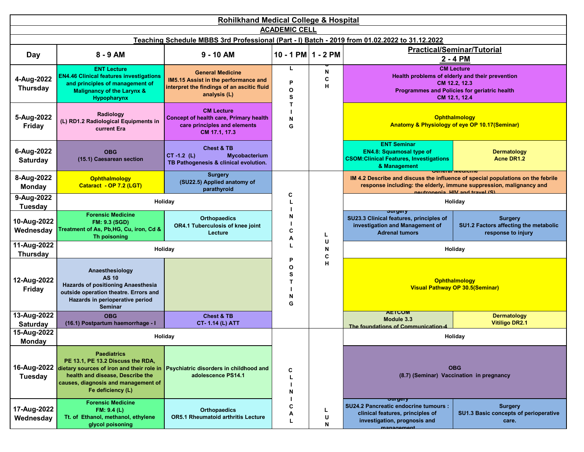|                                | <b>Rohilkhand Medical College &amp; Hospital</b>                                                                                                                                                                                                        |                                                                                                                               |                                                          |             |                                                                                                                                               |                                                                                                                                                        |  |  |  |  |  |
|--------------------------------|---------------------------------------------------------------------------------------------------------------------------------------------------------------------------------------------------------------------------------------------------------|-------------------------------------------------------------------------------------------------------------------------------|----------------------------------------------------------|-------------|-----------------------------------------------------------------------------------------------------------------------------------------------|--------------------------------------------------------------------------------------------------------------------------------------------------------|--|--|--|--|--|
|                                |                                                                                                                                                                                                                                                         |                                                                                                                               | <b>ACADEMIC CELL</b>                                     |             |                                                                                                                                               |                                                                                                                                                        |  |  |  |  |  |
|                                |                                                                                                                                                                                                                                                         | Teaching Schedule MBBS 3rd Professional (Part - I) Batch - 2019 from 01.02.2022 to 31.12.2022                                 |                                                          |             |                                                                                                                                               |                                                                                                                                                        |  |  |  |  |  |
| Day                            | 8 - 9 AM                                                                                                                                                                                                                                                | $9 - 10$ AM                                                                                                                   | $10 - 1$ PM $1 - 2$ PM                                   |             |                                                                                                                                               | <b>Practical/Seminar/Tutorial</b><br>2 - 4 PM                                                                                                          |  |  |  |  |  |
| 4-Aug-2022<br><b>Thursday</b>  | <b>ENT Lecture</b><br><b>EN4.46 Clinical features investigations</b><br>and principles of management of<br><b>Malignancy of the Larynx &amp;</b><br><b>Hypopharynx</b>                                                                                  | <b>General Medicine</b><br>IM5.15 Assist in the performance and<br>interpret the findings of an ascitic fluid<br>analysis (L) | L<br>P<br>$\mathbf{o}$<br>S<br>т                         | N<br>С<br>н |                                                                                                                                               | <b>CM Lecture</b><br>Health problems of elderly and their prevention<br>CM 12.2, 12.3<br>Programmes and Policies for geriatric health<br>CM 12.1.12.4  |  |  |  |  |  |
| 5-Aug-2022<br>Friday           | Radiology<br>(L) RD1.2 Radiological Equipments in<br>current Era                                                                                                                                                                                        | <b>CM Lecture</b><br><b>Concept of health care, Primary health</b><br>care principles and elements<br>CM 17.1, 17.3           | N<br>G                                                   |             |                                                                                                                                               | <b>Ophthalmology</b><br><b>Anatomy &amp; Physiology of eye OP 10.17(Seminar)</b>                                                                       |  |  |  |  |  |
| 6-Aug-2022<br><b>Saturday</b>  | <b>OBG</b><br>(15.1) Caesarean section                                                                                                                                                                                                                  | <b>Chest &amp; TB</b><br>$CT -1.2$ (L)<br>Mycobacterium<br>TB Pathogenesis & clinical evolution.                              |                                                          |             | <b>ENT Seminar</b><br><b>EN4.8: Squamosal type of</b><br><b>CSOM:Clinical Features, Investigations</b><br>& Management                        | <b>Dermatology</b><br><b>Acne DR1.2</b>                                                                                                                |  |  |  |  |  |
| 8-Aug-2022<br><b>Monday</b>    | <b>Ophthalmology</b><br>Cataract - OP 7.2 (LGT)                                                                                                                                                                                                         | <b>Surgery</b><br>(SU22.5) Applied anatomy of<br>parathyroid                                                                  |                                                          |             |                                                                                                                                               | IM 4.2 Describe and discuss the influence of special populations on the febrile<br>response including: the elderly, immune suppression, malignancy and |  |  |  |  |  |
| 9-Aug-2022<br><b>Tuesday</b>   | Holiday                                                                                                                                                                                                                                                 |                                                                                                                               | C<br>L<br>N<br>C<br>Α                                    |             |                                                                                                                                               | noutrononia HIV and travol (S)<br>Holiday<br><b>Surgery</b>                                                                                            |  |  |  |  |  |
| 10-Aug-2022<br>Wednesday       | <b>Forensic Medicine</b><br><b>FM: 9.3 (SGD)</b><br>Treatment of As, Pb,HG, Cu, iron, Cd &<br>Th poisoning                                                                                                                                              | <b>Orthopaedics</b><br>OR4.1 Tuberculosis of knee joint<br>Lecture                                                            |                                                          | L           | əurgery<br>SU23.3 Clinical features, principles of<br>investigation and Management of<br><b>Adrenal tumors</b>                                | SU1.2 Factors affecting the metabolic<br>response to injury                                                                                            |  |  |  |  |  |
| 11-Aug-2022<br><b>Thursday</b> | Holiday                                                                                                                                                                                                                                                 |                                                                                                                               |                                                          | U<br>N<br>С |                                                                                                                                               | Holiday                                                                                                                                                |  |  |  |  |  |
| 12-Aug-2022<br><b>Friday</b>   | Anaesthesiology<br><b>AS 10</b><br>Hazards of positioning Anaesthesia<br>outside operation theatre. Errors and<br>Hazards in perioperative period<br><b>Seminar</b>                                                                                     | <b>AETCOM</b><br>Module 3.3<br>The foundations of Communication-4<br>(ICENT)                                                  | P<br>$\mathbf{o}$<br>s<br>$\mathsf{T}$<br>${\sf N}$<br>G | н           |                                                                                                                                               | Ophthalmology<br><b>Visual Pathway OP 30.5(Seminar)</b>                                                                                                |  |  |  |  |  |
| 13-Aug-2022<br><b>Saturday</b> | <b>OBG</b><br>(16.1) Postpartum haemorrhage - I                                                                                                                                                                                                         | <b>Chest &amp; TB</b><br><b>CT-1.14 (L) ATT</b>                                                                               |                                                          |             | <b>AETUUM</b><br>Module 3.3<br>The foundations of Communication-4                                                                             | <b>Dermatology</b><br><b>Vitiligo DR2.1</b>                                                                                                            |  |  |  |  |  |
| 15-Aug-2022<br><b>Monday</b>   |                                                                                                                                                                                                                                                         | Holiday                                                                                                                       |                                                          |             |                                                                                                                                               | Holiday                                                                                                                                                |  |  |  |  |  |
| <b>Tuesday</b>                 | <b>Paediatrics</b><br>PE 13.1, PE 13.2 Discuss the RDA,<br>16-Aug-2022 dietary sources of iron and their role in Psychiatric disorders in childhood and<br>health and disease, Describe the<br>causes, diagnosis and management of<br>Fe deficiency (L) | adolescence PS14.1                                                                                                            | C<br>N                                                   |             |                                                                                                                                               | <b>OBG</b><br>(8.7) (Seminar) Vaccination in pregnancy                                                                                                 |  |  |  |  |  |
| 17-Aug-2022<br>Wednesday       | <b>Forensic Medicine</b><br>FM: 9.4(L)<br>Tt. of Ethanol, methanol, ethylene<br>glycol poisoning                                                                                                                                                        | <b>Orthopaedics</b><br><b>OR5.1 Rheumatoid arthritis Lecture</b>                                                              | C<br>A<br>L                                              | L<br>U<br>N | <del>ourgery</del><br>SU24.2 Pancreatic endocrine tumours :<br>clinical features, principles of<br>investigation, prognosis and<br>managament | <b>Surgery</b><br>SU1.3 Basic concepts of perioperative<br>care.                                                                                       |  |  |  |  |  |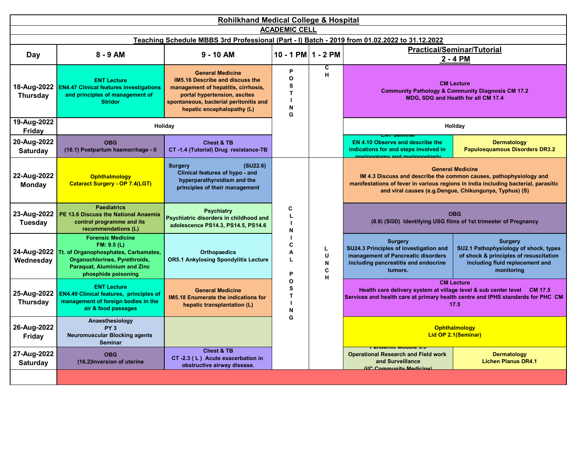| <b>Rohilkhand Medical College &amp; Hospital</b> |                                                                                                                                                                        |                                                                                                                                                                                                                  |                                                  |                       |                                                                                                                                                   |                                                                                                                                                                                                                                               |  |  |  |
|--------------------------------------------------|------------------------------------------------------------------------------------------------------------------------------------------------------------------------|------------------------------------------------------------------------------------------------------------------------------------------------------------------------------------------------------------------|--------------------------------------------------|-----------------------|---------------------------------------------------------------------------------------------------------------------------------------------------|-----------------------------------------------------------------------------------------------------------------------------------------------------------------------------------------------------------------------------------------------|--|--|--|
|                                                  | <b>ACADEMIC CELL</b><br>Teaching Schedule MBBS 3rd Professional (Part - I) Batch - 2019 from 01.02.2022 to 31.12.2022                                                  |                                                                                                                                                                                                                  |                                                  |                       |                                                                                                                                                   |                                                                                                                                                                                                                                               |  |  |  |
| Day                                              | $8 - 9$ AM                                                                                                                                                             | $9 - 10$ AM                                                                                                                                                                                                      | $10 - 1$ PM $1 - 2$ PM                           |                       |                                                                                                                                                   | <b>Practical/Seminar/Tutorial</b><br>2 - 4 PM                                                                                                                                                                                                 |  |  |  |
| 18-Aug-2022<br><b>Thursday</b>                   | <b>ENT Lecture</b><br><b>EN4.47 Clinical features investigations</b><br>and principles of management of<br><b>Stridor</b>                                              | <b>General Medicine</b><br><b>IM5.16 Describe and discuss the</b><br>management of hepatitis, cirrhosis,<br>portal hypertension, ascites<br>spontaneous, bacterial peritonitis and<br>hepatic encephalopathy (L) | P<br>$\mathbf{o}$<br>S<br>$\mathbf{T}$<br>N<br>G | С<br>н                |                                                                                                                                                   | <b>CM Lecture</b><br><b>Community Pathology &amp; Community Diagnosis CM 17.2</b><br>MDG, SDG and Health for all CM 17.4                                                                                                                      |  |  |  |
| 19-Aug-2022<br>Friday                            |                                                                                                                                                                        | Holiday                                                                                                                                                                                                          |                                                  |                       |                                                                                                                                                   | Holiday                                                                                                                                                                                                                                       |  |  |  |
| 20-Aug-2022<br><b>Saturday</b>                   | <b>OBG</b><br>(16.1) Postpartum haemorrhage - II                                                                                                                       | <b>Chest &amp; TB</b><br>CT -1.4 (Tutorial) Drug resistance-TB                                                                                                                                                   |                                                  |                       | <b>EN 4.10 Observe and describe the</b><br>indications for and steps involved in<br>ringotomy and myringonlact                                    | <b>Dermatology</b><br><b>Papulosquamous Disorders DR3.2</b>                                                                                                                                                                                   |  |  |  |
| 22-Aug-2022<br><b>Monday</b>                     | <b>Ophthalmology</b><br><b>Cataract Surgery - OP 7.4(LGT)</b>                                                                                                          | <b>Surgery</b><br>(SU22.6)<br>Clinical features of hypo - and<br>hyperparathyroidism and the<br>principles of their management                                                                                   |                                                  |                       |                                                                                                                                                   | <b>General Medicine</b><br>IM 4.3 Discuss and describe the common causes, pathophysiology and<br>manifestations of fever in various regions in India including bacterial, parasitic<br>and viral causes (e.g.Dengue, Chikungunya, Typhus) (S) |  |  |  |
| 23-Aug-2022<br>Tuesday                           | <b>Paediatrics</b><br>PE 13.6 Discuss the National Anaemia<br>control programme and its<br>recommendations (L)                                                         | <b>Psychiatry</b><br>Psychiatric disorders in childhood and<br>adolescence PS14.3, PS14.5, PS14.6                                                                                                                | C<br>L<br>N                                      |                       |                                                                                                                                                   | <b>OBG</b><br>(8.8) (SGD) Identifying USG films of 1st trimester of Pregnancy                                                                                                                                                                 |  |  |  |
| 24-Aug-2022<br>Wednesday                         | <b>Forensic Medicine</b><br>FM: 9.5(L)<br>Tt. of Organophosphates, Carbamates,<br>Organochlorines, Pyrethroids,<br>Paraquat, Aluminium and Zinc<br>phosphide poisoning | <b>Orthopaedics</b><br><b>OR5.1 Ankylosing Spondylitis Lecture</b>                                                                                                                                               | C<br>A<br>$\mathsf L$<br>P                       | L<br>U<br>N<br>C<br>н | <b>Surgery</b><br>SU24.3 Principles of investigation and<br>management of Pancreatic disorders<br>including pancreatitis and endocrine<br>tumors. | <b>Surgery</b><br>SU2.1 Pathophysiology of shock, types<br>of shock & principles of resuscitation<br>including fluid replacement and<br>monitoring                                                                                            |  |  |  |
| 25-Aug-2022<br><b>Thursday</b>                   | <b>ENT Lecture</b><br><b>EN4.49 Clinical features, principles of</b><br>management of foreign bodies in the<br>air & food passages                                     | <b>General Medicine</b><br><b>IM5.18 Enumerate the indications for</b><br>hepatic transplantation (L)                                                                                                            | O<br>s<br>T<br>N                                 |                       |                                                                                                                                                   | <b>CM Lecture</b><br>Health care delivery system at village level & sub center level CM 17.5<br>Services and health care at primary health centre and IPHS standards for PHC CM<br>17.5                                                       |  |  |  |
| 26-Aug-2022<br>Friday                            | Anaesthesiology<br>PY <sub>3</sub><br><b>Neuromuscular Blocking agents</b><br><b>Seminar</b>                                                                           | <b>AETCOM 3.4</b><br><b>Case Studies in Bioethics-Confidentiality</b><br>(IC ENT)                                                                                                                                | G                                                |                       | a zibiyo abibiya matsayiyo katalog asa                                                                                                            | <b>Ophthalmology</b><br>Lid OP 2.1(Seminar)                                                                                                                                                                                                   |  |  |  |
| 27-Aug-2022<br><b>Saturday</b>                   | <b>OBG</b><br>(16.2) Inversion of uterine                                                                                                                              | <b>Chest &amp; TB</b><br>CT-2.3 (L) Acute exacerbation in<br>obstructive airway disease.                                                                                                                         |                                                  |                       | <b>Operational Research and Field work</b><br>and Surveillance<br>(IIC Community Modicino)                                                        | <b>Dermatology</b><br><b>Lichen Planus DR4.1</b>                                                                                                                                                                                              |  |  |  |
|                                                  |                                                                                                                                                                        |                                                                                                                                                                                                                  | <b>AITO MALNUTRITION</b>                         |                       |                                                                                                                                                   |                                                                                                                                                                                                                                               |  |  |  |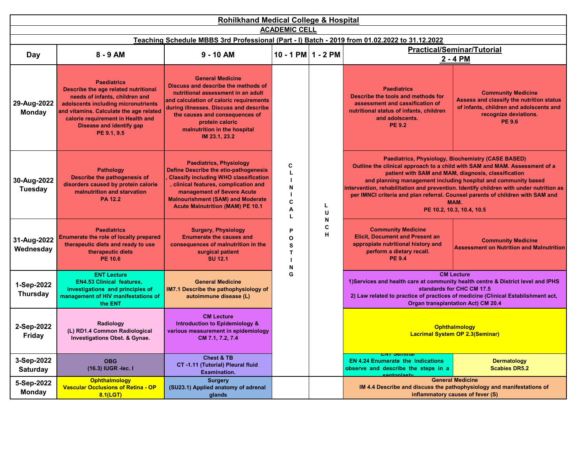| <b>Rohilkhand Medical College &amp; Hospital</b>                                                                      |                                                                                                                                                                                                                                                                       |                                                                                                                                                                                                                                                                                                 |                      |                                                                         |                                                                                                                                                                                                                                                                                                                                                                                                                                                                            |                                                                                                                                                     |  |  |  |
|-----------------------------------------------------------------------------------------------------------------------|-----------------------------------------------------------------------------------------------------------------------------------------------------------------------------------------------------------------------------------------------------------------------|-------------------------------------------------------------------------------------------------------------------------------------------------------------------------------------------------------------------------------------------------------------------------------------------------|----------------------|-------------------------------------------------------------------------|----------------------------------------------------------------------------------------------------------------------------------------------------------------------------------------------------------------------------------------------------------------------------------------------------------------------------------------------------------------------------------------------------------------------------------------------------------------------------|-----------------------------------------------------------------------------------------------------------------------------------------------------|--|--|--|
| <b>ACADEMIC CELL</b><br>Teaching Schedule MBBS 3rd Professional (Part - I) Batch - 2019 from 01.02.2022 to 31.12.2022 |                                                                                                                                                                                                                                                                       |                                                                                                                                                                                                                                                                                                 |                      |                                                                         |                                                                                                                                                                                                                                                                                                                                                                                                                                                                            |                                                                                                                                                     |  |  |  |
| <b>Day</b>                                                                                                            | 8 - 9 AM                                                                                                                                                                                                                                                              | $9 - 10$ AM                                                                                                                                                                                                                                                                                     | 10 - 1 PM $1 - 2$ PM |                                                                         |                                                                                                                                                                                                                                                                                                                                                                                                                                                                            | <b>Practical/Seminar/Tutorial</b><br>2 - 4 PM                                                                                                       |  |  |  |
| 29-Aug-2022<br><b>Monday</b>                                                                                          | <b>Paediatrics</b><br>Describe the age related nutritional<br>needs of infants, children and<br>adolscents including micronutrients<br>and vitamins. Calculate the age related<br>calorie requirement in Health and<br><b>Disease and identify gap</b><br>PE 9.1, 9.5 | <b>General Medicine</b><br>Discuss and describe the methods of<br>nutritional assessment in an adult<br>and calculation of caloric requirements<br>during illnesses. Discuss and describe<br>the causes and consequences of<br>protein caloric<br>malnutrition in the hospital<br>IM 23.1, 23.2 |                      | C<br>N<br>C<br>L<br>A<br>U<br>п<br>N<br>C<br>P<br>Н<br>O<br>S<br>Т<br>N | <b>Paediatrics</b><br>Describe the tools and methods for<br>assessment and cassification of<br>nutritional status of infants, children<br>and adolscents.<br><b>PE 9.2</b>                                                                                                                                                                                                                                                                                                 | <b>Community Medicine</b><br>Assess and classify the nutrition status<br>of infants, children and adolscents and<br>recognize deviations.<br>PE 9.6 |  |  |  |
| 30-Aug-2022<br><b>Tuesday</b>                                                                                         | <b>Pathology</b><br>Describe the pathogenesis of<br>disorders caused by protein calorie<br>malnutrition and starvation<br><b>PA 12.2</b>                                                                                                                              | <b>Paediatrics, Physiology</b><br><b>Define Describe the etio-pathogenesis</b><br><b>Classify including WHO classification</b><br>, clinical features, complication and<br>management of Severe Acute<br><b>Malnourishment (SAM) and Moderate</b><br><b>Acute Malnutrition (MAM) PE 10.1</b>    |                      |                                                                         | Paediatrics, Physiology, Biochemistry (CASE BASED)<br>Outline the clinical approach to a child with SAM and MAM. Assessment of a<br>patient with SAM and MAM, diagnosis, classification<br>and planning management including hospital and community based<br>intervention, rehabilitation and prevention. Identify children with under nutrition as<br>per IMNCI criteria and plan referral. Counsel parents of children with SAM and<br>MAM.<br>PE 10.2, 10.3, 10.4, 10.5 |                                                                                                                                                     |  |  |  |
| 31-Aug-2022<br>Wednesday                                                                                              | <b>Paediatrics</b><br><b>Enumerate the role of locally prepared</b><br>therapeutic diets and ready to use<br>therapeutic diets<br><b>PE 10.6</b>                                                                                                                      | <b>Surgery, Physiology</b><br><b>Enumerate the causes and</b><br>consequences of malnutrition in the<br>surgical patient<br><b>SU 12.1</b>                                                                                                                                                      |                      |                                                                         | <b>Community Medicine</b><br><b>Elicit, Document and Present an</b><br>appropiate nutritional history and<br>perform a dietary recall.<br><b>PE 9.4</b>                                                                                                                                                                                                                                                                                                                    | <b>Community Medicine</b><br><b>Assessment on Nutrition and Malnutrition</b>                                                                        |  |  |  |
| 1-Sep-2022<br><b>Thursday</b>                                                                                         | <b>ENT Lecture</b><br><b>EN4.53 Clinical features,</b><br>investigations and principles of<br>management of HIV manifestations of<br>the ENT                                                                                                                          | <b>General Medicine</b><br>IM7.1 Describe the pathophysiology of<br>autoimmune disease (L)                                                                                                                                                                                                      | G                    |                                                                         | <b>CM Lecture</b><br>1) Services and health care at community health centre & District level and IPHS<br>standards for CHC CM 17.5<br>2) Law related to practice of practices of medicine (Clinical Establishment act,<br>Organ transplantation Act) CM 20.4                                                                                                                                                                                                               |                                                                                                                                                     |  |  |  |
| 2-Sep-2022<br>Friday                                                                                                  | Radiology<br>(L) RD1.4 Common Radiological<br>Investigations Obst. & Gynae.                                                                                                                                                                                           | <b>CM Lecture</b><br>Introduction to Epidemiology &<br>various measurement in epidemiology<br>CM 7.1, 7.2, 7.4                                                                                                                                                                                  |                      |                                                                         |                                                                                                                                                                                                                                                                                                                                                                                                                                                                            | <b>Ophthalmology</b><br><b>Lacrimal System OP 2.3(Seminar)</b>                                                                                      |  |  |  |
| 3-Sep-2022<br><b>Saturday</b>                                                                                         | <b>OBG</b><br>(16.3) IUGR - lec. I                                                                                                                                                                                                                                    | <b>Chest &amp; TB</b><br>CT-1.11 (Tutorial) Pleural fluid<br><b>Examination.</b>                                                                                                                                                                                                                |                      |                                                                         | <b>EN 4.24 Enumerate the indications</b><br>observe and describe the steps in a                                                                                                                                                                                                                                                                                                                                                                                            | <b>Dermatology</b><br><b>Scabies DR5.2</b>                                                                                                          |  |  |  |
| 5-Sep-2022<br><b>Monday</b>                                                                                           | <b>Ophthalmology</b><br><b>Vascular Occlusions of Retina - OP</b><br>$8.1$ (LGT)                                                                                                                                                                                      | <b>Surgery</b><br>(SU23.1) Applied anatomy of adrenal<br>glands                                                                                                                                                                                                                                 |                      |                                                                         |                                                                                                                                                                                                                                                                                                                                                                                                                                                                            | <b>General Medicine</b><br>IM 4.4 Describe and discuss the pathophysiology and manifestations of<br>inflammatory causes of fever (S)                |  |  |  |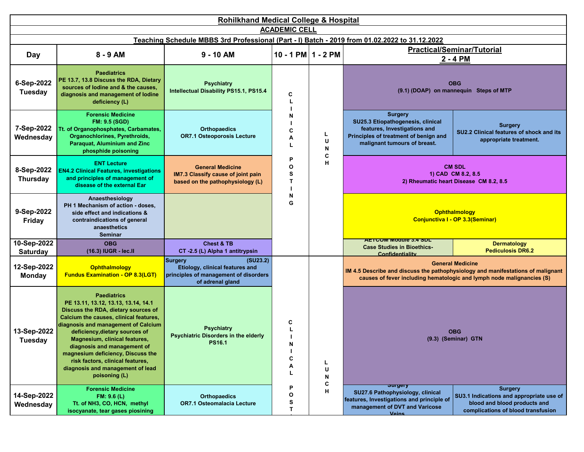| <b>Rohilkhand Medical College &amp; Hospital</b> |                                                                                                                                                                                                                                                                                                                                                                                                                   |                                                                                                                            |                        |                                                                                    |                                                                                                                                                              |                                                                                                                                                                                     |  |  |  |
|--------------------------------------------------|-------------------------------------------------------------------------------------------------------------------------------------------------------------------------------------------------------------------------------------------------------------------------------------------------------------------------------------------------------------------------------------------------------------------|----------------------------------------------------------------------------------------------------------------------------|------------------------|------------------------------------------------------------------------------------|--------------------------------------------------------------------------------------------------------------------------------------------------------------|-------------------------------------------------------------------------------------------------------------------------------------------------------------------------------------|--|--|--|
|                                                  | <b>ACADEMIC CELL</b>                                                                                                                                                                                                                                                                                                                                                                                              |                                                                                                                            |                        |                                                                                    |                                                                                                                                                              |                                                                                                                                                                                     |  |  |  |
|                                                  | Teaching Schedule MBBS 3rd Professional (Part - I) Batch - 2019 from 01.02.2022 to 31.12.2022                                                                                                                                                                                                                                                                                                                     |                                                                                                                            |                        |                                                                                    |                                                                                                                                                              |                                                                                                                                                                                     |  |  |  |
| Day                                              | 8 - 9 AM                                                                                                                                                                                                                                                                                                                                                                                                          | $9 - 10$ AM                                                                                                                | $10 - 1$ PM $1 - 2$ PM |                                                                                    | <b>Practical/Seminar/Tutorial</b><br>2 - 4 PM                                                                                                                |                                                                                                                                                                                     |  |  |  |
| 6-Sep-2022<br><b>Tuesday</b>                     | <b>Paediatrics</b><br>PE 13.7, 13.8 Discuss the RDA, Dietary<br>sources of lodine and & the causes,<br>diagnosis and management of lodine<br>deficiency (L)                                                                                                                                                                                                                                                       | <b>Psychiatry</b><br>Intellectual Disability PS15.1, PS15.4                                                                | C                      | Ν<br>C<br>L<br>А<br>U<br>L<br>N<br>C<br>P<br>Н<br>O<br>S<br>$\mathsf{T}$<br>N<br>G |                                                                                                                                                              | <b>OBG</b><br>(9.1) (DOAP) on mannequin Steps of MTP                                                                                                                                |  |  |  |
| 7-Sep-2022<br>Wednesday                          | <b>Forensic Medicine</b><br><b>FM: 9.5 (SGD)</b><br>Tt. of Organophosphates, Carbamates,<br>Organochlorines, Pyrethroids,<br>Paraquat, Aluminium and Zinc<br>phosphide poisoning                                                                                                                                                                                                                                  | <b>Orthopaedics</b><br><b>OR7.1 Osteoporosis Lecture</b>                                                                   |                        |                                                                                    | <b>Surgery</b><br>SU25.3 Etiopathogenesis, clinical<br>features, Investigations and<br>Principles of treatment of benign and<br>malignant tumours of breast. | <b>Surgery</b><br>SU2.2 Clinical features of shock and its<br>appropriate treatment.                                                                                                |  |  |  |
| 8-Sep-2022<br>Thursday                           | <b>ENT Lecture</b><br><b>EN4.2 Clinical Features, investigations</b><br>and principles of management of<br>disease of the external Ear                                                                                                                                                                                                                                                                            | <b>General Medicine</b><br>IM7.3 Classify cause of joint pain<br>based on the pathophysiology (L)                          |                        |                                                                                    |                                                                                                                                                              | <b>CM SDL</b><br>1) CAD CM 8.2, 8.5<br>2) Rheumatic heart Disease CM 8.2, 8.5                                                                                                       |  |  |  |
| 9-Sep-2022<br>Friday                             | Anaesthesiology<br>PH 1 Mechanism of action - doses,<br>side effect and indications &<br>contraindications of general<br>anaesthetics<br><b>Seminar</b>                                                                                                                                                                                                                                                           | <b>AETCOM Module 3.4</b><br><b>Case Studies in Bioethics-Confidentiality</b><br>(ICENT)                                    |                        |                                                                                    |                                                                                                                                                              | <b>Ophthalmology</b><br>Conjunctiva I - OP 3.3(Seminar)                                                                                                                             |  |  |  |
| 10-Sep-2022<br><b>Saturday</b>                   | <b>OBG</b><br>(16.3) IUGR - lec.ll                                                                                                                                                                                                                                                                                                                                                                                | <b>Chest &amp; TB</b><br>CT -2.5 (L) Alpha 1 antitrypsin                                                                   |                        |                                                                                    | <b>ALL LOW MODULE 3.4 SUL</b><br><b>Case Studies in Bioethics-</b><br>Confidentiality                                                                        | <b>Dermatology</b><br><b>Pediculosis DR6.2</b>                                                                                                                                      |  |  |  |
| 12-Sep-2022<br><b>Monday</b>                     | Ophthalmology<br><b>Fundus Examination - OP 8.3(LGT)</b>                                                                                                                                                                                                                                                                                                                                                          | <b>Surgery</b><br>(SU23.2)<br>Etiology, clinical features and<br>principles of management of disorders<br>of adrenal gland |                        |                                                                                    |                                                                                                                                                              | <b>General Medicine</b><br>IM 4.5 Describe and discuss the pathophysiology and manifestations of malignant<br>causes of fever including hematologic and lymph node malignancies (S) |  |  |  |
| 13-Sep-2022<br><b>Tuesday</b>                    | <b>Paediatrics</b><br>PE 13.11, 13.12, 13.13, 13.14, 14.1<br>Discuss the RDA, dietary sources of<br>Calcium the causes, clinical features,<br>diagnosis and management of Calcium<br>deficiency, dietary sources of<br>Magnesium, clinical features,<br>diagnosis and management of<br>magnesium deficiency, Discuss the<br>risk factors, clinical features,<br>diagnosis and management of lead<br>poisoning (L) | <b>Psychiatry</b><br><b>Psychiatric Disorders in the elderly</b><br><b>PS16.1</b>                                          | C<br>N<br>C<br>Α<br>L  | L<br>U<br>N<br>C                                                                   |                                                                                                                                                              | <b>OBG</b><br>(9.3) (Seminar) GTN                                                                                                                                                   |  |  |  |
| 14-Sep-2022<br>Wednesday                         | <b>Forensic Medicine</b><br>FM: 9.6 (L)<br>Tt. of NH3, CO, HCN, methyl<br>isocyanate, tear gases piosining                                                                                                                                                                                                                                                                                                        | <b>Orthopaedics</b><br><b>OR7.1 Osteomalacia Lecture</b>                                                                   | P<br>О<br>s<br>Т       | н                                                                                  | ञ्जापुराy<br>SU27.6 Pathophysiology, clinical<br>features, Investigations and principle of<br>management of DVT and Varicose<br><b>Voine</b>                 | <b>Surgery</b><br>SU3.1 Indications and appropriate use of<br>blood and blood products and<br>complications of blood transfusion                                                    |  |  |  |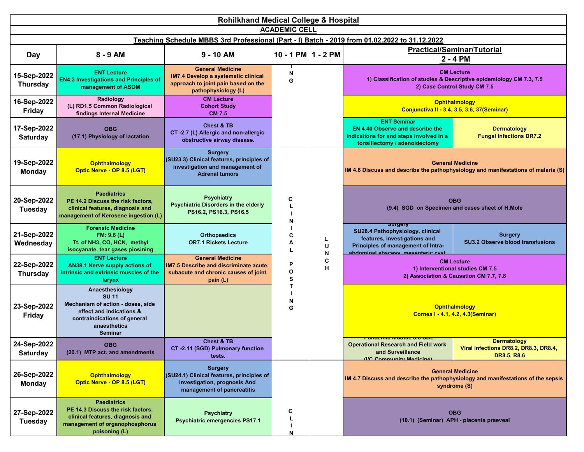| <b>Rohilkhand Medical College &amp; Hospital</b><br><b>ACADEMIC CELL</b>                      |                                                                                                                                                                    |                                                                                                                                     |                                 |        |                                                                                                                                                                     |                                                                                                                             |  |  |  |
|-----------------------------------------------------------------------------------------------|--------------------------------------------------------------------------------------------------------------------------------------------------------------------|-------------------------------------------------------------------------------------------------------------------------------------|---------------------------------|--------|---------------------------------------------------------------------------------------------------------------------------------------------------------------------|-----------------------------------------------------------------------------------------------------------------------------|--|--|--|
| Teaching Schedule MBBS 3rd Professional (Part - I) Batch - 2019 from 01.02.2022 to 31.12.2022 |                                                                                                                                                                    |                                                                                                                                     |                                 |        |                                                                                                                                                                     |                                                                                                                             |  |  |  |
| Day                                                                                           | $8 - 9$ AM                                                                                                                                                         | $9 - 10$ AM                                                                                                                         | $10 - 1$ PM $1 - 2$ PM          |        | <b>Practical/Seminar/Tutorial</b><br>2 - 4 PM                                                                                                                       |                                                                                                                             |  |  |  |
| 15-Sep-2022<br><b>Thursday</b>                                                                | <b>ENT Lecture</b><br><b>EN4.3 Investigations and Principles of</b><br>management of ASOM                                                                          | <b>General Medicine</b><br><b>IM7.4 Develop a systematic clinical</b><br>approach to joint pain based on the<br>pathophysiology (L) | N<br>G                          |        |                                                                                                                                                                     | <b>CM Lecture</b><br>1) Classification of studies & Descriptive epidemiology CM 7.3, 7.5<br>2) Case Control Study CM 7.5    |  |  |  |
| 16-Sep-2022<br><b>Friday</b>                                                                  | Radiology<br>(L) RD1.5 Common Radiological<br>findings Internal Medicine                                                                                           | <b>CM Lecture</b><br><b>Cohort Study</b><br><b>CM 7.5</b>                                                                           |                                 |        |                                                                                                                                                                     | Ophthalmology<br>Conjunctiva II - 3.4, 3.5, 3.6, 37(Seminar)                                                                |  |  |  |
| 17-Sep-2022<br><b>Saturday</b>                                                                | <b>OBG</b><br>(17.1) Physiology of lactation                                                                                                                       | <b>Chest &amp; TB</b><br>CT-2.7 (L) Allergic and non-allergic<br>obstructive airway disease.                                        |                                 |        | <b>ENT Seminar</b><br><b>EN 4.40 Observe and describe the</b><br>indications for and steps involved in a<br>tonsillectomy / adenoidectomy                           | <b>Dermatology</b><br><b>Fungal Infections DR7.2</b>                                                                        |  |  |  |
| 19-Sep-2022<br><b>Monday</b>                                                                  | <b>Ophthalmology</b><br>Optic Nerve - OP 8.5 (LGT)                                                                                                                 | <b>Surgery</b><br>(SU23.3) Clinical features, principles of<br>investigation and management of<br><b>Adrenal tumors</b>             | C<br>N<br>C<br>L<br>А<br>U<br>L |        | <b>General Medicine</b><br>IM 4.6 Discuss and describe the pathophysiology and manifestations of malaria (S)                                                        |                                                                                                                             |  |  |  |
| 20-Sep-2022<br><b>Tuesday</b>                                                                 | <b>Paediatrics</b><br>PE 14.2 Discuss the risk factors,<br>clinical features, diagnosis and<br>management of Kerosene ingestion (L)                                | <b>Psychiatry</b><br><b>Psychiatric Disorders in the elderly</b><br>PS16.2, PS16.3, PS16.5                                          |                                 |        |                                                                                                                                                                     | <b>OBG</b><br>(9.4) SGD on Specimen and cases sheet of H.Mole                                                               |  |  |  |
| 21-Sep-2022<br>Wednesday                                                                      | <b>Forensic Medicine</b><br>FM: 9.6(L)<br>Tt. of NH3, CO, HCN, methyl<br>isocyanate, tear gases piosining                                                          | <b>Orthopaedics</b><br><b>OR7.1 Rickets Lecture</b>                                                                                 |                                 | N      | <del>उषापुरा</del> y<br>SU28.4 Pathophysiology, clinical<br>features, investigations and<br>Principles of management of Intra-<br>abdominal abecose mosontorio quet | <b>Surgery</b><br><b>SU3.2 Observe blood transfusions</b>                                                                   |  |  |  |
| 22-Sep-2022<br><b>Thursday</b>                                                                | <b>ENT Lecture</b><br>AN38.1 Nerve supply actions of<br>intrinsic and extrinsic muscles of the<br>larynx                                                           | <b>General Medicine</b><br>IM7.5 Describe and discriminate acute,<br>subacute and chronic causes of joint<br>pain (L)               | P<br>O<br>s                     | C<br>н |                                                                                                                                                                     | <b>CM Lecture</b><br>1) Interventional studies CM 7.5<br>2) Association & Causation CM 7.7, 7.8                             |  |  |  |
| 23-Sep-2022<br><b>Friday</b>                                                                  | Anaesthesiology<br><b>SU 11</b><br>Mechanism of action - doses, side<br>effect and indications &<br>contraindications of general<br>anaesthetics<br><b>Seminar</b> | <b>AETCOM Module 3.4 SDL</b><br><b>Case Studies in Bioethics-Confidentiality</b><br>(I/C Ophthalmology)                             | $\mathsf{T}$<br>N<br>G          |        |                                                                                                                                                                     | <b>Ophthalmology</b><br>Cornea I - 4.1, 4.2, 4.3(Seminar)                                                                   |  |  |  |
| 24-Sep-2022<br><b>Saturday</b>                                                                | <b>OBG</b><br>(20.1) MTP act. and amendments                                                                                                                       | <b>Chest &amp; TB</b><br>CT-2.11 (SGD) Pulmonary function<br>tests.                                                                 |                                 |        | <u>רסט טיס אוויסטוויט וואסטווא</u><br><b>Operational Research and Field work</b><br>and Surveillance<br>(IIC Community Modicino)                                    | <b>Dermatology</b><br>Viral Infections DR8.2, DR8.3, DR8.4,<br><b>DR8.5, R8.6</b>                                           |  |  |  |
| 26-Sep-2022<br><b>Monday</b>                                                                  | <b>Ophthalmology</b><br>Optic Nerve - OP 8.5 (LGT)                                                                                                                 | <b>Surgery</b><br>(SU24.1) Clinical features, principles of<br>investigation, prognosis And<br>management of pancreatitis           |                                 |        |                                                                                                                                                                     | <b>General Medicine</b><br>IM 4.7 Discuss and describe the pathophysiology and manifestations of the sepsis<br>syndrome (S) |  |  |  |
| 27-Sep-2022<br><b>Tuesday</b>                                                                 | <b>Paediatrics</b><br>PE 14.3 Discuss the risk factors,<br>clinical features, diagnosis and<br>management of organophosphorus<br>poisoning (L)                     | <b>Psychiatry</b><br><b>Psychiatric emergencies PS17.1</b>                                                                          | c<br>L<br>N                     |        |                                                                                                                                                                     | <b>OBG</b><br>(10.1) (Seminar) APH - placenta praeveal                                                                      |  |  |  |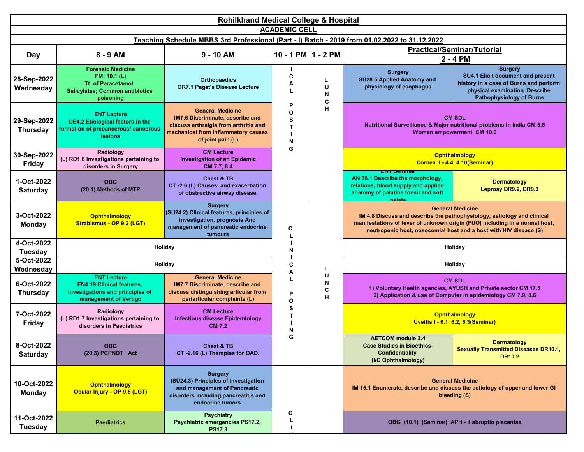| <b>Rohilkhand Medical College &amp; Hospital</b> |                                                                                                                                    |                                                                                                                                                                  |                       |                  |                                                                                                                                             |                                                                                                                                                                                                                                                        |  |  |  |
|--------------------------------------------------|------------------------------------------------------------------------------------------------------------------------------------|------------------------------------------------------------------------------------------------------------------------------------------------------------------|-----------------------|------------------|---------------------------------------------------------------------------------------------------------------------------------------------|--------------------------------------------------------------------------------------------------------------------------------------------------------------------------------------------------------------------------------------------------------|--|--|--|
| <b>ACADEMIC CELL</b>                             |                                                                                                                                    |                                                                                                                                                                  |                       |                  |                                                                                                                                             |                                                                                                                                                                                                                                                        |  |  |  |
|                                                  | Teaching Schedule MBBS 3rd Professional (Part - I) Batch - 2019 from 01.02.2022 to 31.12.2022<br><b>Practical/Seminar/Tutorial</b> |                                                                                                                                                                  |                       |                  |                                                                                                                                             |                                                                                                                                                                                                                                                        |  |  |  |
| Day                                              | 8 - 9 AM                                                                                                                           | $9 - 10$ AM                                                                                                                                                      | 10 - 1 PM $1 - 2$ PM  |                  | 2 - 4 PM                                                                                                                                    |                                                                                                                                                                                                                                                        |  |  |  |
| 28-Sep-2022<br>Wednesday                         | <b>Forensic Medicine</b><br>FM: 10.1 (L)<br>Tt. of Paracetamol,<br><b>Salicylates: Common antibiotics</b><br>poisoning             | <b>Orthopaedics</b><br><b>OR7.1 Paget's Disease Lecture</b>                                                                                                      | C<br>А                | L<br>U<br>N<br>C | <b>Surgery</b><br>SU28.5 Applied Anatomy and<br>physiology of esophagus                                                                     | <b>Surgery</b><br>SU4.1 Elicit document and present<br>history in a case of Burns and perform<br>physical examination. Describe<br><b>Pathophysiology of Burns</b>                                                                                     |  |  |  |
| 29-Sep-2022<br><b>Thursday</b>                   | <b>ENT Lecture</b><br><b>DE4.2 Etiological factors in the</b><br>formation of precancerous/ cancerous<br>lesions                   | <b>General Medicine</b><br>IM7.6 Discriminate, describe and<br>discuss arthralgia from arthritis and<br>mechanical from inflammatory causes<br>of joint pain (L) | P<br>O<br>S<br>Т<br>N | н                |                                                                                                                                             | <b>CM SDL</b><br>Nutritional Surveillance & Major nutritional problems in India CM 5.5<br>Women empowerment CM 10.9                                                                                                                                    |  |  |  |
| 30-Sep-2022<br><b>Friday</b>                     | Radiology<br>(L) RD1.6 Investigations pertaining to<br>disorders in Surgery                                                        | <b>CM Lecture</b><br><b>Investigation of an Epidemic</b><br>CM 7.7, 8.4                                                                                          | G                     |                  |                                                                                                                                             | Ophthalmology<br>Cornea II - 4.4, 4.10(Seminar)                                                                                                                                                                                                        |  |  |  |
| 1-Oct-2022<br><b>Saturday</b>                    | <b>OBG</b><br>(20.1) Methods of MTP                                                                                                | <b>Chest &amp; TB</b><br>CT-2.6 (L) Causes and exacerbation<br>of obstructive airway disease.                                                                    |                       |                  | <u>En oemma</u><br>AN 36.1 Describe the morphology,<br>relations, blood supply and applied<br>anatomy of palatine tonsil and soft<br>nalato | <b>Dermatology</b><br>Leprosy DR9.2, DR9.3                                                                                                                                                                                                             |  |  |  |
| 3-Oct-2022<br><b>Monday</b>                      | <b>Ophthalmology</b><br>Strabismus - OP 9.2 (LGT)                                                                                  | <b>Surgery</b><br>(SU24.2) Clinical features, principles of<br>investigation, prognosis And<br>management of pancreatic endocrine<br>tumours                     | C<br>L                |                  |                                                                                                                                             | <b>General Medicine</b><br>IM 4.8 Discuss and describe the pathophysiology, aetiology and clinical<br>manifestations of fever of unknown origin (FUO) including in a normal host,<br>neutropenic host, nosocomial host and a host with HIV disease (S) |  |  |  |
| 4-Oct-2022<br><b>Tuesday</b>                     |                                                                                                                                    | Holiday                                                                                                                                                          | N                     |                  |                                                                                                                                             | Holiday                                                                                                                                                                                                                                                |  |  |  |
| 5-Oct-2022<br>Wednesday                          |                                                                                                                                    | Holiday                                                                                                                                                          | C<br>A                | Ч                | Holiday                                                                                                                                     |                                                                                                                                                                                                                                                        |  |  |  |
| 6-Oct-2022<br><b>Thursday</b>                    | <b>ENT Lecture</b><br><b>EN4.19 Clinical features,</b><br>investigations and principles of<br>management of Vertigo                | <b>General Medicine</b><br>IM7.7 Discriminate, describe and<br>discuss distinguishing articular from<br>periarticular complaints (L)                             | L<br>P<br>O           | U<br>N<br>C<br>н |                                                                                                                                             | <b>CM SDL</b><br>1) Voluntary Health agencies, AYUSH and Private sector CM 17.5<br>2) Application & use of Computer in epidemiology CM 7.9, 8.6                                                                                                        |  |  |  |
| 7-Oct-2022<br><b>Friday</b>                      | Radiology<br>(L) RD1.7 Investigations pertaining to<br>disorders in Paediatrics                                                    | <b>CM Lecture</b><br><b>Infectious disease Epidemiology</b><br><b>CM 7.2</b>                                                                                     | s<br>T<br>N           |                  |                                                                                                                                             | Ophthalmology<br><b>Uveitis I - 6.1, 6.2, 6.3 (Seminar)</b>                                                                                                                                                                                            |  |  |  |
| 8-Oct-2022<br><b>Saturday</b>                    | <b>OBG</b><br>(20.3) PCPNDT Act                                                                                                    | <b>Chest &amp; TB</b><br>CT-2.16 (L) Therapies for OAD.                                                                                                          | G                     |                  | <b>AETCOM</b> module 3.4<br><b>Case Studies in Bioethics-</b><br><b>Confidentiality</b><br>(I/C Ophthalmology)                              | <b>Dermatology</b><br><b>Sexually Transmitted Diseases DR10.1,</b><br><b>DR10.2</b>                                                                                                                                                                    |  |  |  |
| 10-Oct-2022<br><b>Monday</b>                     | <b>Ophthalmology</b><br>Ocular Injury - OP 9.5 (LGT)                                                                               | <b>Surgery</b><br>(SU24.3) Principles of investigation<br>and management of Pancreatic<br>disorders including pancreatitis and<br>endocrine tumors.              |                       |                  |                                                                                                                                             | <b>General Medicine</b><br>IM 15.1 Enumerate, describe and discuss the aetiology of upper and lower GI<br>bleeding (S)                                                                                                                                 |  |  |  |
| 11-Oct-2022<br><b>Tuesday</b>                    | <b>Paediatrics</b>                                                                                                                 | <b>Psychiatry</b><br>Psychiatric emergencies PS17.2,<br><b>PS17.3</b>                                                                                            | С                     |                  |                                                                                                                                             | OBG (10.1) (Seminar) APH - Il abruptio placentae                                                                                                                                                                                                       |  |  |  |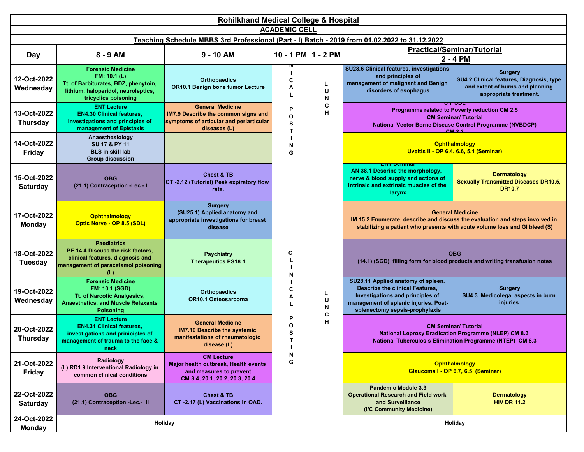| <b>Rohilkhand Medical College &amp; Hospital</b> |                                                                                                                                                 |                                                                                                                           |                             |                          |                                                                                                                                                                                      |                                                                                                                                                                                       |  |                                                                                                                                                                            |
|--------------------------------------------------|-------------------------------------------------------------------------------------------------------------------------------------------------|---------------------------------------------------------------------------------------------------------------------------|-----------------------------|--------------------------|--------------------------------------------------------------------------------------------------------------------------------------------------------------------------------------|---------------------------------------------------------------------------------------------------------------------------------------------------------------------------------------|--|----------------------------------------------------------------------------------------------------------------------------------------------------------------------------|
| <b>ACADEMIC CELL</b>                             |                                                                                                                                                 |                                                                                                                           |                             |                          |                                                                                                                                                                                      |                                                                                                                                                                                       |  |                                                                                                                                                                            |
|                                                  |                                                                                                                                                 | Teaching Schedule MBBS 3rd Professional (Part - I) Batch - 2019 from 01.02.2022 to 31.12.2022                             |                             |                          |                                                                                                                                                                                      |                                                                                                                                                                                       |  |                                                                                                                                                                            |
| Day                                              | 8 - 9 AM                                                                                                                                        | $9 - 10$ AM                                                                                                               | 10 - 1 PM $1 - 2$ PM        |                          |                                                                                                                                                                                      | <b>Practical/Seminar/Tutorial</b><br>2 - 4 PM                                                                                                                                         |  |                                                                                                                                                                            |
| 12-Oct-2022<br>Wednesday                         | <b>Forensic Medicine</b><br>FM: 10.1 (L)<br>Tt. of Barbiturates, BDZ, phenytoin,<br>lithium, haloperidol, neuroleptics,<br>tricyclics poisoning | <b>Orthopaedics</b><br>OR10.1 Benign bone tumor Lecture                                                                   | C<br>А<br>L                 | L<br>U<br>N              | SU28.6 Clinical features, investigations<br>and principles of<br>management of malignant and Benign<br>disorders of esophagus                                                        | <b>Surgery</b><br>SU4.2 Clinical features, Diagnosis, type<br>and extent of burns and planning<br>appropriate treatment.                                                              |  |                                                                                                                                                                            |
| 13-Oct-2022<br><b>Thursday</b>                   | <b>ENT Lecture</b><br><b>EN4.30 Clinical features,</b><br>investigations and principles of<br>management of Epistaxis                           | <b>General Medicine</b><br>IM7.9 Describe the common signs and<br>symptoms of articular and periarticular<br>diseases (L) | P<br>O<br>S<br>T            | C<br>Н                   |                                                                                                                                                                                      |                                                                                                                                                                                       |  | ᇭᇬᇆ<br>Programme related to Poverty reduction CM 2.5<br><b>CM Seminar/ Tutorial</b><br><b>National Vector Borne Disease Control Programme (NVBDCP)</b><br>CMR <sub>3</sub> |
| 14-Oct-2022<br><b>Friday</b>                     | Anaesthesiology<br>SU 17 & PY 11<br><b>BLS</b> in skill lab<br><b>Group discussion</b>                                                          | <b>AETCOM Module 3.5</b><br><b>Case Studies in Bioethics-Fiduciary Duty</b><br>(I/C Ophthalmology)                        | N<br>G                      |                          |                                                                                                                                                                                      | <b>Ophthalmology</b><br>Uveitis II - OP 6.4, 6.6, 5.1 (Seminar)                                                                                                                       |  |                                                                                                                                                                            |
| 15-Oct-2022<br><b>Saturday</b>                   | <b>OBG</b><br>(21.1) Contraception -Lec.- I                                                                                                     | <b>Chest &amp; TB</b><br>CT -2.12 (Tutorial) Peak expiratory flow<br>rate.                                                |                             |                          | нт эчши<br>AN 38.1 Describe the morphology.<br>nerve & blood supply and actions of<br>intrinsic and extrinsic muscles of the<br>larynx                                               | <b>Dermatology</b><br><b>Sexually Transmitted Diseases DR10.5,</b><br><b>DR10.7</b>                                                                                                   |  |                                                                                                                                                                            |
| 17-Oct-2022<br><b>Monday</b>                     | <b>Ophthalmology</b><br>Optic Nerve - OP 8.5 (SDL)                                                                                              | <b>Surgery</b><br>(SU25.1) Applied anatomy and<br>appropriate investigations for breast<br>disease                        |                             |                          |                                                                                                                                                                                      | <b>General Medicine</b><br>IM 15.2 Enumerate, describe and discuss the evaluation and steps involved in<br>stabilizing a patient who presents with acute volume loss and GI bleed (S) |  |                                                                                                                                                                            |
| 18-Oct-2022<br><b>Tuesday</b>                    | <b>Paediatrics</b><br>PE 14.4 Discuss the risk factors,<br>clinical features, diagnosis and<br>management of paracetamol poisoning<br>(L)       | <b>Psychiatry</b><br><b>Therapeutics PS18.1</b>                                                                           | C<br>N                      |                          |                                                                                                                                                                                      | <b>OBG</b><br>(14.1) (SGD) filling form for blood products and writing transfusion notes                                                                                              |  |                                                                                                                                                                            |
| 19-Oct-2022<br>Wednesday                         | <b>Forensic Medicine</b><br><b>FM: 10.1 (SGD)</b><br>Tt. of Narcotic Analgesics,<br><b>Anaesthetics, and Muscle Relaxants</b><br>Poisoning      | <b>Orthopaedics</b><br>OR10.1 Osteosarcoma                                                                                | C<br>А<br>L                 | L<br>U<br>${\sf N}$<br>C | SU28.11 Applied anatomy of spleen.<br>Describe the clinical Features,<br>Investigations and principles of<br>management of splenic injuries. Post-<br>splenectomy sepsis-prophylaxis | <b>Surgery</b><br>SU4.3 Medicolegal aspects in burn<br>injuries.                                                                                                                      |  |                                                                                                                                                                            |
| 20-Oct-2022<br><b>Thursday</b>                   | <b>ENT Lecture</b><br><b>EN4.31 Clinical features,</b><br>investigations and priniciples of<br>management of trauma to the face &<br>neck       | <b>General Medicine</b><br><b>IM7.10 Describe the systemic</b><br>manifestations of rheumatologic<br>disease (L)          | P<br>O<br>S<br>$\mathbf{T}$ | н                        | <b>CM Seminar/ Tutorial</b><br><b>National Leprosy Eradication Programme (NLEP) CM 8.3</b><br><b>National Tuberculosis Elimination Programme (NTEP) CM 8.3</b>                       |                                                                                                                                                                                       |  |                                                                                                                                                                            |
| 21-Oct-2022<br><b>Friday</b>                     | Radiology<br>(L) RD1.9 Interventional Radiology in<br>common clinical conditions                                                                | <b>CM Lecture</b><br>Major health outbreak, Health events<br>and measures to prevent<br>CM 8.4, 20.1, 20.2, 20.3, 20.4    | ${\sf N}$<br>G              |                          |                                                                                                                                                                                      | Ophthalmology<br>Glaucoma I - OP 6.7, 6.5 (Seminar)                                                                                                                                   |  |                                                                                                                                                                            |
| 22-Oct-2022<br>Saturday                          | <b>OBG</b><br>(21.1) Contraception -Lec.- II                                                                                                    | <b>Chest &amp; TB</b><br>CT -2.17 (L) Vaccinations in OAD.                                                                |                             |                          | <b>Pandemic Module 3.3</b><br><b>Operational Research and Field work</b><br>and Surveillance<br>(I/C Community Medicine)                                                             | <b>Dermatology</b><br><b>HIV DR 11.2</b>                                                                                                                                              |  |                                                                                                                                                                            |
| 24-Oct-2022<br><b>Monday</b>                     |                                                                                                                                                 | Holiday                                                                                                                   |                             |                          |                                                                                                                                                                                      | Holiday                                                                                                                                                                               |  |                                                                                                                                                                            |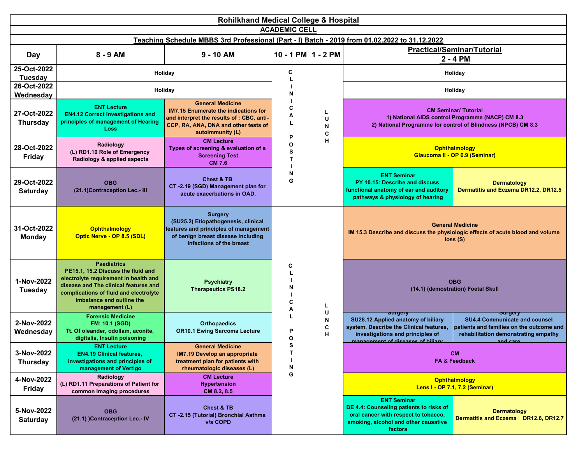| <b>Rohilkhand Medical College &amp; Hospital</b>                                                                      |                                                                                                                                                                                                                                     |                                                                                                                                                                                 |                      |                       |                                                                                                                                                                              |                                                                                                                                                            |  |  |  |
|-----------------------------------------------------------------------------------------------------------------------|-------------------------------------------------------------------------------------------------------------------------------------------------------------------------------------------------------------------------------------|---------------------------------------------------------------------------------------------------------------------------------------------------------------------------------|----------------------|-----------------------|------------------------------------------------------------------------------------------------------------------------------------------------------------------------------|------------------------------------------------------------------------------------------------------------------------------------------------------------|--|--|--|
| <b>ACADEMIC CELL</b><br>Teaching Schedule MBBS 3rd Professional (Part - I) Batch - 2019 from 01.02.2022 to 31.12.2022 |                                                                                                                                                                                                                                     |                                                                                                                                                                                 |                      |                       |                                                                                                                                                                              |                                                                                                                                                            |  |  |  |
|                                                                                                                       | <b>Practical/Seminar/Tutorial</b>                                                                                                                                                                                                   |                                                                                                                                                                                 |                      |                       |                                                                                                                                                                              |                                                                                                                                                            |  |  |  |
| Day                                                                                                                   | 8 - 9 AM                                                                                                                                                                                                                            | $9 - 10$ AM                                                                                                                                                                     | 10 - 1 PM $1 - 2$ PM |                       |                                                                                                                                                                              | 2 - 4 PM                                                                                                                                                   |  |  |  |
| 25-Oct-2022<br><b>Tuesday</b>                                                                                         |                                                                                                                                                                                                                                     | Holiday                                                                                                                                                                         | C                    |                       |                                                                                                                                                                              | Holiday                                                                                                                                                    |  |  |  |
| 26-Oct-2022<br>Wednesday                                                                                              |                                                                                                                                                                                                                                     | Holiday                                                                                                                                                                         | N                    |                       |                                                                                                                                                                              | Holiday                                                                                                                                                    |  |  |  |
| 27-Oct-2022<br><b>Thursday</b>                                                                                        | <b>ENT Lecture</b><br><b>EN4.12 Correct investigations and</b><br>principles of management of Hearing<br><b>Loss</b>                                                                                                                | <b>General Medicine</b><br><b>IM7.15 Enumerate the indications for</b><br>and interpret the results of : CBC, anti-<br>CCP, RA, ANA, DNA and other tests of<br>autoimmunity (L) | C<br>А<br>P          | L<br>U<br>N<br>C<br>н | <b>CM Seminar/ Tutorial</b><br>1) National AIDS control Programme (NACP) CM 8.3<br>2) National Programme for control of Blindness (NPCB) CM 8.3                              |                                                                                                                                                            |  |  |  |
| 28-Oct-2022<br><b>Friday</b>                                                                                          | Radiology<br>(L) RD1.10 Role of Emergency<br>Radiology & applied aspects                                                                                                                                                            | <b>CM Lecture</b><br>Types of screening & evaluation of a<br><b>Screening Test</b><br><b>CM 7.6</b>                                                                             | O<br>S<br>т          |                       | Ophthalmology<br>Glaucoma II - OP 6.9 (Seminar)                                                                                                                              |                                                                                                                                                            |  |  |  |
| 29-Oct-2022<br><b>Saturday</b>                                                                                        | <b>OBG</b><br>(21.1) Contraception Lec.- III                                                                                                                                                                                        | <b>Chest &amp; TB</b><br>CT -2.19 (SGD) Management plan for<br>acute exacerbations in OAD.                                                                                      | N<br>G               |                       | <b>ENT Seminar</b><br>PY 10.15: Describe and discuss<br>functional anatomy of ear and auditory<br>pathways & physiology of hearing                                           | <b>Dermatology</b><br>Dermatitis and Eczema DR12.2, DR12.5                                                                                                 |  |  |  |
| 31-Oct-2022<br><b>Monday</b>                                                                                          | Ophthalmology<br>Optic Nerve - OP 8.5 (SDL)                                                                                                                                                                                         | <b>Surgery</b><br>(SU25.2) Etiopathogenesis, clinical<br>features and principles of management<br>of benign breast disease including<br>infections of the breast                |                      |                       |                                                                                                                                                                              | <b>General Medicine</b><br>IM 15.3 Describe and discuss the physiologic effects of acute blood and volume<br>loss(S)                                       |  |  |  |
| 1-Nov-2022<br><b>Tuesday</b>                                                                                          | <b>Paediatrics</b><br>PE15.1, 15.2 Discuss the fluid and<br>electrolyte requirement in health and<br>disease and The clinical features and<br>complications of fluid and electrolyte<br>imbalance and outline the<br>management (L) | <b>Psychiatry</b><br><b>Therapeutics PS18.2</b>                                                                                                                                 | C<br>N<br>C<br>A     | L                     |                                                                                                                                                                              | <b>OBG</b><br>(14.1) (demostration) Foetal Skull                                                                                                           |  |  |  |
| 2-Nov-2022<br>Wednesday                                                                                               | <b>Forensic Medicine</b><br><b>FM: 10.1 (SGD)</b><br>Tt. Of oleander, odollam, aconite,<br>digitalis, Insulin poisoning                                                                                                             | <b>Orthopaedics</b><br><b>OR10.1 Ewing Sarcoma Lecture</b>                                                                                                                      | P<br>O               | U<br>N<br>C<br>н      | <del>ourgery</del><br>SU28.12 Applied anatomy of biliary<br>system. Describe the Clinical features,<br>investigations and principles of<br>management of diseases of biliary | <del>ourgery</del><br><b>SU4.4 Communicate and counsel</b><br>patients and families on the outcome and<br>rehabilitation demonstrating empathy<br>and care |  |  |  |
| 3-Nov-2022<br><b>Thursday</b>                                                                                         | <b>ENT Lecture</b><br><b>EN4.19 Clinical features,</b><br>investigations and principles of<br>management of Vertigo                                                                                                                 | <b>General Medicine</b><br><b>IM7.19 Develop an appropriate</b><br>treatment plan for patients with<br>rheumatologic diseases (L)                                               | s<br>Т<br>N<br>G     |                       |                                                                                                                                                                              | <b>CM</b><br><b>FA &amp; Feedback</b>                                                                                                                      |  |  |  |
| 4-Nov-2022<br><b>Friday</b>                                                                                           | Radiology<br>(L) RD1.11 Preparations of Patient for<br>common Imaging procedures                                                                                                                                                    | <b>CM Lecture</b><br><b>Hypertension</b><br>CM 8.2, 8.5                                                                                                                         |                      |                       |                                                                                                                                                                              | <b>Ophthalmology</b><br>Lens I - OP 7.1, 7.2 (Seminar)                                                                                                     |  |  |  |
| 5-Nov-2022<br><b>Saturday</b>                                                                                         | <b>OBG</b><br>(21.1) )Contraception Lec.- IV                                                                                                                                                                                        | <b>Chest &amp; TB</b><br>CT-2.15 (Tutorial) Bronchial Asthma<br>v/s COPD                                                                                                        |                      |                       | <b>ENT Seminar</b><br>DE 4.4: Counseling patients to risks of<br>oral cancer with respect to tobacco,<br>smoking, alcohol and other causative<br><b>factors</b>              | <b>Dermatology</b><br>Dermatitis and Eczema DR12.6, DR12.7                                                                                                 |  |  |  |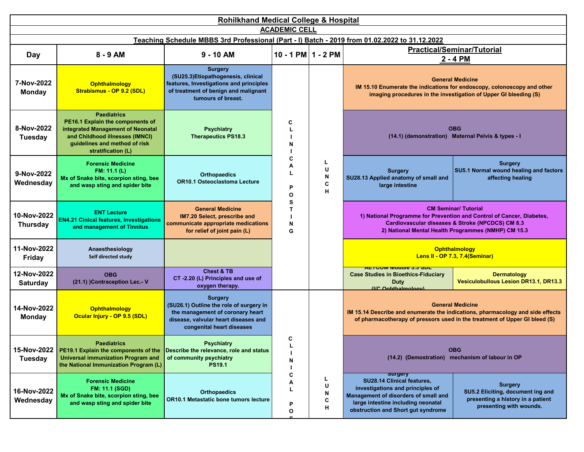| <b>Rohilkhand Medical College &amp; Hospital</b>                                                                      |                                                                                                                                                                                       |                                                                                                                                                                    |                                                                               |                       |                                                                                                                                                                                                      |                                                                                                                                                                                                                 |  |  |  |
|-----------------------------------------------------------------------------------------------------------------------|---------------------------------------------------------------------------------------------------------------------------------------------------------------------------------------|--------------------------------------------------------------------------------------------------------------------------------------------------------------------|-------------------------------------------------------------------------------|-----------------------|------------------------------------------------------------------------------------------------------------------------------------------------------------------------------------------------------|-----------------------------------------------------------------------------------------------------------------------------------------------------------------------------------------------------------------|--|--|--|
| <b>ACADEMIC CELL</b><br>Teaching Schedule MBBS 3rd Professional (Part - I) Batch - 2019 from 01.02.2022 to 31.12.2022 |                                                                                                                                                                                       |                                                                                                                                                                    |                                                                               |                       |                                                                                                                                                                                                      |                                                                                                                                                                                                                 |  |  |  |
|                                                                                                                       |                                                                                                                                                                                       |                                                                                                                                                                    |                                                                               |                       |                                                                                                                                                                                                      |                                                                                                                                                                                                                 |  |  |  |
| <b>Day</b>                                                                                                            | 8 - 9 AM                                                                                                                                                                              | $9 - 10$ AM                                                                                                                                                        | 10 - 1 PM $1 - 2$ PM                                                          |                       | <b>Practical/Seminar/Tutorial</b><br>2 - 4 PM                                                                                                                                                        |                                                                                                                                                                                                                 |  |  |  |
| 7-Nov-2022<br><b>Monday</b>                                                                                           | <b>Ophthalmology</b><br>Strabismus - OP 9.2 (SDL)                                                                                                                                     | <b>Surgery</b><br>(SU25.3)Etiopathogenesis, clinical<br>features, Investigations and principles<br>of treatment of benign and malignant<br>tumours of breast.      |                                                                               | С<br>N                |                                                                                                                                                                                                      | <b>General Medicine</b><br>IM 15.10 Enumerate the indications for endoscopy, colonoscopy and other<br>imaging procedures in the investigation of Upper GI bleeding (S)                                          |  |  |  |
| 8-Nov-2022<br><b>Tuesday</b>                                                                                          | <b>Paediatrics</b><br>PE16.1 Explain the components of<br>integrated Management of Neonatal<br>and Childhood illnesses (IMNCI)<br>guidelines and method of risk<br>stratification (L) | <b>Psychiatry</b><br><b>Therapeutics PS18.3</b>                                                                                                                    | C<br>L<br>Α<br>U<br>L<br>N<br>C<br>P<br>н<br>O<br>s<br>$\mathbf{T}$<br>N<br>G |                       |                                                                                                                                                                                                      | <b>OBG</b><br>(14.1) (demonstration) Maternal Pelvis & types - I                                                                                                                                                |  |  |  |
| 9-Nov-2022<br>Wednesday                                                                                               | <b>Forensic Medicine</b><br>FM: 11.1 (L)<br>Mx of Snake bite, scorpion sting, bee<br>and wasp sting and spider bite                                                                   | <b>Orthopaedics</b><br><b>OR10.1 Osteoclastoma Lecture</b>                                                                                                         |                                                                               |                       | <b>Surgery</b><br>SU28.13 Applied anatomy of small and<br>large intestine                                                                                                                            | <b>Surgery</b><br>SU5.1 Normal wound healing and factors<br>affecting healing                                                                                                                                   |  |  |  |
| 10-Nov-2022<br><b>Thursday</b>                                                                                        | <b>ENT Lecture</b><br><b>EN4.21 Cinical features, investigations</b><br>and management of Tinnitus                                                                                    | <b>General Medicine</b><br>IM7.20 Select, prescribe and<br>communicate appropriate medications<br>for relief of joint pain (L)                                     |                                                                               |                       |                                                                                                                                                                                                      | <b>CM Seminar/ Tutorial</b><br>1) National Programme for Prevention and Control of Cancer, Diabetes,<br>Cardiovascular diseases & Stroke (NPCDCS) CM 8.3<br>2) National Mental Health Programmes (NMHP) CM 15.3 |  |  |  |
| 11-Nov-2022<br>Friday                                                                                                 | Anaesthesiology<br>Self directed study                                                                                                                                                | <b>AETCOM Module 3.5 SDL</b><br><b>Case Studies in Bioethics-Fiduciary Duty</b><br>(I/C Ophthalmology)                                                             |                                                                               |                       |                                                                                                                                                                                                      | <b>Ophthalmology</b><br>Lens II - OP 7.3, 7.4(Seminar)                                                                                                                                                          |  |  |  |
| 12-Nov-2022<br><b>Saturday</b>                                                                                        | <b>OBG</b><br>(21.1) )Contraception Lec.- V                                                                                                                                           | <b>Chest &amp; TB</b><br>CT-2.20 (L) Principles and use of<br>oxygen therapy.                                                                                      |                                                                               |                       | <u>יטט טיט אוויטט ווא</u><br><b>Case Studies in Bioethics-Fiduciary</b><br>Duty<br>(IIC Ophthalmology)                                                                                               | <b>Dermatology</b><br><b>Vesiculobullous Lesion DR13.1, DR13.3</b>                                                                                                                                              |  |  |  |
| 14-Nov-2022<br><b>Monday</b>                                                                                          | Ophthalmology<br>Ocular Injury - OP 9.5 (SDL)                                                                                                                                         | <b>Surgery</b><br>(SU26.1) Outline the role of surgery in<br>the management of coronary heart<br>disease, valvular heart diseases and<br>congenital heart diseases |                                                                               |                       |                                                                                                                                                                                                      | <b>General Medicine</b><br>IM 15.14 Describe and enumerate the indications, pharmacology and side effects<br>of pharmacotherapy of pressors used in the treatment of Upper GI bleed (S)                         |  |  |  |
| 15-Nov-2022<br>Tuesday                                                                                                | <b>Paediatrics</b><br>PE19.1 Explain the components of the<br><b>Universal immunization Program and</b><br>the National Immunization Program (L)                                      | <b>Psychiatry</b><br>Describe the relevance, role and status<br>of community psychiatry<br><b>PS19.1</b>                                                           | C<br>느<br>N<br>c<br>Α<br>L<br>P<br>О                                          |                       |                                                                                                                                                                                                      | <b>OBG</b><br>(14.2) (Demostration) mechanism of labour in OP                                                                                                                                                   |  |  |  |
| 16-Nov-2022<br>Wednesday                                                                                              | <b>Forensic Medicine</b><br><b>FM: 11.1 (SGD)</b><br>Mx of Snake bite, scorpion sting, bee<br>and wasp sting and spider bite                                                          | <b>Orthopaedics</b><br>OR10.1 Metastatic bone tumors lecture                                                                                                       |                                                                               | L<br>U<br>N<br>C<br>н | <b>Surgery</b><br>SU28.14 Clinical features,<br>investigations and principles of<br>Management of disorders of small and<br>large intestine including neonatal<br>obstruction and Short gut syndrome | <b>Surgery</b><br>SU5.2 Eliciting, document ing and<br>presenting a history in a patient<br>presenting with wounds.                                                                                             |  |  |  |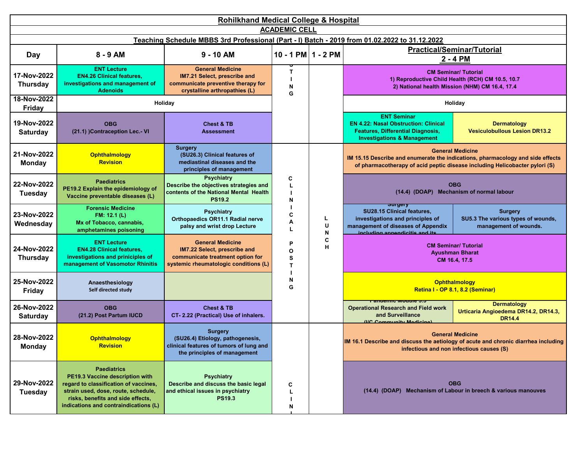| <b>Rohilkhand Medical College &amp; Hospital</b> |                                                                                                                                                                                                                     |                                                                                                                                      |                             |             |                                                                                                                                                              |                                                                                                                                                                                          |  |  |  |
|--------------------------------------------------|---------------------------------------------------------------------------------------------------------------------------------------------------------------------------------------------------------------------|--------------------------------------------------------------------------------------------------------------------------------------|-----------------------------|-------------|--------------------------------------------------------------------------------------------------------------------------------------------------------------|------------------------------------------------------------------------------------------------------------------------------------------------------------------------------------------|--|--|--|
|                                                  | <b>ACADEMIC CELL</b><br>Teaching Schedule MBBS 3rd Professional (Part - I) Batch - 2019 from 01.02.2022 to 31.12.2022                                                                                               |                                                                                                                                      |                             |             |                                                                                                                                                              |                                                                                                                                                                                          |  |  |  |
|                                                  |                                                                                                                                                                                                                     |                                                                                                                                      |                             |             |                                                                                                                                                              | <b>Practical/Seminar/Tutorial</b>                                                                                                                                                        |  |  |  |
| Day                                              | $8 - 9$ AM                                                                                                                                                                                                          | $9 - 10$ AM                                                                                                                          | $10 - 1$ PM $1 - 2$ PM      |             |                                                                                                                                                              | 2 - 4 PM                                                                                                                                                                                 |  |  |  |
| 17-Nov-2022<br><b>Thursday</b>                   | <b>ENT Lecture</b><br><b>EN4.26 Clinical features,</b><br>investigations and management of<br><b>Adenoids</b>                                                                                                       | <b>General Medicine</b><br>IM7.21 Select, prescribe and<br>communicate preventive therapy for<br>crystalline arthropathies (L)       | $\mathsf{T}$<br>N<br>G      |             | <b>CM Seminar/ Tutorial</b><br>1) Reproductive Child Health (RCH) CM 10.5, 10.7<br>2) National health Mission (NHM) CM 16.4, 17.4                            |                                                                                                                                                                                          |  |  |  |
| 18-Nov-2022<br><b>Friday</b>                     |                                                                                                                                                                                                                     | Holiday                                                                                                                              |                             |             |                                                                                                                                                              | Holiday                                                                                                                                                                                  |  |  |  |
| 19-Nov-2022<br><b>Saturday</b>                   | <b>OBG</b><br>(21.1) )Contraception Lec.- VI                                                                                                                                                                        | <b>Chest &amp; TB</b><br><b>Assessment</b>                                                                                           |                             |             | <b>ENT Seminar</b><br><b>EN 4.22: Nasal Obstruction: Clinical</b><br><b>Features, Differential Diagnosis,</b><br><b>Investigations &amp; Management</b>      | <b>Dermatology</b><br><b>Vesiculobullous Lesion DR13.2</b>                                                                                                                               |  |  |  |
| 21-Nov-2022<br><b>Monday</b>                     | <b>Ophthalmology</b><br><b>Revision</b>                                                                                                                                                                             | <b>Surgery</b><br>(SU26.3) Clinical features of<br>mediastinal diseases and the<br>principles of management                          |                             |             |                                                                                                                                                              | <b>General Medicine</b><br>IM 15.15 Describe and enumerate the indications, pharmacology and side effects<br>of pharmacotherapy of acid peptic disease including Helicobacter pylori (S) |  |  |  |
| 22-Nov-2022<br><b>Tuesday</b>                    | <b>Paediatrics</b><br>PE19.2 Explain the epidemiology of<br>Vaccine preventable diseases (L)                                                                                                                        | <b>Psychiatry</b><br>Describe the objectives strategies and<br>contents of the National Mental Health<br><b>PS19.2</b>               | C<br>L<br>N                 |             | <b>OBG</b><br>(14.4) (DOAP) Mechanism of normal labour                                                                                                       |                                                                                                                                                                                          |  |  |  |
| 23-Nov-2022<br>Wednesday                         | <b>Forensic Medicine</b><br>FM: 12.1 (L)<br>Mx of Tobacco, cannabis,<br>amphetamines poisoning                                                                                                                      | <b>Psychiatry</b><br><b>Orthopaedics OR11.1 Radial nerve</b><br>palsy and wrist drop Lecture                                         | C<br>A<br>L                 | L<br>U<br>N | <del>ourgery</del><br>SU28.15 Clinical features,<br>investigations and principles of<br>management of diseases of Appendix<br>including annondicitie and ite | <b>Surgery</b><br>SU5.3 The various types of wounds,<br>management of wounds.                                                                                                            |  |  |  |
| 24-Nov-2022<br><b>Thursday</b>                   | <b>ENT Lecture</b><br><b>EN4.28 Clinical features,</b><br>investigations and priniciples of<br>management of Vasomotor Rhinitis                                                                                     | <b>General Medicine</b><br>IM7.22 Select, prescribe and<br>communicate treatment option for<br>systemic rheumatologic conditions (L) | P<br>O<br>s<br>$\mathbf{T}$ | С<br>н      |                                                                                                                                                              | <b>CM Seminar/ Tutorial</b><br><b>Ayushman Bharat</b><br>CM 16.4, 17.5                                                                                                                   |  |  |  |
| 25-Nov-2022<br><b>Friday</b>                     | Anaesthesiology<br>Self directed study                                                                                                                                                                              | <b>AETCOM Module 3.5</b><br><b>Case Studies in Bioethics-Fiduciary Duty</b><br>(I/C Ophthalmology)                                   | N<br>G                      |             |                                                                                                                                                              | Ophthalmology<br>Retina I - OP 8.1, 8.2 (Seminar)                                                                                                                                        |  |  |  |
| 26-Nov-2022<br><b>Saturday</b>                   | <b>OBG</b><br>(21.2) Post Partum IUCD                                                                                                                                                                               | <b>Chest &amp; TB</b><br>CT-2.22 (Practical) Use of inhalers.                                                                        |                             |             | <u>न्याएनामान् सामगणन् कर</u><br><b>Operational Research and Field work</b><br>and Surveillance<br>(IIC Community Modicino)                                  | <b>Dermatology</b><br>Urticaria Angioedema DR14.2, DR14.3,<br><b>DR14.4</b>                                                                                                              |  |  |  |
| 28-Nov-2022<br><b>Monday</b>                     | <b>Ophthalmology</b><br><b>Revision</b>                                                                                                                                                                             | <b>Surgery</b><br>(SU26.4) Etiology, pathogenesis,<br>clinical features of tumors of lung and<br>the principles of management        |                             |             |                                                                                                                                                              | <b>General Medicine</b><br>IM 16.1 Describe and discuss the aetiology of acute and chronic diarrhea including<br>infectious and non infectious causes (S)                                |  |  |  |
| 29-Nov-2022<br><b>Tuesday</b>                    | <b>Paediatrics</b><br>PE19.3 Vaccine description with<br>regard to classification of vaccines,<br>strain used, dose, route, schedule,<br>risks, benefits and side effects,<br>indications and contraindications (L) | <b>Psychiatry</b><br>Describe and discuss the basic legal<br>and ethical issues in psychiatry<br><b>PS19.3</b>                       | c<br>N                      |             |                                                                                                                                                              | <b>OBG</b><br>(14.4) (DOAP) Mechanism of Labour in breech & various manouves                                                                                                             |  |  |  |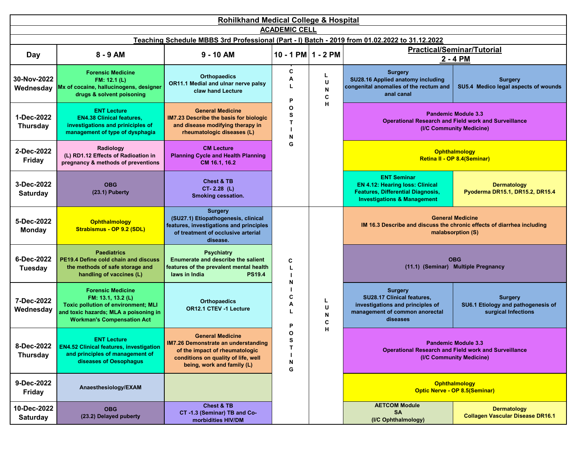| Rohilkhand Medical College & Hospital                                                                                 |                                                                                                                                                                            |                                                                                                                                                                              |                        |                   |                                                                                                                                                    |                                                                                                                        |  |  |
|-----------------------------------------------------------------------------------------------------------------------|----------------------------------------------------------------------------------------------------------------------------------------------------------------------------|------------------------------------------------------------------------------------------------------------------------------------------------------------------------------|------------------------|-------------------|----------------------------------------------------------------------------------------------------------------------------------------------------|------------------------------------------------------------------------------------------------------------------------|--|--|
| <b>ACADEMIC CELL</b><br>Teaching Schedule MBBS 3rd Professional (Part - I) Batch - 2019 from 01.02.2022 to 31.12.2022 |                                                                                                                                                                            |                                                                                                                                                                              |                        |                   |                                                                                                                                                    |                                                                                                                        |  |  |
|                                                                                                                       | 8 - 9 AM                                                                                                                                                                   | $9 - 10$ AM                                                                                                                                                                  | $10 - 1$ PM $1 - 2$ PM |                   |                                                                                                                                                    | <b>Practical/Seminar/Tutorial</b>                                                                                      |  |  |
| Day                                                                                                                   |                                                                                                                                                                            |                                                                                                                                                                              |                        |                   |                                                                                                                                                    | 2 - 4 PM                                                                                                               |  |  |
| 30-Nov-2022<br>Wednesday                                                                                              | <b>Forensic Medicine</b><br>FM: 12.1 (L)<br>Mx of cocaine, hallucinogens, designer<br>drugs & solvent poisoning                                                            | <b>Orthopaedics</b><br>OR11.1 Medial and ulnar nerve palsy<br>claw hand Lecture                                                                                              | C<br>A<br>L<br>P       | L<br>U<br>N<br>C  | <b>Surgery</b><br>SU28.16 Applied anatomy including<br>congenital anomalies of the rectum and<br>anal canal                                        | <b>Surgery</b><br>SU5.4 Medico legal aspects of wounds                                                                 |  |  |
| 1-Dec-2022<br><b>Thursday</b>                                                                                         | <b>ENT Lecture</b><br><b>EN4.38 Clinical features,</b><br>investigations and priniciples of<br>management of type of dysphagia                                             | <b>General Medicine</b><br>IM7.23 Describe the basis for biologic<br>and disease modifying therapy in<br>rheumatologic diseases (L)                                          | O<br>s<br>T<br>N       | н                 |                                                                                                                                                    | <b>Pandemic Module 3.3</b><br><b>Operational Research and Field work and Surveillance</b><br>(I/C Community Medicine)  |  |  |
| 2-Dec-2022<br><b>Friday</b>                                                                                           | Radiology<br>(L) RD1.12 Effects of Radioation in<br>pregnancy & methods of preventions                                                                                     | <b>CM Lecture</b><br><b>Planning Cycle and Health Planning</b><br>CM 16.1, 16.2                                                                                              | G                      |                   |                                                                                                                                                    | Ophthalmology<br>Retina II - OP 8.4(Seminar)                                                                           |  |  |
| 3-Dec-2022<br><b>Saturday</b>                                                                                         | <b>OBG</b><br>(23.1) Puberty                                                                                                                                               | <b>Chest &amp; TB</b><br>CT-2.28 (L)<br>Smoking cessation.                                                                                                                   |                        |                   | <b>ENT Seminar</b><br><b>EN 4.12: Hearing loss: Clinical</b><br><b>Features, Differential Diagnosis,</b><br><b>Investigations &amp; Management</b> | <b>Dermatology</b><br>Pyoderma DR15.1, DR15.2, DR15.4                                                                  |  |  |
| 5-Dec-2022<br><b>Monday</b>                                                                                           | <b>Ophthalmology</b><br>Strabismus - OP 9.2 (SDL)                                                                                                                          | <b>Surgery</b><br>(SU27.1) Etiopathogenesis, clinical<br>features, investigations and principles<br>of treatment of occlusive arterial<br>disease.                           |                        |                   |                                                                                                                                                    | <b>General Medicine</b><br>IM 16.3 Describe and discuss the chronic effects of diarrhea including<br>malabsorption (S) |  |  |
| 6-Dec-2022<br><b>Tuesday</b>                                                                                          | <b>Paediatrics</b><br>PE19.4 Define cold chain and discuss<br>the methods of safe storage and<br>handling of vaccines (L)                                                  | <b>Psychiatry</b><br>Enumerate and describe the salient<br>features of the prevalent mental health<br>laws in India<br><b>PS19.4</b>                                         | C<br>L<br>N            |                   |                                                                                                                                                    | <b>OBG</b><br>(11.1) (Seminar) Multiple Pregnancy                                                                      |  |  |
| 7-Dec-2022<br>Wednesday                                                                                               | <b>Forensic Medicine</b><br>FM: 13.1, 13.2 (L)<br><b>Toxic pollution of environment; MLI</b><br>and toxic hazards; MLA a poisoning in<br><b>Workman's Compensation Act</b> | <b>Orthopaedics</b><br>OR12.1 CTEV -1 Lecture                                                                                                                                | C<br>Α<br>L<br>P       | L.<br>U<br>N<br>C | <b>Surgery</b><br>SU28.17 Clinical features,<br>investigations and principles of<br>management of common anorectal<br>diseases                     | <b>Surgery</b><br>SU6.1 Etiology and pathogenesis of<br>surgical Infections                                            |  |  |
| <b>Thursday</b>                                                                                                       | <b>ENT Lecture</b><br>8-Dec-2022   EN4.52 Clinical features, investigation<br>and principles of management of<br>diseases of Oesophagus                                    | <b>General Medicine</b><br><b>IM7.26 Demonstrate an understanding</b><br>of the impact of rheumatologic<br>conditions on quality of life, well<br>being, work and family (L) | O<br>s<br>N<br>G       | н                 |                                                                                                                                                    | <b>Pandemic Module 3.3</b><br><b>Operational Research and Field work and Surveillance</b><br>(I/C Community Medicine)  |  |  |
| 9-Dec-2022<br><b>Friday</b>                                                                                           | Anaesthesiology/EXAM                                                                                                                                                       | <b>AETCOM Module 3.5</b><br><b>Case Studies in Bioethics-Fiduciary Duty</b><br>(I/C Ophthalmology)                                                                           |                        |                   |                                                                                                                                                    | Ophthalmology<br><b>Optic Nerve - OP 8.5(Seminar)</b>                                                                  |  |  |
| 10-Dec-2022<br><b>Saturday</b>                                                                                        | <b>OBG</b><br>(23.2) Delayed puberty                                                                                                                                       | <b>Chest &amp; TB</b><br>CT -1.3 (Seminar) TB and Co-<br>morbidities HIV/DM                                                                                                  |                        |                   | <b>AETCOM Module</b><br>SA<br>(I/C Ophthalmology)                                                                                                  | <b>Dermatology</b><br><b>Collagen Vascular Disease DR16.1</b>                                                          |  |  |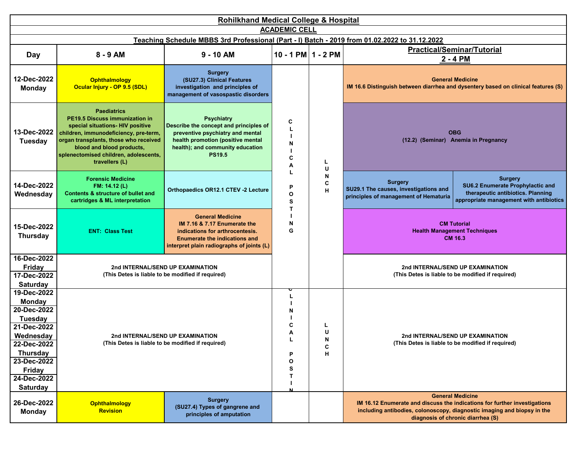| <b>Rohilkhand Medical College &amp; Hospital</b>                                                                                                                                |                                                                                                                                                                                                                                                                           |                                                                                                                                                                                           |                                      |                                                                                                              |                                                                                       |                                                                                                                                                                                                                      |                                                                                                                                    |  |  |
|---------------------------------------------------------------------------------------------------------------------------------------------------------------------------------|---------------------------------------------------------------------------------------------------------------------------------------------------------------------------------------------------------------------------------------------------------------------------|-------------------------------------------------------------------------------------------------------------------------------------------------------------------------------------------|--------------------------------------|--------------------------------------------------------------------------------------------------------------|---------------------------------------------------------------------------------------|----------------------------------------------------------------------------------------------------------------------------------------------------------------------------------------------------------------------|------------------------------------------------------------------------------------------------------------------------------------|--|--|
| <b>ACADEMIC CELL</b><br>Teaching Schedule MBBS 3rd Professional (Part - I) Batch - 2019 from 01.02.2022 to 31.12.2022                                                           |                                                                                                                                                                                                                                                                           |                                                                                                                                                                                           |                                      |                                                                                                              |                                                                                       |                                                                                                                                                                                                                      |                                                                                                                                    |  |  |
|                                                                                                                                                                                 |                                                                                                                                                                                                                                                                           |                                                                                                                                                                                           |                                      |                                                                                                              |                                                                                       |                                                                                                                                                                                                                      |                                                                                                                                    |  |  |
| <b>Day</b>                                                                                                                                                                      | 8 - 9 AM                                                                                                                                                                                                                                                                  | $9 - 10$ AM                                                                                                                                                                               | $10 - 1 PM$ 1 - 2 PM                 |                                                                                                              | <b>Practical/Seminar/Tutorial</b><br>2 - 4 PM                                         |                                                                                                                                                                                                                      |                                                                                                                                    |  |  |
| 12-Dec-2022<br><b>Monday</b>                                                                                                                                                    | Ophthalmology<br>Ocular Injury - OP 9.5 (SDL)                                                                                                                                                                                                                             | <b>Surgery</b><br>(SU27.3) Clinical Features<br>investigation and principles of<br>management of vasospastic disorders                                                                    | С<br>N<br>C<br>А<br>U                | <b>General Medicine</b><br>IM 16.6 Distinguish between diarrhea and dysentery based on clinical features (S) |                                                                                       |                                                                                                                                                                                                                      |                                                                                                                                    |  |  |
| 13-Dec-2022<br><b>Tuesday</b>                                                                                                                                                   | <b>Paediatrics</b><br><b>PE19.5 Discuss immunization in</b><br>special situations- HIV positive<br>children, immunodeficiency, pre-term,<br>organ transplants, those who received<br>blood and blood products,<br>splenectomised children, adolescents,<br>travellers (L) | <b>Psychiatry</b><br>Describe the concept and principles of<br>preventive psychiatry and mental<br>health promotion (positive mental<br>health); and community education<br><b>PS19.5</b> |                                      | <b>OBG</b><br>(12.2) (Seminar) Anemia in Pregnancy                                                           |                                                                                       |                                                                                                                                                                                                                      |                                                                                                                                    |  |  |
| 14-Dec-2022<br>Wednesday                                                                                                                                                        | <b>Forensic Medicine</b><br>FM: 14.12 (L)<br>Contents & structure of bullet and<br>cartridges & ML interpretation                                                                                                                                                         | Orthopaedics OR12.1 CTEV -2 Lecture                                                                                                                                                       | P<br>O<br>S                          | N<br>C<br>н                                                                                                  |                                                                                       | <b>Surgery</b><br>SU29.1 The causes, investigations and<br>principles of management of Hematuria                                                                                                                     | <b>Surgery</b><br>SU6.2 Enumerate Prophylactic and<br>therapeutic antibiotics. Planning<br>appropriate management with antibiotics |  |  |
| 15-Dec-2022<br><b>Thursday</b>                                                                                                                                                  | <b>ENT: Class Test</b>                                                                                                                                                                                                                                                    | <b>General Medicine</b><br>IM 7.16 & 7.17 Enumerate the<br>indications for arthrocentesis.<br><b>Enumerate the indications and</b><br>interpret plain radiographs of joints (L)           | т<br>N<br>G                          |                                                                                                              | <b>CM Tutorial</b><br><b>Health Management Techniques</b><br>CM 16.3                  |                                                                                                                                                                                                                      |                                                                                                                                    |  |  |
| 16-Dec-2022<br><b>Friday</b><br>17-Dec-2022<br><b>Saturday</b>                                                                                                                  |                                                                                                                                                                                                                                                                           | 2nd INTERNAL/SEND UP EXAMINATION<br>(This Detes is liable to be modified if required)                                                                                                     |                                      |                                                                                                              |                                                                                       | 2nd INTERNAL/SEND UP EXAMINATION<br>(This Detes is liable to be modified if required)                                                                                                                                |                                                                                                                                    |  |  |
| 19-Dec-2022<br><b>Monday</b><br>20-Dec-2022<br>Tuesday<br>21-Dec-2022<br>Wednesday<br>22-Dec-2022<br><b>Thursday</b><br>23-Dec-2022<br>Friday<br>24-Dec-2022<br><b>Saturday</b> | 2nd INTERNAL/SEND UP EXAMINATION<br>(This Detes is liable to be modified if required)                                                                                                                                                                                     |                                                                                                                                                                                           | L<br>N<br>C<br>А<br>P<br>O<br>S<br>т | L<br>U<br>N<br>н                                                                                             | 2nd INTERNAL/SEND UP EXAMINATION<br>(This Detes is liable to be modified if required) |                                                                                                                                                                                                                      |                                                                                                                                    |  |  |
| 26-Dec-2022<br><b>Monday</b>                                                                                                                                                    | <b>Ophthalmology</b><br><b>Revision</b>                                                                                                                                                                                                                                   | <b>Surgery</b><br>(SU27.4) Types of gangrene and<br>principles of amputation                                                                                                              |                                      |                                                                                                              |                                                                                       | <b>General Medicine</b><br>IM 16.12 Enumerate and discuss the indications for further investigations<br>including antibodies, colonoscopy, diagnostic imaging and biopsy in the<br>diagnosis of chronic diarrhea (S) |                                                                                                                                    |  |  |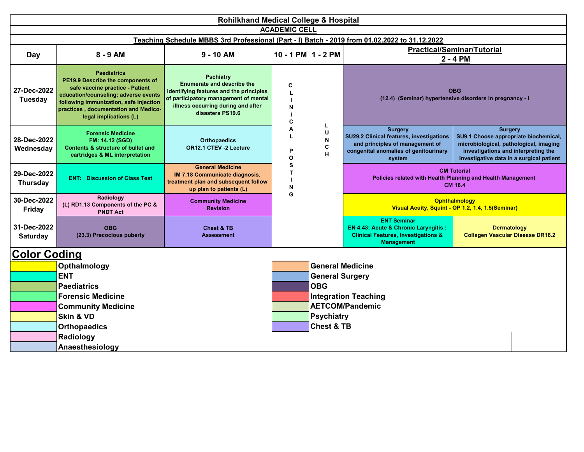| <b>Rohilkhand Medical College &amp; Hospital</b> |                                                                                                                                                                                                                                                |                                                                                                                                                                                                     |                      |                                                                                                                                                                        |                                                                                                                                                  |                                                                                                                                                                                      |  |  |  |  |  |  |  |
|--------------------------------------------------|------------------------------------------------------------------------------------------------------------------------------------------------------------------------------------------------------------------------------------------------|-----------------------------------------------------------------------------------------------------------------------------------------------------------------------------------------------------|----------------------|------------------------------------------------------------------------------------------------------------------------------------------------------------------------|--------------------------------------------------------------------------------------------------------------------------------------------------|--------------------------------------------------------------------------------------------------------------------------------------------------------------------------------------|--|--|--|--|--|--|--|
|                                                  |                                                                                                                                                                                                                                                |                                                                                                                                                                                                     | <b>ACADEMIC CELL</b> |                                                                                                                                                                        |                                                                                                                                                  |                                                                                                                                                                                      |  |  |  |  |  |  |  |
| Day                                              | $8 - 9$ AM                                                                                                                                                                                                                                     | $9 - 10$ AM                                                                                                                                                                                         |                      | Teaching Schedule MBBS 3rd Professional (Part - I) Batch - 2019 from 01.02.2022 to 31.12.2022<br><b>Practical/Seminar/Tutorial</b><br>10 - 1 PM $1 - 2$ PM<br>2 - 4 PM |                                                                                                                                                  |                                                                                                                                                                                      |  |  |  |  |  |  |  |
| 27-Dec-2022<br><b>Tuesday</b>                    | <b>Paediatrics</b><br>PE19.9 Describe the components of<br>safe vaccine practice - Patient<br>education/counseling; adverse events<br>following immunization, safe injection<br>practices, documentation and Medico-<br>legal implications (L) | <b>Pschiatry</b><br><b>Enumerate and describe the</b><br>identifying features and the principles<br>of participatory management of mental<br>illness occurring during and after<br>disasters PS19.6 | C<br>N<br>C          | L<br>A<br>U<br>L<br>N<br>C<br>P<br>H<br>O                                                                                                                              |                                                                                                                                                  | <b>OBG</b><br>(12.4) (Seminar) hypertensive disorders in pregnancy - I                                                                                                               |  |  |  |  |  |  |  |
| 28-Dec-2022<br>Wednesday                         | <b>Forensic Medicine</b><br><b>FM: 14.12 (SGD)</b><br><b>Contents &amp; structure of bullet and</b><br>cartridges & ML interpretation                                                                                                          | <b>Orthopaedics</b><br>OR12.1 CTEV -2 Lecture                                                                                                                                                       |                      |                                                                                                                                                                        | <b>Surgery</b><br>SU29.2 Clinical features, investigations<br>and principles of management of<br>congenital anomalies of genitourinary<br>system | <b>Surgery</b><br>SU9.1 Choose appropriate biochemical,<br>microbiological, pathological, imaging<br>investigations and interpreting the<br>investigative data in a surgical patient |  |  |  |  |  |  |  |
| 29-Dec-2022<br><b>Thursday</b>                   | <b>ENT: Discussion of Class Test</b>                                                                                                                                                                                                           | <b>General Medicine</b><br>IM 7.18 Communicate diagnosis,<br>treatment plan and subsequent follow<br>up plan to patients (L)                                                                        | S<br>T<br>N<br>G     |                                                                                                                                                                        |                                                                                                                                                  | <b>CM Tutorial</b><br>Policies related with Health Planning and Health Management<br><b>CM 16.4</b>                                                                                  |  |  |  |  |  |  |  |
| 30-Dec-2022<br><b>Friday</b>                     | Radiology<br>(L) RD1.13 Components of the PC &<br><b>PNDT Act</b>                                                                                                                                                                              | <b>Community Medicine</b><br><b>Revision</b>                                                                                                                                                        |                      |                                                                                                                                                                        |                                                                                                                                                  |                                                                                                                                                                                      |  |  |  |  |  |  |  |
| 31-Dec-2022<br>Saturday                          | <b>OBG</b><br>(23.3) Precocious puberty                                                                                                                                                                                                        | <b>Chest &amp; TB</b><br><b>Assessment</b>                                                                                                                                                          |                      |                                                                                                                                                                        | <b>ENT Seminar</b><br>EN 4.43: Acute & Chronic Laryngitis :<br><b>Clinical Features, Investigations &amp;</b><br><b>Management</b>               | <b>Dermatology</b><br><b>Collagen Vascular Disease DR16.2</b>                                                                                                                        |  |  |  |  |  |  |  |
| <b>Color Coding</b>                              |                                                                                                                                                                                                                                                |                                                                                                                                                                                                     |                      |                                                                                                                                                                        |                                                                                                                                                  |                                                                                                                                                                                      |  |  |  |  |  |  |  |
|                                                  | Opthalmology                                                                                                                                                                                                                                   |                                                                                                                                                                                                     |                      | <b>General Medicine</b>                                                                                                                                                |                                                                                                                                                  |                                                                                                                                                                                      |  |  |  |  |  |  |  |
|                                                  | <b>ENT</b>                                                                                                                                                                                                                                     |                                                                                                                                                                                                     |                      | <b>General Surgery</b>                                                                                                                                                 |                                                                                                                                                  |                                                                                                                                                                                      |  |  |  |  |  |  |  |
|                                                  | <b>Paediatrics</b>                                                                                                                                                                                                                             |                                                                                                                                                                                                     |                      | <b>OBG</b>                                                                                                                                                             |                                                                                                                                                  |                                                                                                                                                                                      |  |  |  |  |  |  |  |
|                                                  | <b>Forensic Medicine</b>                                                                                                                                                                                                                       |                                                                                                                                                                                                     |                      |                                                                                                                                                                        | <b>Integration Teaching</b><br><b>AETCOM/Pandemic</b>                                                                                            |                                                                                                                                                                                      |  |  |  |  |  |  |  |
|                                                  | <b>Community Medicine</b><br>Skin & VD                                                                                                                                                                                                         |                                                                                                                                                                                                     |                      | <b>Psychiatry</b>                                                                                                                                                      |                                                                                                                                                  |                                                                                                                                                                                      |  |  |  |  |  |  |  |
|                                                  | <b>Orthopaedics</b>                                                                                                                                                                                                                            |                                                                                                                                                                                                     |                      | <b>Chest &amp; TB</b>                                                                                                                                                  |                                                                                                                                                  |                                                                                                                                                                                      |  |  |  |  |  |  |  |
|                                                  | Radiology                                                                                                                                                                                                                                      |                                                                                                                                                                                                     |                      |                                                                                                                                                                        |                                                                                                                                                  |                                                                                                                                                                                      |  |  |  |  |  |  |  |
|                                                  | Anaesthesiology                                                                                                                                                                                                                                |                                                                                                                                                                                                     |                      |                                                                                                                                                                        |                                                                                                                                                  |                                                                                                                                                                                      |  |  |  |  |  |  |  |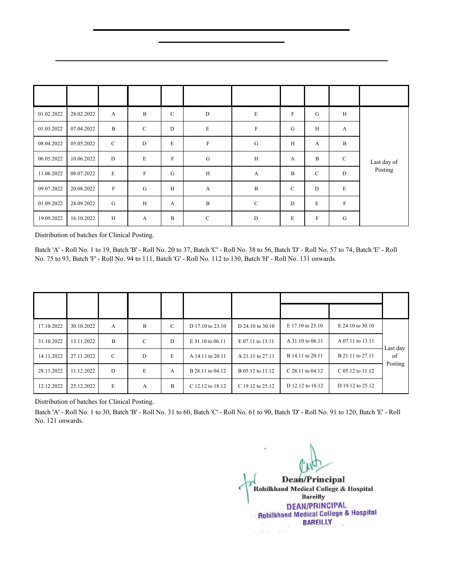#### **Pilibhit By-pass Road, Bareilly**

#### **Clinical Posting for MBBS 3rd Professional (Part - I) Batch-2019 from 01.02.2022 to 25.12.2022**

| From       | To         | Medicine      | <b>Surgery</b> | <b>OBG</b>  | <b>Paediatrics</b> | <b>Orthopaedics</b> | <b>Ophtha</b> | <b>ENT</b>   | Comm.<br>Medicine | <b>Ward Leaving</b><br><b>Test</b> |
|------------|------------|---------------|----------------|-------------|--------------------|---------------------|---------------|--------------|-------------------|------------------------------------|
| 01.02.2022 | 28.02.2022 | $\mathbf{A}$  | $\, {\bf B}$   | $\mathbf C$ | ${\rm D}$          | $\mathbf E$         | ${\bf F}$     | ${\bf G}$    | $\,$ H            | Last day of                        |
| 01.03.2022 | 07.04.2022 | B             | $\mathbf C$    | $\mathbf D$ | $\mathbf E$        | $\mathbf F$         | ${\bf G}$     | H            | $\boldsymbol{A}$  |                                    |
| 08.04.2022 | 05.05.2022 | $\mathcal{C}$ | $\mathbf D$    | E           | $\rm F$            | G                   | H             | $\mathbf{A}$ | B                 |                                    |
| 06.05.2022 | 10.06.2022 | $\mathbf D$   | $\mathbf E$    | $\rm F$     | ${\bf G}$          | H                   | A             | $\, {\bf B}$ | $\mathbf C$       |                                    |
| 11.06.2022 | 08.07.2022 | E             | $\mathbf F$    | G           | $\, {\rm H}$       | $\mathbf{A}$        | B             | $\mathbf C$  | ${\rm D}$         | Posting                            |
| 09.07.2022 | 20.08.2022 | $\rm F$       | G              | H           | $\mathbf{A}$       | $\mathbf B$         | $\mathbf C$   | D            | E                 |                                    |
| 01.09.2022 | 28.09.2022 | $\mathbf G$   | H              | A           | $\, {\bf B}$       | $\mathcal{C}$       | $\mathbf D$   | E            | $\mathbf F$       |                                    |
| 19.09.2022 | 16.10.2022 | Н             | A              | $\mathbf B$ | $\mathbf C$        | $\mathbf D$         | E             | $\rm F$      | G                 |                                    |

#### **Clinical Posting of four weeks from 01.02.2022 to 16.10.2022**

Distribution of batches for Clinical Posting.

Batch 'A' - Roll No. 1 to 19, Batch 'B' - Roll No. 20 to 37, Batch 'C' - Roll No. 38 to 56, Batch 'D' - Roll No. 57 to 74, Batch 'E' - Roll No. 75 to 93, Batch 'F' - Roll No. 94 to 111, Batch 'G' - Roll No. 112 to 130, Batch 'H' - Roll No. 131 onwards.

|            | Comm.           |                         | Casualty    | Ward |                  |                  |                    |                        |          |
|------------|-----------------|-------------------------|-------------|------|------------------|------------------|--------------------|------------------------|----------|
| To<br>From | <b>Medicine</b> | <b>Psychiatry Derma</b> | Anaesthesia |      | <b>Dentistry</b> | <b>Medicine</b>  | <b>Surgery</b>     | Leaving<br><b>Test</b> |          |
| 17.10.2022 | 30.10.2022      | А                       | B           | C    | D 17.10 to 23.10 | D 24.10 to 30.10 | E 17.10 to 23.10   | E 24.10 to 30.10       |          |
| 31.10.2022 | 13.11.2022      | B                       | C           | D    | E 31.10 to 06.11 | E 07.11 to 13.11 | A 31.10 to 06.11   | A 07.11 to 13.11       | Last day |
| 14.11.2022 | 27.11.2022      | C                       | D           | E    | A 14.11 to 20.11 | A 21.11 to 27.11 | B 14.11 to 20.11   | B 21.11 to 27.11       | of       |
| 28.11.2022 | 11.12.2022      | D                       | E           | A    | B 28.11 to 04.12 | B 05.12 to 11.12 | C $28.11$ to 04.12 | C 05.12 to 11.12       | Posting  |
| 12.12.2022 | 25.12.2022      | E                       | A           | B    | C 12.12 to 18.12 | C 19.12 to 25.12 | D 12.12 to 18.12   | D 19.12 to 25.12       |          |

#### **Clinical Posting of Two weeks from 17.10.2022 to 25.12.2022**

Distribution of batches for Clinical Posting.

Batch 'A' - Roll No. 1 to 30, Batch 'B' - Roll No. 31 to 60, Batch 'C' - Roll No. 61 to 90, Batch 'D' - Roll No. 91 to 120, Batch 'E' - Roll No. 121 onwards.

**Dean/Principal** Rohilkhand Medical College & Hospital **Bareilly DEAN/PRINCIPAL Rohilkhand Medical College & Hospital BAREILLY**  $\sim$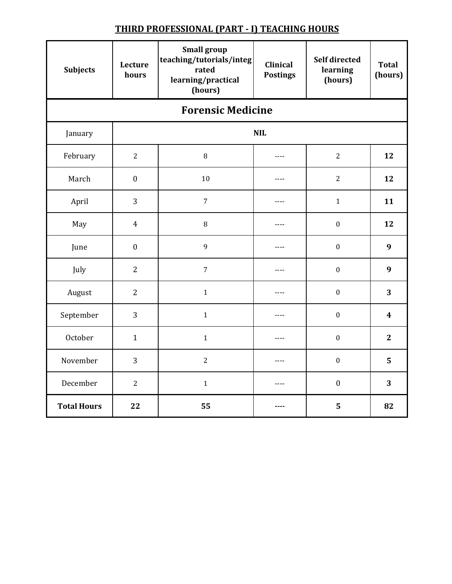| <b>Subjects</b>    | Lecture<br>hours         | <b>Small group</b><br>teaching/tutorials/integ<br>rated<br>learning/practical<br>(hours) | <b>Clinical</b><br><b>Postings</b> | Self directed<br>learning<br>(hours) | <b>Total</b><br>(hours) |  |  |  |  |  |
|--------------------|--------------------------|------------------------------------------------------------------------------------------|------------------------------------|--------------------------------------|-------------------------|--|--|--|--|--|
|                    | <b>Forensic Medicine</b> |                                                                                          |                                    |                                      |                         |  |  |  |  |  |
| January            |                          |                                                                                          | <b>NIL</b>                         |                                      |                         |  |  |  |  |  |
| February           | $\overline{2}$           | $\, 8$                                                                                   | $---$                              | $\overline{2}$                       | 12                      |  |  |  |  |  |
| March              | $\boldsymbol{0}$         | 10                                                                                       | ----                               | $\overline{2}$                       | 12                      |  |  |  |  |  |
| April              | 3                        | $\overline{7}$                                                                           | ----                               | $\mathbf{1}$                         | 11                      |  |  |  |  |  |
| May                | $\overline{4}$           | $\, 8$                                                                                   | $\cdots$                           | $\boldsymbol{0}$                     | 12                      |  |  |  |  |  |
| June               | $\boldsymbol{0}$         | 9                                                                                        | $- - - -$                          | $\boldsymbol{0}$                     | 9                       |  |  |  |  |  |
| July               | $\overline{2}$           | $\overline{7}$                                                                           | $---$                              | $\boldsymbol{0}$                     | 9                       |  |  |  |  |  |
| August             | $\overline{2}$           | $\mathbf{1}$                                                                             | $---$                              | $\boldsymbol{0}$                     | 3                       |  |  |  |  |  |
| September          | 3                        | $1\,$                                                                                    | $\cdots$                           | $\boldsymbol{0}$                     | $\boldsymbol{4}$        |  |  |  |  |  |
| October            | $\mathbf{1}$             | $\mathbf{1}$                                                                             | ----                               | $\boldsymbol{0}$                     | $\overline{2}$          |  |  |  |  |  |
| November           | 3                        | $\overline{2}$                                                                           | $---$                              | $\boldsymbol{0}$                     | 5                       |  |  |  |  |  |
| December           | $\overline{2}$           | $\mathbf{1}$                                                                             | $- - - -$                          | $\boldsymbol{0}$                     | 3                       |  |  |  |  |  |
| <b>Total Hours</b> | 22                       | 55                                                                                       | ----                               | 5                                    | 82                      |  |  |  |  |  |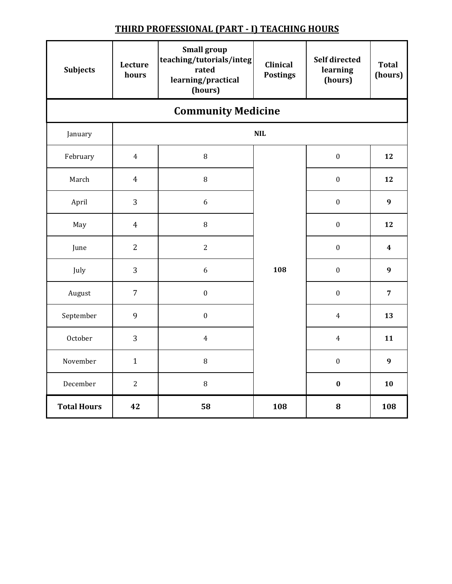| <b>Subjects</b>    | Lecture<br>hours          | <b>Small group</b><br>teaching/tutorials/integ<br>rated<br>learning/practical<br>(hours) | <b>Clinical</b><br><b>Postings</b> | <b>Self directed</b><br>learning<br>(hours) | <b>Total</b><br>(hours) |  |  |  |  |  |
|--------------------|---------------------------|------------------------------------------------------------------------------------------|------------------------------------|---------------------------------------------|-------------------------|--|--|--|--|--|
|                    | <b>Community Medicine</b> |                                                                                          |                                    |                                             |                         |  |  |  |  |  |
| January            |                           |                                                                                          | <b>NIL</b>                         |                                             |                         |  |  |  |  |  |
| February           | $\overline{4}$            | $\, 8$                                                                                   |                                    | $\boldsymbol{0}$                            | 12                      |  |  |  |  |  |
| March              | $\overline{4}$            | 8                                                                                        |                                    | $\boldsymbol{0}$                            | 12                      |  |  |  |  |  |
| April              | 3                         | $\boldsymbol{6}$                                                                         |                                    | $\boldsymbol{0}$                            | $\boldsymbol{9}$        |  |  |  |  |  |
| May                | $\overline{4}$            | $\, 8$                                                                                   |                                    | $\boldsymbol{0}$                            | 12                      |  |  |  |  |  |
| June               | $\overline{2}$            | $\overline{2}$                                                                           |                                    | $\boldsymbol{0}$                            | $\overline{\mathbf{4}}$ |  |  |  |  |  |
| July               | 3                         | 6                                                                                        | 108                                | $\boldsymbol{0}$                            | $\boldsymbol{9}$        |  |  |  |  |  |
| August             | $\overline{7}$            | $\boldsymbol{0}$                                                                         |                                    | $\boldsymbol{0}$                            | $\overline{7}$          |  |  |  |  |  |
| September          | 9                         | $\boldsymbol{0}$                                                                         |                                    | $\overline{4}$                              | 13                      |  |  |  |  |  |
| October            | 3                         | $\overline{4}$                                                                           |                                    | $\overline{4}$                              | 11                      |  |  |  |  |  |
| November           | $\mathbf{1}$              | $\, 8$                                                                                   |                                    | $\boldsymbol{0}$                            | $\boldsymbol{9}$        |  |  |  |  |  |
| December           | $\overline{2}$            | $\, 8$                                                                                   |                                    | $\bf{0}$                                    | 10                      |  |  |  |  |  |
| <b>Total Hours</b> | 42                        | 58                                                                                       | 108                                | 8                                           | 108                     |  |  |  |  |  |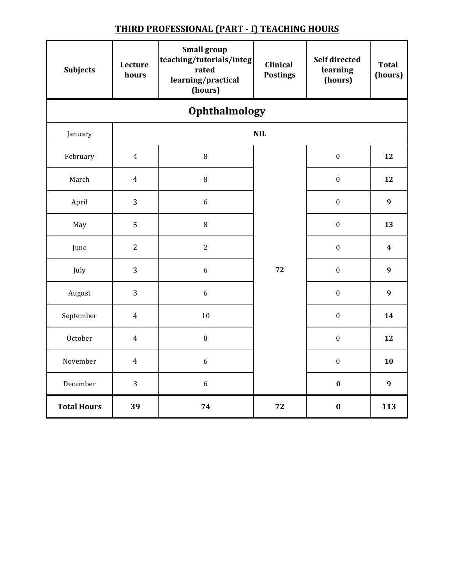| <b>Subjects</b>    | Lecture<br>hours     | <b>Small group</b><br>teaching/tutorials/integ<br>rated<br>learning/practical<br>(hours) | Clinical<br><b>Postings</b> | <b>Self directed</b><br>learning<br>(hours) | <b>Total</b><br>(hours) |  |  |  |  |  |
|--------------------|----------------------|------------------------------------------------------------------------------------------|-----------------------------|---------------------------------------------|-------------------------|--|--|--|--|--|
|                    | <b>Ophthalmology</b> |                                                                                          |                             |                                             |                         |  |  |  |  |  |
| January            |                      |                                                                                          | <b>NIL</b>                  |                                             |                         |  |  |  |  |  |
| February           | $\overline{4}$       | $\, 8$                                                                                   |                             | $\boldsymbol{0}$                            | 12                      |  |  |  |  |  |
| March              | $\overline{4}$       | $\, 8$                                                                                   |                             | $\boldsymbol{0}$                            | 12                      |  |  |  |  |  |
| April              | 3                    | 6                                                                                        |                             | $\boldsymbol{0}$                            | $\boldsymbol{9}$        |  |  |  |  |  |
| May                | 5                    | $\, 8$                                                                                   |                             | $\boldsymbol{0}$                            | 13                      |  |  |  |  |  |
| June               | $\overline{2}$       | $\overline{2}$                                                                           |                             | $\boldsymbol{0}$                            | $\overline{\mathbf{4}}$ |  |  |  |  |  |
| July               | 3                    | $\boldsymbol{6}$                                                                         | 72                          | $\boldsymbol{0}$                            | $\boldsymbol{9}$        |  |  |  |  |  |
| August             | 3                    | 6                                                                                        |                             | $\boldsymbol{0}$                            | 9                       |  |  |  |  |  |
| September          | $\overline{4}$       | $10\,$                                                                                   |                             | $\boldsymbol{0}$                            | 14                      |  |  |  |  |  |
| October            | $\overline{4}$       | 8                                                                                        |                             | $\boldsymbol{0}$                            | 12                      |  |  |  |  |  |
| November           | $\overline{4}$       | 6                                                                                        |                             | $\boldsymbol{0}$                            | 10                      |  |  |  |  |  |
| December           | 3                    | 6                                                                                        |                             | $\bf{0}$                                    | $\boldsymbol{9}$        |  |  |  |  |  |
| <b>Total Hours</b> | 39                   | 74                                                                                       | 72                          | $\bf{0}$                                    | 113                     |  |  |  |  |  |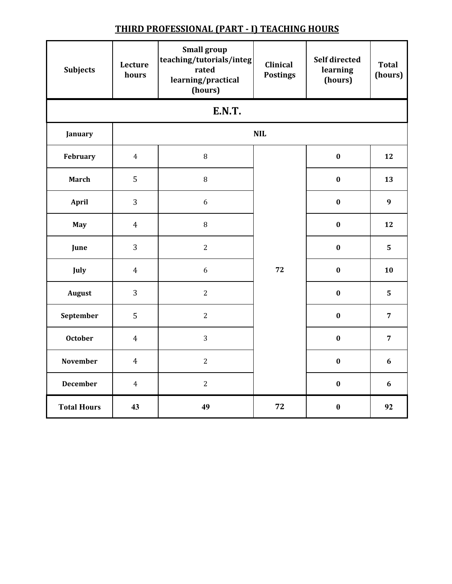| <b>Subjects</b>    | Lecture<br>hours | <b>Small group</b><br>teaching/tutorials/integ<br>rated<br>learning/practical<br>(hours) | Clinical<br><b>Postings</b> | Self directed<br>learning<br>(hours) | <b>Total</b><br>(hours) |  |  |  |  |
|--------------------|------------------|------------------------------------------------------------------------------------------|-----------------------------|--------------------------------------|-------------------------|--|--|--|--|
| <b>E.N.T.</b>      |                  |                                                                                          |                             |                                      |                         |  |  |  |  |
| January            |                  |                                                                                          | <b>NIL</b>                  |                                      |                         |  |  |  |  |
| February           | $\overline{4}$   | $\, 8$                                                                                   |                             | $\bf{0}$                             | 12                      |  |  |  |  |
| March              | 5                | $\, 8$                                                                                   |                             | $\bf{0}$                             | 13                      |  |  |  |  |
| <b>April</b>       | 3                | 6                                                                                        |                             | $\bf{0}$                             | 9                       |  |  |  |  |
| <b>May</b>         | $\overline{4}$   | $\, 8$                                                                                   |                             | $\boldsymbol{0}$                     | 12                      |  |  |  |  |
| June               | 3                | $\overline{2}$                                                                           |                             | $\bf{0}$                             | 5                       |  |  |  |  |
| July               | $\overline{4}$   | $\boldsymbol{6}$                                                                         | 72                          | $\bf{0}$                             | 10                      |  |  |  |  |
| <b>August</b>      | 3                | $\overline{2}$                                                                           |                             | $\bf{0}$                             | 5                       |  |  |  |  |
| September          | 5                | $\overline{2}$                                                                           |                             | $\bf{0}$                             | $\overline{7}$          |  |  |  |  |
| <b>October</b>     | $\overline{4}$   | 3                                                                                        |                             | $\bf{0}$                             | $\overline{7}$          |  |  |  |  |
| November           | $\overline{4}$   | $\overline{2}$                                                                           |                             | $\bf{0}$                             | 6                       |  |  |  |  |
| <b>December</b>    | $\overline{4}$   | $\overline{2}$                                                                           |                             | $\bf{0}$                             | 6                       |  |  |  |  |
| <b>Total Hours</b> | 43               | 49                                                                                       | 72                          | $\boldsymbol{0}$                     | 92                      |  |  |  |  |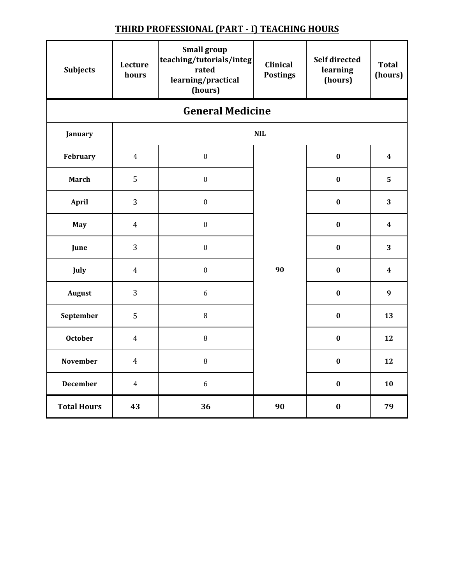| <b>Subjects</b>         | Lecture<br>hours | <b>Small group</b><br>teaching/tutorials/integ<br>rated<br>learning/practical<br>(hours) | <b>Clinical</b><br><b>Postings</b> | <b>Self directed</b><br>learning<br>(hours) | <b>Total</b><br>(hours) |  |  |  |  |
|-------------------------|------------------|------------------------------------------------------------------------------------------|------------------------------------|---------------------------------------------|-------------------------|--|--|--|--|
| <b>General Medicine</b> |                  |                                                                                          |                                    |                                             |                         |  |  |  |  |
| January                 |                  |                                                                                          | <b>NIL</b>                         |                                             |                         |  |  |  |  |
| February                | $\overline{4}$   | $\boldsymbol{0}$                                                                         |                                    | $\bf{0}$                                    | $\overline{\mathbf{4}}$ |  |  |  |  |
| <b>March</b>            | 5                | $\boldsymbol{0}$                                                                         |                                    | $\bf{0}$                                    | 5                       |  |  |  |  |
| April                   | 3                | $\boldsymbol{0}$                                                                         |                                    | $\bf{0}$                                    | 3                       |  |  |  |  |
| May                     | $\overline{4}$   | $\boldsymbol{0}$                                                                         |                                    | $\bf{0}$                                    | $\overline{\mathbf{4}}$ |  |  |  |  |
| June                    | 3                | $\boldsymbol{0}$                                                                         |                                    | $\bf{0}$                                    | 3                       |  |  |  |  |
| July                    | $\overline{4}$   | $\boldsymbol{0}$                                                                         | 90                                 | $\boldsymbol{0}$                            | $\overline{\mathbf{4}}$ |  |  |  |  |
| August                  | 3                | 6                                                                                        |                                    | $\bf{0}$                                    | $\boldsymbol{9}$        |  |  |  |  |
| September               | 5                | $\, 8$                                                                                   |                                    | $\boldsymbol{0}$                            | 13                      |  |  |  |  |
| <b>October</b>          | $\overline{4}$   | 8                                                                                        |                                    | $\bf{0}$                                    | 12                      |  |  |  |  |
| <b>November</b>         | $\overline{4}$   | $\, 8$                                                                                   |                                    | $\boldsymbol{0}$                            | 12                      |  |  |  |  |
| <b>December</b>         | $\overline{4}$   | 6                                                                                        |                                    | $\bf{0}$                                    | 10                      |  |  |  |  |
| <b>Total Hours</b>      | 43               | 36                                                                                       | 90                                 | $\bf{0}$                                    | 79                      |  |  |  |  |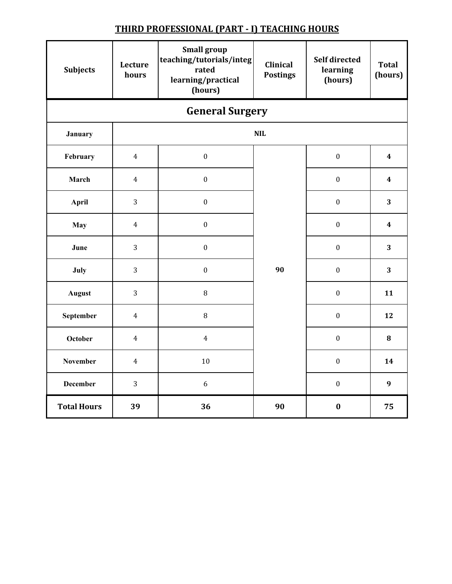| <b>Subjects</b>        | Lecture<br>hours | <b>Small group</b><br>teaching/tutorials/integ<br>rated<br>learning/practical<br>(hours) | Clinical<br><b>Postings</b> | <b>Self directed</b><br>learning<br>(hours) | <b>Total</b><br>(hours) |  |  |  |  |
|------------------------|------------------|------------------------------------------------------------------------------------------|-----------------------------|---------------------------------------------|-------------------------|--|--|--|--|
| <b>General Surgery</b> |                  |                                                                                          |                             |                                             |                         |  |  |  |  |
| January                |                  |                                                                                          | <b>NIL</b>                  |                                             |                         |  |  |  |  |
| February               | $\overline{4}$   | $\boldsymbol{0}$                                                                         |                             | $\boldsymbol{0}$                            | $\boldsymbol{4}$        |  |  |  |  |
| March                  | $\overline{4}$   | $\boldsymbol{0}$                                                                         |                             | $\boldsymbol{0}$                            | 4                       |  |  |  |  |
| <b>April</b>           | 3                | $\boldsymbol{0}$                                                                         |                             | $\boldsymbol{0}$                            | 3                       |  |  |  |  |
| <b>May</b>             | $\overline{4}$   | $\boldsymbol{0}$                                                                         |                             | $\boldsymbol{0}$                            | $\boldsymbol{4}$        |  |  |  |  |
| June                   | 3                | $\boldsymbol{0}$                                                                         |                             | $\boldsymbol{0}$                            | 3                       |  |  |  |  |
| July                   | 3                | $\boldsymbol{0}$                                                                         | 90                          | $\boldsymbol{0}$                            | 3                       |  |  |  |  |
| <b>August</b>          | 3                | $\, 8$                                                                                   |                             | $\boldsymbol{0}$                            | 11                      |  |  |  |  |
| September              | $\overline{4}$   | $\, 8$                                                                                   |                             | $\boldsymbol{0}$                            | 12                      |  |  |  |  |
| October                | $\overline{4}$   | $\overline{4}$                                                                           |                             | $\boldsymbol{0}$                            | 8                       |  |  |  |  |
| <b>November</b>        | $\overline{4}$   | $10\,$                                                                                   |                             | $\boldsymbol{0}$                            | 14                      |  |  |  |  |
| <b>December</b>        | 3                | $6\,$                                                                                    |                             | $\boldsymbol{0}$                            | $\boldsymbol{9}$        |  |  |  |  |
| <b>Total Hours</b>     | 39               | 36                                                                                       | 90                          | $\bf{0}$                                    | 75                      |  |  |  |  |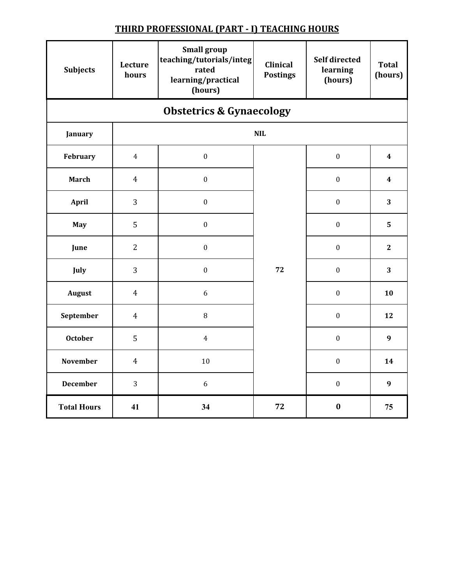| <b>Subjects</b>                     | Lecture<br>hours | <b>Small group</b><br>teaching/tutorials/integ<br>rated<br>learning/practical<br>(hours) | <b>Clinical</b><br><b>Postings</b> | <b>Self directed</b><br>learning<br>(hours) | <b>Total</b><br>(hours) |  |  |  |  |
|-------------------------------------|------------------|------------------------------------------------------------------------------------------|------------------------------------|---------------------------------------------|-------------------------|--|--|--|--|
| <b>Obstetrics &amp; Gynaecology</b> |                  |                                                                                          |                                    |                                             |                         |  |  |  |  |
| January                             |                  |                                                                                          | <b>NIL</b>                         |                                             |                         |  |  |  |  |
| February                            | $\overline{4}$   | $\boldsymbol{0}$                                                                         |                                    | $\boldsymbol{0}$                            | $\overline{\mathbf{4}}$ |  |  |  |  |
| <b>March</b>                        | $\overline{4}$   | $\boldsymbol{0}$                                                                         |                                    | $\boldsymbol{0}$                            | $\overline{\mathbf{4}}$ |  |  |  |  |
| <b>April</b>                        | 3                | $\boldsymbol{0}$                                                                         |                                    | $\boldsymbol{0}$                            | 3                       |  |  |  |  |
| May                                 | 5                | $\boldsymbol{0}$                                                                         |                                    | $\boldsymbol{0}$                            | 5                       |  |  |  |  |
| June                                | $\overline{2}$   | $\boldsymbol{0}$                                                                         |                                    | $\boldsymbol{0}$                            | $\mathbf{2}$            |  |  |  |  |
| July                                | 3                | $\boldsymbol{0}$                                                                         | 72                                 | $\boldsymbol{0}$                            | 3                       |  |  |  |  |
| <b>August</b>                       | $\overline{4}$   | $\boldsymbol{6}$                                                                         |                                    | $\boldsymbol{0}$                            | 10                      |  |  |  |  |
| September                           | $\overline{4}$   | $\, 8$                                                                                   |                                    | $\boldsymbol{0}$                            | 12                      |  |  |  |  |
| <b>October</b>                      | 5                | $\overline{4}$                                                                           |                                    | $\mathbf{0}$                                | 9                       |  |  |  |  |
| November                            | $\overline{4}$   | $10\,$                                                                                   |                                    | $\boldsymbol{0}$                            | 14                      |  |  |  |  |
| <b>December</b>                     | 3                | 6                                                                                        |                                    | $\boldsymbol{0}$                            | $\boldsymbol{9}$        |  |  |  |  |
| <b>Total Hours</b>                  | 41               | 34                                                                                       | 72                                 | $\bf{0}$                                    | 75                      |  |  |  |  |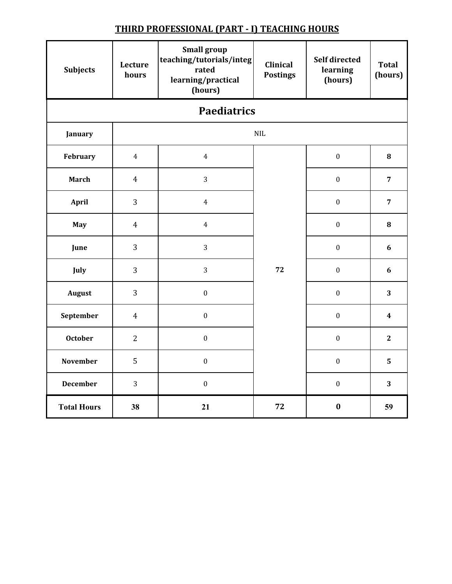| <b>Subjects</b>    | Lecture<br>hours | <b>Small group</b><br>teaching/tutorials/integ<br>rated<br>learning/practical<br>(hours) | <b>Clinical</b><br><b>Postings</b> | Self directed<br>learning<br>(hours) | <b>Total</b><br>(hours) |  |  |  |  |
|--------------------|------------------|------------------------------------------------------------------------------------------|------------------------------------|--------------------------------------|-------------------------|--|--|--|--|
| <b>Paediatrics</b> |                  |                                                                                          |                                    |                                      |                         |  |  |  |  |
| January            |                  |                                                                                          | $\textsf{NIL}$                     |                                      |                         |  |  |  |  |
| February           | $\overline{4}$   | $\overline{4}$                                                                           |                                    | $\boldsymbol{0}$                     | 8                       |  |  |  |  |
| <b>March</b>       | $\overline{4}$   | 3                                                                                        |                                    | $\boldsymbol{0}$                     | $\overline{7}$          |  |  |  |  |
| April              | 3                | $\overline{4}$                                                                           |                                    | $\boldsymbol{0}$                     | $\overline{7}$          |  |  |  |  |
| May                | $\overline{4}$   | $\overline{4}$                                                                           |                                    | $\boldsymbol{0}$                     | 8                       |  |  |  |  |
| June               | 3                | 3                                                                                        |                                    | $\boldsymbol{0}$                     | 6                       |  |  |  |  |
| July               | 3                | 3                                                                                        | 72                                 | $\boldsymbol{0}$                     | $\boldsymbol{6}$        |  |  |  |  |
| <b>August</b>      | 3                | $\boldsymbol{0}$                                                                         |                                    | $\boldsymbol{0}$                     | 3                       |  |  |  |  |
| September          | $\overline{4}$   | $\boldsymbol{0}$                                                                         |                                    | $\boldsymbol{0}$                     | $\overline{\mathbf{4}}$ |  |  |  |  |
| <b>October</b>     | $\overline{2}$   | $\boldsymbol{0}$                                                                         |                                    | $\boldsymbol{0}$                     | $\mathbf{2}$            |  |  |  |  |
| <b>November</b>    | 5                | $\boldsymbol{0}$                                                                         |                                    | $\boldsymbol{0}$                     | 5                       |  |  |  |  |
| <b>December</b>    | 3                | $\boldsymbol{0}$                                                                         |                                    | $\boldsymbol{0}$                     | 3                       |  |  |  |  |
| <b>Total Hours</b> | 38               | 21                                                                                       | 72                                 | $\bf{0}$                             | 59                      |  |  |  |  |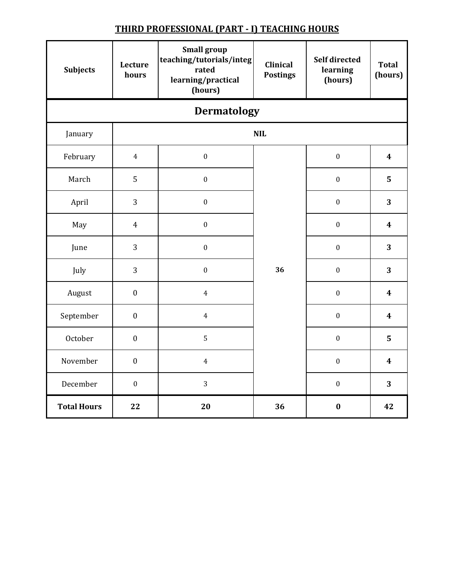| <b>Subjects</b>    | Lecture<br>hours | <b>Small group</b><br>teaching/tutorials/integ<br>rated<br>learning/practical<br>(hours) | <b>Clinical</b><br><b>Postings</b> | <b>Self directed</b><br>learning<br>(hours) | <b>Total</b><br>(hours) |  |  |  |  |
|--------------------|------------------|------------------------------------------------------------------------------------------|------------------------------------|---------------------------------------------|-------------------------|--|--|--|--|
| <b>Dermatology</b> |                  |                                                                                          |                                    |                                             |                         |  |  |  |  |
| January            |                  |                                                                                          | <b>NIL</b>                         |                                             |                         |  |  |  |  |
| February           | $\overline{4}$   | $\boldsymbol{0}$                                                                         |                                    | $\boldsymbol{0}$                            | $\overline{\mathbf{4}}$ |  |  |  |  |
| March              | 5                | $\boldsymbol{0}$                                                                         |                                    | $\boldsymbol{0}$                            | 5                       |  |  |  |  |
| April              | 3                | $\boldsymbol{0}$                                                                         |                                    | $\boldsymbol{0}$                            | 3                       |  |  |  |  |
| May                | $\overline{4}$   | $\boldsymbol{0}$                                                                         |                                    | $\boldsymbol{0}$                            | $\boldsymbol{4}$        |  |  |  |  |
| June               | 3                | $\boldsymbol{0}$                                                                         |                                    | $\boldsymbol{0}$                            | 3                       |  |  |  |  |
| July               | 3                | $\boldsymbol{0}$                                                                         | 36                                 | $\boldsymbol{0}$                            | 3                       |  |  |  |  |
| August             | $\boldsymbol{0}$ | $\overline{4}$                                                                           |                                    | $\boldsymbol{0}$                            | $\overline{\mathbf{4}}$ |  |  |  |  |
| September          | $\boldsymbol{0}$ | $\overline{4}$                                                                           |                                    | $\boldsymbol{0}$                            | $\boldsymbol{4}$        |  |  |  |  |
| October            | $\boldsymbol{0}$ | 5                                                                                        |                                    | $\boldsymbol{0}$                            | 5                       |  |  |  |  |
| November           | $\boldsymbol{0}$ | $\overline{4}$                                                                           |                                    | $\boldsymbol{0}$                            | $\boldsymbol{4}$        |  |  |  |  |
| December           | $\boldsymbol{0}$ | 3                                                                                        |                                    | $\boldsymbol{0}$                            | 3                       |  |  |  |  |
| <b>Total Hours</b> | 22               | 20                                                                                       | 36                                 | $\bf{0}$                                    | 42                      |  |  |  |  |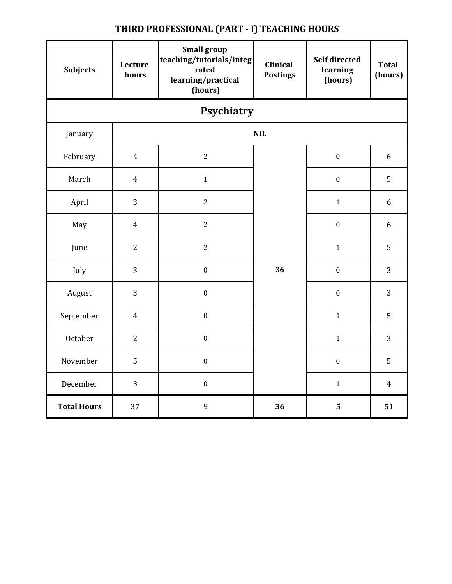| <b>Subjects</b>    | Lecture<br>hours | <b>Small group</b><br>teaching/tutorials/integ<br>rated<br>learning/practical<br>(hours) | <b>Clinical</b><br><b>Postings</b> | Self directed<br>learning<br>(hours) | <b>Total</b><br>(hours) |  |  |  |  |
|--------------------|------------------|------------------------------------------------------------------------------------------|------------------------------------|--------------------------------------|-------------------------|--|--|--|--|
| Psychiatry         |                  |                                                                                          |                                    |                                      |                         |  |  |  |  |
| January            |                  |                                                                                          | $\ensuremath{\text{NIL}}$          |                                      |                         |  |  |  |  |
| February           | $\overline{4}$   | $\overline{2}$                                                                           |                                    | $\boldsymbol{0}$                     | 6                       |  |  |  |  |
| March              | $\overline{4}$   | $\mathbf{1}$                                                                             |                                    | $\boldsymbol{0}$                     | 5                       |  |  |  |  |
| April              | 3                | $\overline{2}$                                                                           |                                    | $\mathbf{1}$                         | 6                       |  |  |  |  |
| May                | $\overline{4}$   | $\overline{c}$                                                                           |                                    | $\boldsymbol{0}$                     | 6                       |  |  |  |  |
| June               | $\overline{2}$   | $\overline{2}$                                                                           |                                    | $\mathbf{1}$                         | 5                       |  |  |  |  |
| July               | 3                | $\boldsymbol{0}$                                                                         | 36                                 | $\boldsymbol{0}$                     | 3                       |  |  |  |  |
| August             | 3                | $\boldsymbol{0}$                                                                         |                                    | $\boldsymbol{0}$                     | 3                       |  |  |  |  |
| September          | $\overline{4}$   | $\boldsymbol{0}$                                                                         |                                    | $\mathbf{1}$                         | 5                       |  |  |  |  |
| October            | $\overline{2}$   | $\boldsymbol{0}$                                                                         |                                    | $\mathbf{1}$                         | 3                       |  |  |  |  |
| November           | 5                | $\boldsymbol{0}$                                                                         |                                    | $\boldsymbol{0}$                     | 5                       |  |  |  |  |
| December           | 3                | $\boldsymbol{0}$                                                                         |                                    | $\mathbf{1}$                         | $\overline{4}$          |  |  |  |  |
| <b>Total Hours</b> | 37               | 9                                                                                        | 36                                 | 5                                    | 51                      |  |  |  |  |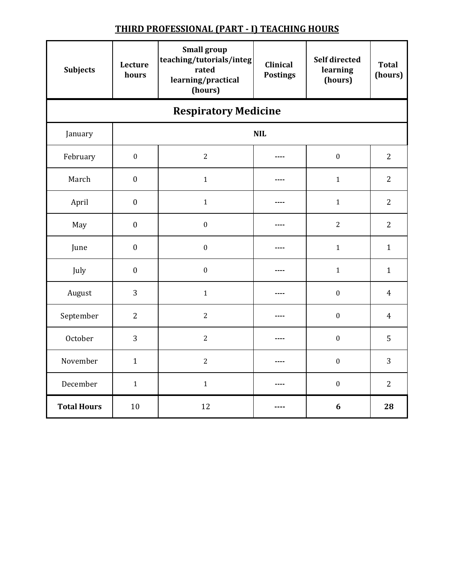| <b>Subjects</b>    | Lecture<br>hours            | <b>Small group</b><br>teaching/tutorials/integ<br>rated<br>learning/practical<br>(hours) | <b>Clinical</b><br><b>Postings</b> | Self directed<br>learning<br>(hours) | <b>Total</b><br>(hours) |  |
|--------------------|-----------------------------|------------------------------------------------------------------------------------------|------------------------------------|--------------------------------------|-------------------------|--|
|                    | <b>Respiratory Medicine</b> |                                                                                          |                                    |                                      |                         |  |
| January            |                             |                                                                                          | <b>NIL</b>                         |                                      |                         |  |
| February           | $\boldsymbol{0}$            | $\overline{2}$                                                                           | ----                               | $\boldsymbol{0}$                     | $\overline{2}$          |  |
| March              | $\boldsymbol{0}$            | $\mathbf{1}$                                                                             | ----                               | $\mathbf{1}$                         | $\overline{2}$          |  |
| April              | $\boldsymbol{0}$            | $\mathbf 1$                                                                              | ----                               | $\mathbf{1}$                         | $\overline{2}$          |  |
| May                | $\boldsymbol{0}$            | $\boldsymbol{0}$                                                                         | ----                               | $\overline{2}$                       | $\overline{2}$          |  |
| June               | $\boldsymbol{0}$            | $\boldsymbol{0}$                                                                         | ----                               | $\mathbf{1}$                         | $\mathbf{1}$            |  |
| July               | $\boldsymbol{0}$            | $\boldsymbol{0}$                                                                         | ----                               | $\mathbf{1}$                         | $\mathbf{1}$            |  |
| August             | 3                           | $\mathbf{1}$                                                                             | ----                               | $\boldsymbol{0}$                     | $\overline{4}$          |  |
| September          | $\overline{2}$              | $\overline{c}$                                                                           | $- - - -$                          | $\boldsymbol{0}$                     | $\overline{4}$          |  |
| October            | 3                           | $\overline{2}$                                                                           |                                    | $\boldsymbol{0}$                     | 5                       |  |
| November           | $\mathbf{1}$                | $\overline{2}$                                                                           | $---$                              | $\boldsymbol{0}$                     | 3                       |  |
| December           | $\mathbf{1}$                | $\mathbf{1}$                                                                             | ----                               | $\boldsymbol{0}$                     | $\overline{2}$          |  |
| <b>Total Hours</b> | 10                          | 12                                                                                       |                                    | 6                                    | 28                      |  |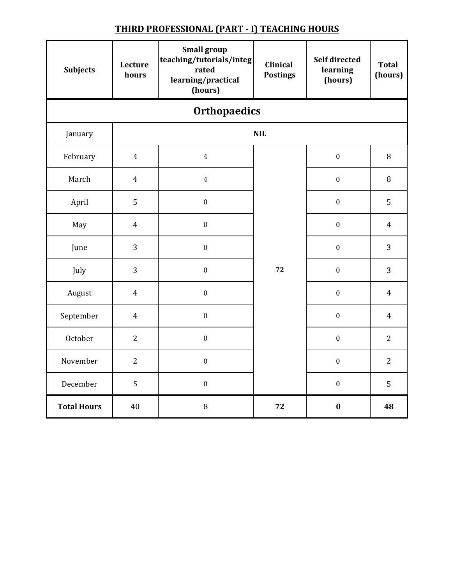| <b>Subjects</b>    | Lecture<br>hours    | <b>Small group</b><br>teaching/tutorials/integ<br>rated<br>learning/practical<br>(hours) | <b>Clinical</b><br><b>Postings</b> | <b>Self directed</b><br>learning<br>(hours) | <b>Total</b><br>(hours) |  |
|--------------------|---------------------|------------------------------------------------------------------------------------------|------------------------------------|---------------------------------------------|-------------------------|--|
|                    | <b>Orthopaedics</b> |                                                                                          |                                    |                                             |                         |  |
| January            |                     |                                                                                          | <b>NIL</b>                         |                                             |                         |  |
| February           | $\overline{4}$      | $\overline{4}$                                                                           |                                    | $\boldsymbol{0}$                            | 8                       |  |
| March              | $\overline{4}$      | $\overline{4}$                                                                           |                                    | $\boldsymbol{0}$                            | 8                       |  |
| April              | 5                   | $\boldsymbol{0}$                                                                         |                                    | $\boldsymbol{0}$                            | 5                       |  |
| May                | $\overline{4}$      | $\boldsymbol{0}$                                                                         |                                    | $\boldsymbol{0}$                            | $\overline{4}$          |  |
| June               | 3                   | $\boldsymbol{0}$                                                                         |                                    | $\boldsymbol{0}$                            | 3                       |  |
| July               | 3                   | $\boldsymbol{0}$                                                                         | 72                                 | $\boldsymbol{0}$                            | 3                       |  |
| August             | $\overline{4}$      | $\boldsymbol{0}$                                                                         |                                    | $\boldsymbol{0}$                            | $\overline{4}$          |  |
| September          | $\overline{4}$      | $\boldsymbol{0}$                                                                         |                                    | $\boldsymbol{0}$                            | $\overline{4}$          |  |
| October            | $\overline{2}$      | $\boldsymbol{0}$                                                                         |                                    | $\boldsymbol{0}$                            | $\overline{2}$          |  |
| November           | $\overline{2}$      | $\boldsymbol{0}$                                                                         |                                    | $\boldsymbol{0}$                            | $\overline{2}$          |  |
| December           | 5                   | $\boldsymbol{0}$                                                                         |                                    | $\boldsymbol{0}$                            | 5                       |  |
| <b>Total Hours</b> | 40                  | $\, 8$                                                                                   | 72                                 | $\bf{0}$                                    | 48                      |  |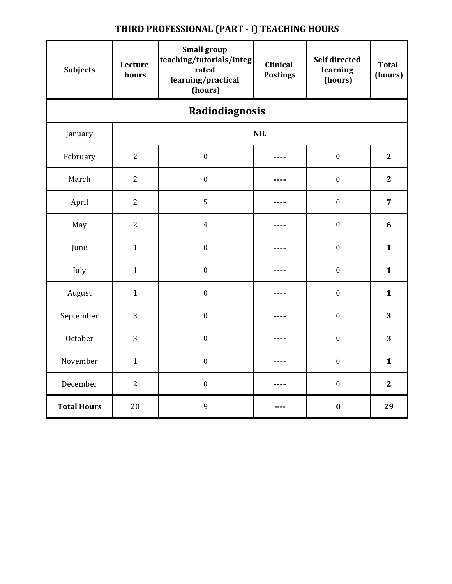| <b>Subjects</b>    | Lecture<br>hours | <b>Small group</b><br>teaching/tutorials/integ<br>rated<br>learning/practical<br>(hours) | <b>Clinical</b><br><b>Postings</b> | Self directed<br>learning<br>(hours) | <b>Total</b><br>(hours) |  |  |
|--------------------|------------------|------------------------------------------------------------------------------------------|------------------------------------|--------------------------------------|-------------------------|--|--|
|                    | Radiodiagnosis   |                                                                                          |                                    |                                      |                         |  |  |
| January            |                  |                                                                                          | <b>NIL</b>                         |                                      |                         |  |  |
| February           | $\overline{2}$   | $\boldsymbol{0}$                                                                         |                                    | $\boldsymbol{0}$                     | $\overline{2}$          |  |  |
| March              | $\overline{2}$   | $\boldsymbol{0}$                                                                         |                                    | $\boldsymbol{0}$                     | $\overline{2}$          |  |  |
| April              | $\overline{2}$   | $\mathsf S$                                                                              |                                    | $\boldsymbol{0}$                     | $\overline{7}$          |  |  |
| May                | $\overline{2}$   | $\overline{4}$                                                                           |                                    | $\boldsymbol{0}$                     | $\boldsymbol{6}$        |  |  |
| June               | $\mathbf{1}$     | $\boldsymbol{0}$                                                                         |                                    | $\boldsymbol{0}$                     | $\mathbf{1}$            |  |  |
| July               | $\mathbf{1}$     | $\boldsymbol{0}$                                                                         |                                    | $\boldsymbol{0}$                     | $\mathbf{1}$            |  |  |
| August             | $\mathbf{1}$     | $\boldsymbol{0}$                                                                         |                                    | $\boldsymbol{0}$                     | $\mathbf{1}$            |  |  |
| September          | 3                | $\boldsymbol{0}$                                                                         |                                    | $\boldsymbol{0}$                     | 3                       |  |  |
| October            | 3                | $\boldsymbol{0}$                                                                         |                                    | $\boldsymbol{0}$                     | 3                       |  |  |
| November           | $\mathbf{1}$     | $\boldsymbol{0}$                                                                         |                                    | $\boldsymbol{0}$                     | $\mathbf{1}$            |  |  |
| December           | $\overline{2}$   | $\boldsymbol{0}$                                                                         |                                    | $\boldsymbol{0}$                     | $\overline{2}$          |  |  |
| <b>Total Hours</b> | 20               | 9                                                                                        |                                    | $\bf{0}$                             | 29                      |  |  |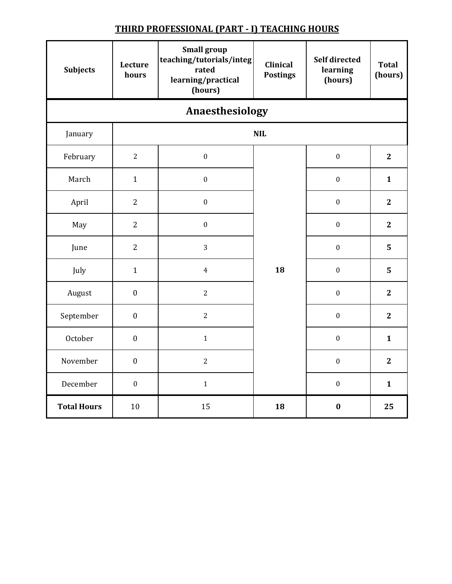| <b>Subjects</b>    | Lecture<br>hours | <b>Small group</b><br>teaching/tutorials/integ<br>rated<br>learning/practical<br>(hours) | Clinical<br><b>Postings</b> | <b>Self directed</b><br>learning<br>(hours) | <b>Total</b><br>(hours) |  |  |
|--------------------|------------------|------------------------------------------------------------------------------------------|-----------------------------|---------------------------------------------|-------------------------|--|--|
|                    | Anaesthesiology  |                                                                                          |                             |                                             |                         |  |  |
| January            |                  |                                                                                          | <b>NIL</b>                  |                                             |                         |  |  |
| February           | $\overline{2}$   | $\boldsymbol{0}$                                                                         |                             | $\boldsymbol{0}$                            | $\overline{2}$          |  |  |
| March              | $\mathbf{1}$     | $\boldsymbol{0}$                                                                         |                             | $\boldsymbol{0}$                            | $\mathbf{1}$            |  |  |
| April              | $\overline{2}$   | $\boldsymbol{0}$                                                                         |                             | $\boldsymbol{0}$                            | $\overline{2}$          |  |  |
| May                | $\overline{2}$   | $\boldsymbol{0}$                                                                         |                             | $\boldsymbol{0}$                            | $\mathbf{2}$            |  |  |
| June               | $\overline{2}$   | 3                                                                                        |                             | $\boldsymbol{0}$                            | 5                       |  |  |
| July               | $\mathbf{1}$     | $\overline{4}$                                                                           | 18                          | $\boldsymbol{0}$                            | 5                       |  |  |
| August             | $\boldsymbol{0}$ | $\overline{2}$                                                                           |                             | $\boldsymbol{0}$                            | $\overline{2}$          |  |  |
| September          | $\boldsymbol{0}$ | $\overline{c}$                                                                           |                             | $\boldsymbol{0}$                            | $\mathbf{2}$            |  |  |
| October            | $\boldsymbol{0}$ | $\mathbf{1}$                                                                             |                             | $\boldsymbol{0}$                            | $\mathbf{1}$            |  |  |
| November           | $\boldsymbol{0}$ | $\overline{2}$                                                                           |                             | $\boldsymbol{0}$                            | $\mathbf{2}$            |  |  |
| December           | $\boldsymbol{0}$ | $\mathbf{1}$                                                                             |                             | $\boldsymbol{0}$                            | $\mathbf{1}$            |  |  |
| <b>Total Hours</b> | 10               | 15                                                                                       | 18                          | $\bf{0}$                                    | 25                      |  |  |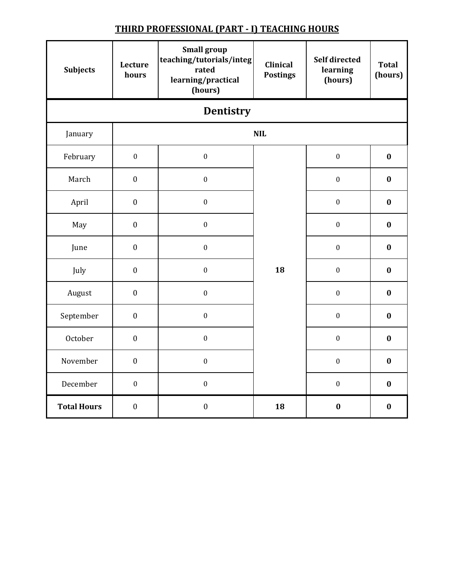| <b>Subjects</b>    | Lecture<br>hours | <b>Small group</b><br>teaching/tutorials/integ<br>rated<br>learning/practical<br>(hours) | <b>Clinical</b><br><b>Postings</b> | Self directed<br>learning<br>(hours) | <b>Total</b><br>(hours) |
|--------------------|------------------|------------------------------------------------------------------------------------------|------------------------------------|--------------------------------------|-------------------------|
|                    |                  | Dentistry                                                                                |                                    |                                      |                         |
| January            |                  |                                                                                          | <b>NIL</b>                         |                                      |                         |
| February           | $\boldsymbol{0}$ | $\boldsymbol{0}$                                                                         |                                    | $\boldsymbol{0}$                     | $\bf{0}$                |
| March              | $\boldsymbol{0}$ | $\boldsymbol{0}$                                                                         |                                    | $\boldsymbol{0}$                     | $\bf{0}$                |
| April              | $\boldsymbol{0}$ | $\boldsymbol{0}$                                                                         |                                    | $\boldsymbol{0}$                     | $\bf{0}$                |
| May                | $\boldsymbol{0}$ | $\boldsymbol{0}$                                                                         |                                    | $\boldsymbol{0}$                     | $\bf{0}$                |
| June               | $\boldsymbol{0}$ | $\boldsymbol{0}$                                                                         |                                    | $\boldsymbol{0}$                     | $\bf{0}$                |
| July               | $\boldsymbol{0}$ | $\boldsymbol{0}$                                                                         | 18                                 | $\boldsymbol{0}$                     | $\bf{0}$                |
| August             | $\boldsymbol{0}$ | $\boldsymbol{0}$                                                                         |                                    | $\boldsymbol{0}$                     | $\bf{0}$                |
| September          | $\boldsymbol{0}$ | $\boldsymbol{0}$                                                                         |                                    | $\boldsymbol{0}$                     | $\bf{0}$                |
| October            | $\boldsymbol{0}$ | $\boldsymbol{0}$                                                                         |                                    | $\boldsymbol{0}$                     | $\bf{0}$                |
| November           | $\boldsymbol{0}$ | $\boldsymbol{0}$                                                                         |                                    | $\boldsymbol{0}$                     | $\bf{0}$                |
| December           | $\boldsymbol{0}$ | $\boldsymbol{0}$                                                                         |                                    | $\boldsymbol{0}$                     | $\bf{0}$                |
| <b>Total Hours</b> | $\boldsymbol{0}$ | $\boldsymbol{0}$                                                                         | 18                                 | $\bf{0}$                             | $\bf{0}$                |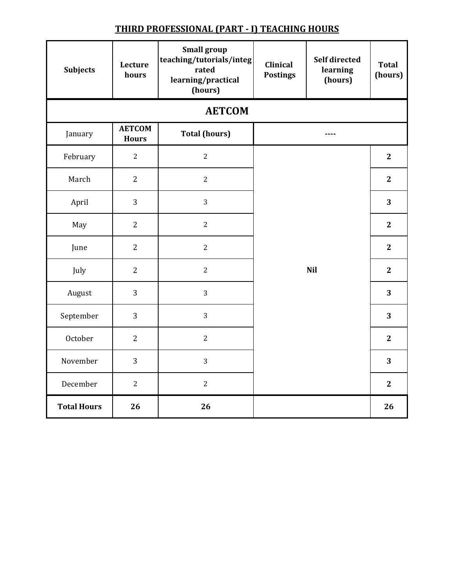| <b>Subjects</b>    | Lecture<br>hours              | <b>Small group</b><br>teaching/tutorials/integ<br>rated<br>learning/practical<br>(hours) | <b>Clinical</b><br><b>Postings</b> | <b>Self directed</b><br>learning<br>(hours) | <b>Total</b><br>(hours) |
|--------------------|-------------------------------|------------------------------------------------------------------------------------------|------------------------------------|---------------------------------------------|-------------------------|
|                    |                               | <b>AETCOM</b>                                                                            |                                    |                                             |                         |
| January            | <b>AETCOM</b><br><b>Hours</b> | <b>Total (hours)</b>                                                                     |                                    | ----                                        |                         |
| February           | $\overline{2}$                | $\overline{2}$                                                                           |                                    |                                             | $\overline{2}$          |
| March              | $\overline{2}$                | $\overline{c}$                                                                           |                                    |                                             | $\mathbf{2}$            |
| April              | 3                             | 3                                                                                        |                                    |                                             | 3                       |
| May                | $\overline{2}$                | $\overline{2}$                                                                           |                                    |                                             | $\overline{2}$          |
| June               | $\overline{2}$                | $\overline{2}$                                                                           |                                    |                                             | $\mathbf{2}$            |
| July               | $\overline{2}$                | $\overline{2}$                                                                           |                                    | <b>Nil</b>                                  | $\overline{2}$          |
| August             | 3                             | 3                                                                                        |                                    |                                             | 3                       |
| September          | 3                             | 3                                                                                        |                                    |                                             | 3                       |
| October            | $\overline{2}$                | $\overline{2}$                                                                           |                                    |                                             | $\overline{2}$          |
| November           | 3                             | 3                                                                                        |                                    |                                             | 3                       |
| December           | $\overline{2}$                | $\overline{2}$                                                                           |                                    |                                             | $\mathbf{2}$            |
| <b>Total Hours</b> | 26                            | 26                                                                                       |                                    |                                             | 26                      |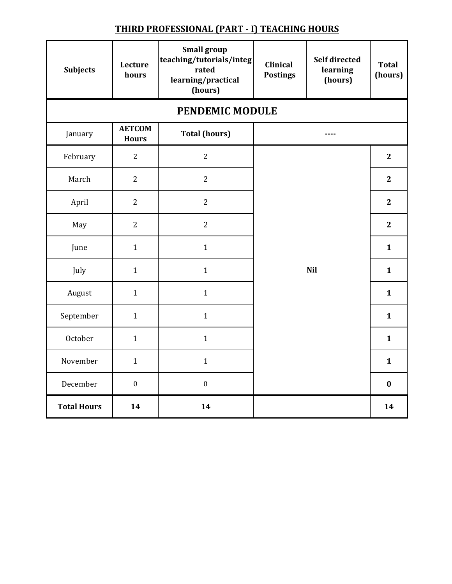| <b>Subjects</b>    | Lecture<br>hours              | <b>Small group</b><br>teaching/tutorials/integ<br>rated<br>learning/practical<br>(hours) | Clinical<br><b>Postings</b> | Self directed<br>learning<br>(hours) | <b>Total</b><br>(hours) |
|--------------------|-------------------------------|------------------------------------------------------------------------------------------|-----------------------------|--------------------------------------|-------------------------|
|                    |                               | PENDEMIC MODULE                                                                          |                             |                                      |                         |
| January            | <b>AETCOM</b><br><b>Hours</b> | <b>Total (hours)</b>                                                                     |                             |                                      |                         |
| February           | $\overline{2}$                | $\overline{2}$                                                                           |                             |                                      | $\overline{2}$          |
| March              | $\overline{2}$                | $\overline{2}$                                                                           |                             |                                      | $\overline{2}$          |
| April              | $\overline{2}$                | $\overline{2}$                                                                           |                             |                                      | $\overline{2}$          |
| May                | $\overline{2}$                | $\overline{2}$                                                                           |                             |                                      | $\mathbf{2}$            |
| June               | $\mathbf{1}$                  | $\mathbf{1}$                                                                             |                             | $\mathbf{1}$                         |                         |
| July               | $\mathbf{1}$                  | $\mathbf{1}$                                                                             | <b>Nil</b>                  | $\mathbf{1}$                         |                         |
| August             | $\mathbf{1}$                  | $\mathbf{1}$                                                                             |                             |                                      | $\mathbf{1}$            |
| September          | $\mathbf{1}$                  | $\mathbf{1}$                                                                             |                             |                                      | $\mathbf{1}$            |
| October            | $\mathbf{1}$                  | $\mathbf{1}$                                                                             |                             |                                      | $\mathbf{1}$            |
| November           | $\mathbf{1}$                  | $\mathbf{1}$                                                                             |                             |                                      | $\mathbf{1}$            |
| December           | $\boldsymbol{0}$              | $\boldsymbol{0}$                                                                         |                             |                                      | $\bf{0}$                |
| <b>Total Hours</b> | 14                            | 14                                                                                       |                             |                                      | 14                      |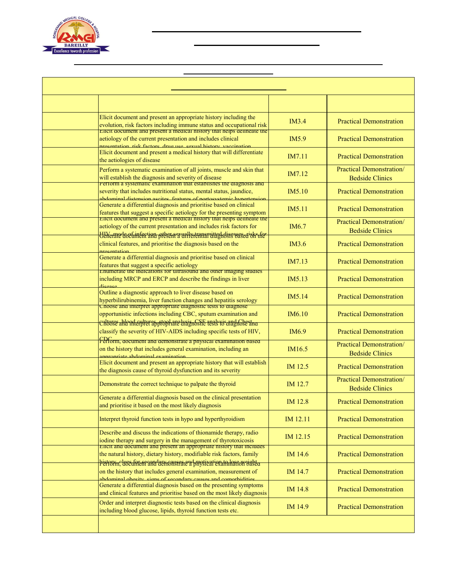

### **Pilibhit By-pass Road, Bareilly**

|               | <b>Department of General Medicine</b>                                                                                                                                                                                            |                        |                                                           |  |  |
|---------------|----------------------------------------------------------------------------------------------------------------------------------------------------------------------------------------------------------------------------------|------------------------|-----------------------------------------------------------|--|--|
| <b>Day</b>    | <b>Topic</b>                                                                                                                                                                                                                     | <b>Compentency No.</b> | <b>Teaching Learning Methods</b>                          |  |  |
| Day 1         | Elicit document and present an appropriate history including the<br>evolution, risk factors including immune status and occupational risk<br>Effett aocument and present a medical history that neips defineate the              | IM3.4                  | <b>Practical Demonstration</b>                            |  |  |
| Day 2         | aetiology of the current presentation and includes clinical<br>ntation rick factors drug use sexual history vaccination                                                                                                          | IM5.9                  | <b>Practical Demonstration</b>                            |  |  |
| Day 3         | Elicit document and present a medical history that will differentiate<br>the aetiologies of disease                                                                                                                              | IM7.11                 | <b>Practical Demonstration</b>                            |  |  |
| Day 4         | Perform a systematic examination of all joints, muscle and skin that<br>will establish the diagnosis and severity of disease                                                                                                     | IM7.12                 | <b>Practical Demonstration/</b><br><b>Bedside Clinics</b> |  |  |
| Day 5         | Perform a systematic examination that establishes the diagnosis and<br>severity that includes nutritional status, mental status, jaundice,<br>ahdominal distension ascites, features of nortosystemic hypertension               | IM5.10                 | <b>Practical Demonstration</b>                            |  |  |
| Day 6         | Generate a differential diagnosis and prioritise based on clinical<br>features that suggest a specific aetiology for the presenting symptom<br>Encit document and present a medical mistory that neips denneate the              | IM5.11                 | <b>Practical Demonstration</b>                            |  |  |
| Day 7         | aetiology of the current presentation and includes risk factors for<br>HIV med och infortion otber ravnlly transmitted dissussed of the                                                                                          | IM <sub>6.7</sub>      | <b>Practical Demonstration/</b><br><b>Bedside Clinics</b> |  |  |
| Day 8         | clinical features, and prioritise the diagnosis based on the<br>nrecentation                                                                                                                                                     | IM3.6                  | <b>Practical Demonstration</b>                            |  |  |
| Day 9         | Generate a differential diagnosis and prioritise based on clinical<br>features that suggest a specific aetiology                                                                                                                 | IM7.13                 | <b>Practical Demonstration</b>                            |  |  |
| Day 10        | <b>Enumerate the indications for ultrasound and other imaging studies</b><br>including MRCP and ERCP and describe the findings in liver                                                                                          | <b>IM5.13</b>          | <b>Practical Demonstration</b>                            |  |  |
| Day 11        | Outline a diagnostic approach to liver disease based on<br>hyperbilirubinemia, liver function changes and hepatitis serology                                                                                                     | IM5.14                 | <b>Practical Demonstration</b>                            |  |  |
| Day 12        | Cnoose and interpret appropriate diagnosite tests to diagnose<br>opportunistic infections including CBC, sputum examination and                                                                                                  | IM6.10                 | <b>Practical Demonstration</b>                            |  |  |
| Day 13        | <u>entvær ahland entvras stophare dragnostic resistro anglichest and </u><br>classify the severity of HIV-AIDS including specific tests of HIV,                                                                                  | IM <sub>6.9</sub>      | <b>Practical Demonstration</b>                            |  |  |
| Day 14        | Ferform, aocument and demonstrate a pnysical examination pased<br>on the history that includes general examination, including an<br>annronriate abdominal examination                                                            | IM16.5                 | <b>Practical Demonstration/</b><br><b>Bedside Clinics</b> |  |  |
| Day 15        | Elicit document and present an appropriate history that will establish<br>the diagnosis cause of thyroid dysfunction and its severity                                                                                            | IM 12.5                | <b>Practical Demonstration</b>                            |  |  |
| <b>Day 16</b> | Demonstrate the correct technique to palpate the thyroid                                                                                                                                                                         | IM 12.7                | <b>Practical Demonstration/</b><br><b>Bedside Clinics</b> |  |  |
| Day 17        | Generate a differential diagnosis based on the clinical presentation<br>and prioritise it based on the most likely diagnosis                                                                                                     | IM 12.8                | <b>Practical Demonstration</b>                            |  |  |
| Day 18        | Interpret thyroid function tests in hypo and hyperthyroidism                                                                                                                                                                     | IM 12.11               | <b>Practical Demonstration</b>                            |  |  |
| <b>Day 19</b> | Describe and discuss the indications of thionamide therapy, radio<br>iodine therapy and surgery in the management of thyrotoxicosis                                                                                              | IM 12.15               | <b>Practical Demonstration</b>                            |  |  |
| <b>Day 20</b> | Effett and document and present an appropriate mstory that includes<br>the natural history, dietary history, modifiable risk factors, family<br><del>bistory , luce for secondary constraie ad prosivation to lose weighta</del> | IM 14.6                | <b>Practical Demonstration</b>                            |  |  |
| <b>Day 21</b> | on the history that includes general examination, measurement of<br>shdominal obecity cions of secondary causes and comorbidities                                                                                                | IM 14.7                | <b>Practical Demonstration</b>                            |  |  |
| <b>Day 22</b> | Generate a differential diagnosis based on the presenting symptoms<br>and clinical features and prioritise based on the most likely diagnosis                                                                                    | IM 14.8                | <b>Practical Demonstration</b>                            |  |  |
| Day 23        | Order and interpret diagnostic tests based on the clinical diagnosis<br>including blood glucose, lipids, thyroid function tests etc.                                                                                             | IM 14.9                | <b>Practical Demonstration</b>                            |  |  |
| <b>Day 24</b> | <b>Ward Living Test</b>                                                                                                                                                                                                          |                        |                                                           |  |  |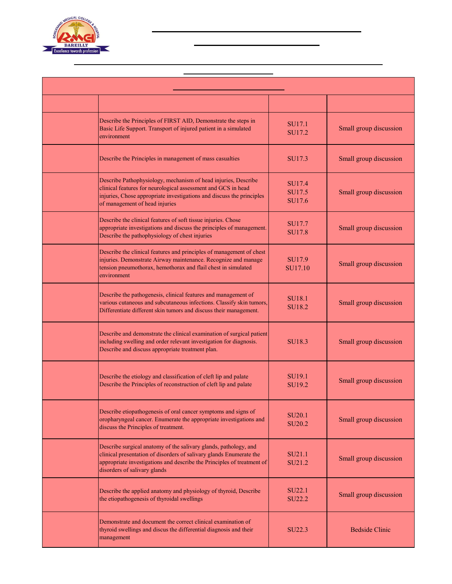

### **Pilibhit By-pass Road, Bareilly**

| <b>Department of General Surgery</b> |                                                                                                                                                                                                                                                   |                                          |                                  |  |  |
|--------------------------------------|---------------------------------------------------------------------------------------------------------------------------------------------------------------------------------------------------------------------------------------------------|------------------------------------------|----------------------------------|--|--|
| <b>Days</b>                          | <b>Topic</b>                                                                                                                                                                                                                                      | <b>Compentency No.</b>                   | <b>Teaching Learning Methods</b> |  |  |
| Day 1                                | Describe the Principles of FIRST AID, Demonstrate the steps in<br>Basic Life Support. Transport of injured patient in a simulated<br>environment                                                                                                  | <b>SU17.1</b><br>SU17.2                  | Small group discussion           |  |  |
| Day 2                                | Describe the Principles in management of mass casualties                                                                                                                                                                                          | SU17.3                                   | Small group discussion           |  |  |
| Day 3                                | Describe Pathophysiology, mechanism of head injuries, Describe<br>clinical features for neurological assessment and GCS in head<br>injuries, Chose appropriate investigations and discuss the principles<br>of management of head injuries        | SU17.4<br>SU17.5<br>SU17.6               | Small group discussion           |  |  |
| Day 4                                | Describe the clinical features of soft tissue injuries. Chose<br>appropriate investigations and discuss the principles of management.<br>Describe the pathophysiology of chest injuries                                                           | SU17.7<br>SU17.8                         | Small group discussion           |  |  |
| Day 5                                | Describe the clinical features and principles of management of chest<br>injuries. Demonstrate Airway maintenance. Recognize and manage<br>tension pneumothorax, hemothorax and flail chest in simulated<br>environment                            | SU17.9<br>SU17.10                        | Small group discussion           |  |  |
| Day 6                                | Describe the pathogenesis, clinical features and management of<br>various cutaneous and subcutaneous infections. Classify skin tumors,<br>Differentiate different skin tumors and discuss their management.                                       | <b>SU18.1</b><br>SU18.2                  | Small group discussion           |  |  |
| Day 7                                | Describe and demonstrate the clinical examination of surgical patient<br>including swelling and order relevant investigation for diagnosis.<br>Describe and discuss appropriate treatment plan.                                                   | SU <sub>18.3</sub>                       | Small group discussion           |  |  |
| Day 8                                | Describe the etiology and classification of cleft lip and palate<br>Describe the Principles of reconstruction of cleft lip and palate                                                                                                             | SU <sub>19.1</sub><br>SU <sub>19.2</sub> | Small group discussion           |  |  |
| Day 9                                | Describe etiopathogenesis of oral cancer symptoms and signs of<br>oropharyngeal cancer. Enumerate the appropriate investigations and<br>discuss the Principles of treatment.                                                                      | <b>SU20.1</b><br>SU <sub>20.2</sub>      | Small group discussion           |  |  |
| Day 10                               | Describe surgical anatomy of the salivary glands, pathology, and<br>clinical presentation of disorders of salivary glands Enumerate the<br>appropriate investigations and describe the Principles of treatment of<br>disorders of salivary glands | SU21.1<br>SU21.2                         | Small group discussion           |  |  |
| Day 11                               | Describe the applied anatomy and physiology of thyroid, Describe<br>the etiopathogenesis of thyroidal swellings                                                                                                                                   | SU22.1<br>SU22.2                         | Small group discussion           |  |  |
| Day 12                               | Demonstrate and document the correct clinical examination of<br>thyroid swellings and discus the differential diagnosis and their<br>management                                                                                                   | SU22.3                                   | <b>Bedside Clinic</b>            |  |  |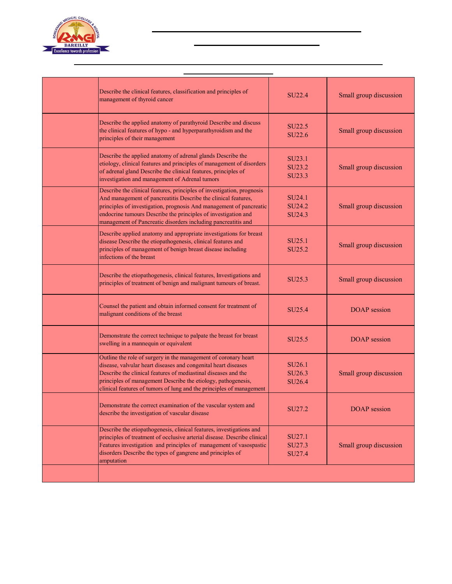

### **Pilibhit By-pass Road, Bareilly**

| Day 13 | Describe the clinical features, classification and principles of<br>management of thyroid cancer                                                                                                                                                                                                                                                   | <b>SU22.4</b>                                                  | Small group discussion |  |
|--------|----------------------------------------------------------------------------------------------------------------------------------------------------------------------------------------------------------------------------------------------------------------------------------------------------------------------------------------------------|----------------------------------------------------------------|------------------------|--|
| Day 14 | Describe the applied anatomy of parathyroid Describe and discuss<br>the clinical features of hypo - and hyperparathyroidism and the<br>principles of their management                                                                                                                                                                              | SU22.5<br>SU22.6                                               | Small group discussion |  |
| Day 15 | Describe the applied anatomy of adrenal glands Describe the<br>etiology, clinical features and principles of management of disorders<br>of adrenal gland Describe the clinical features, principles of<br>investigation and management of Adrenal tumors                                                                                           | SU23.1<br>SU23.2<br>SU23.3                                     | Small group discussion |  |
| Day 16 | Describe the clinical features, principles of investigation, prognosis<br>And management of pancreatitis Describe the clinical features,<br>principles of investigation, prognosis And management of pancreatic<br>endocrine tumours Describe the principles of investigation and<br>management of Pancreatic disorders including pancreatitis and | SU <sub>24.1</sub><br>SU24.2<br>SU24.3                         | Small group discussion |  |
| Day 17 | Describe applied anatomy and appropriate investigations for breast<br>disease Describe the etiopathogenesis, clinical features and<br>principles of management of benign breast disease including<br>infections of the breast                                                                                                                      | SU <sub>25.1</sub><br>SU25.2                                   | Small group discussion |  |
| Day 18 | Describe the etiopathogenesis, clinical features, Investigations and<br>principles of treatment of benign and malignant tumours of breast.                                                                                                                                                                                                         | SU <sub>25.3</sub>                                             | Small group discussion |  |
| Day 19 | Counsel the patient and obtain informed consent for treatment of<br>malignant conditions of the breast                                                                                                                                                                                                                                             | SU25.4                                                         | <b>DOAP</b> session    |  |
| Day 20 | Demonstrate the correct technique to palpate the breast for breast<br>swelling in a mannequin or equivalent                                                                                                                                                                                                                                        | SU25.5                                                         | <b>DOAP</b> session    |  |
| Day 21 | Outline the role of surgery in the management of coronary heart<br>disease, valvular heart diseases and congenital heart diseases<br>Describe the clinical features of mediastinal diseases and the<br>principles of management Describe the etiology, pathogenesis,<br>clinical features of tumors of lung and the principles of management       | SU <sub>26.1</sub><br>SU <sub>26.3</sub><br>SU <sub>26.4</sub> | Small group discussion |  |
| Day 22 | Demonstrate the correct examination of the vascular system and<br>describe the investigation of vascular disease                                                                                                                                                                                                                                   | SU27.2                                                         | <b>DOAP</b> session    |  |
| Day 23 | Describe the etiopathogenesis, clinical features, investigations and<br>principles of treatment of occlusive arterial disease. Describe clinical<br>Features investigation and principles of management of vasospastic<br>disorders Describe the types of gangrene and principles of<br>amputation                                                 | SU27.1<br>SU27.3<br>SU27.4                                     | Small group discussion |  |
| Day 24 | <b>Ward Living Test</b>                                                                                                                                                                                                                                                                                                                            |                                                                |                        |  |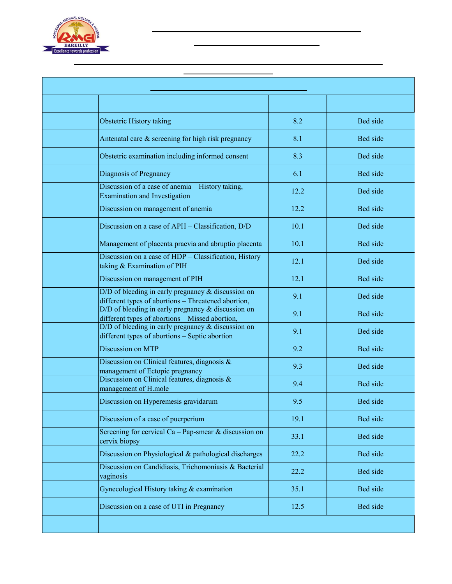

### **Pilibhit By-pass Road, Bareilly**

| <b>Department of Obstetrics &amp; Gynaecology</b> |                                                                                                               |                        |                                  |  |  |
|---------------------------------------------------|---------------------------------------------------------------------------------------------------------------|------------------------|----------------------------------|--|--|
| <b>Days</b>                                       | <b>Topic</b>                                                                                                  | <b>Compentency No.</b> | <b>Teaching Learning Methods</b> |  |  |
| Day 1                                             | Obstetric History taking                                                                                      | 8.2                    | Bed side                         |  |  |
| Day 2                                             | Antenatal care & screening for high risk pregnancy                                                            | 8.1                    | Bed side                         |  |  |
| Day 3                                             | Obstetric examination including informed consent                                                              | 8.3                    | Bed side                         |  |  |
| Day 4                                             | Diagnosis of Pregnancy                                                                                        | 6.1                    | Bed side                         |  |  |
| Day 5                                             | Discussion of a case of anemia – History taking,<br><b>Examination and Investigation</b>                      | 12.2                   | Bed side                         |  |  |
| Day 6                                             | Discussion on management of anemia                                                                            | 12.2                   | Bed side                         |  |  |
| Day 7                                             | Discussion on a case of APH - Classification, D/D                                                             | 10.1                   | Bed side                         |  |  |
| Day 8                                             | Management of placenta praevia and abruptio placenta                                                          | 10.1                   | Bed side                         |  |  |
| Day 9                                             | Discussion on a case of HDP - Classification, History<br>taking & Examination of PIH                          | 12.1                   | Bed side                         |  |  |
| Day 10                                            | Discussion on management of PIH                                                                               | 12.1                   | Bed side                         |  |  |
| Day 11                                            | $D/D$ of bleeding in early pregnancy $&$ discussion on<br>different types of abortions - Threatened abortion, | 9.1                    | Bed side                         |  |  |
| Day 12                                            | $D/D$ of bleeding in early pregnancy $&$ discussion on<br>different types of abortions - Missed abortion,     | 9.1                    | Bed side                         |  |  |
| Day 13                                            | $D/D$ of bleeding in early pregnancy $\&$ discussion on<br>different types of abortions - Septic abortion     | 9.1                    | Bed side                         |  |  |
| Day 14                                            | Discussion on MTP                                                                                             | 9.2                    | Bed side                         |  |  |
| Day 15                                            | Discussion on Clinical features, diagnosis $\&$<br>management of Ectopic pregnancy                            | 9.3                    | Bed side                         |  |  |
| <b>Day 16</b>                                     | Discussion on Clinical features, diagnosis &<br>management of H.mole                                          | 9.4                    | Bed side                         |  |  |
| Day 17                                            | Discussion on Hyperemesis gravidarum                                                                          | 9.5                    | Bed side                         |  |  |
| Day 18                                            | Discussion of a case of puerperium                                                                            | 19.1                   | Bed side                         |  |  |
| <b>Day 19</b>                                     | Screening for cervical Ca - Pap-smear & discussion on<br>cervix biopsy                                        | 33.1                   | Bed side                         |  |  |
| <b>Day 20</b>                                     | Discussion on Physiological & pathological discharges                                                         | 22.2                   | Bed side                         |  |  |
| <b>Day 21</b>                                     | Discussion on Candidiasis, Trichomoniasis & Bacterial<br>vaginosis                                            | 22.2                   | Bed side                         |  |  |
| <b>Day 22</b>                                     | Gynecological History taking & examination                                                                    | 35.1                   | Bed side                         |  |  |
| <b>Day 23</b>                                     | Discussion on a case of UTI in Pregnancy                                                                      | 12.5                   | Bed side                         |  |  |
| <b>Day 24</b>                                     | <b>Ward Living Test</b>                                                                                       |                        |                                  |  |  |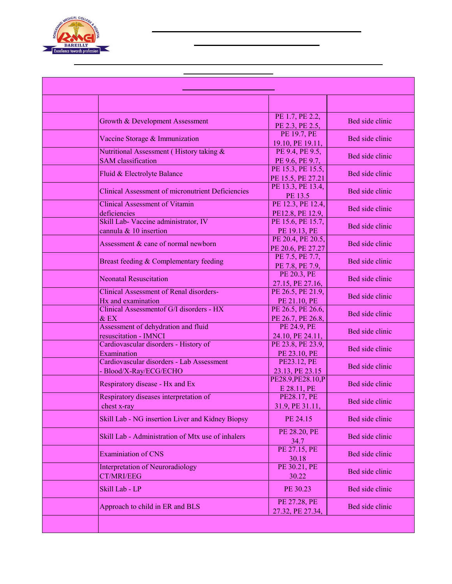

### **Pilibhit By-pass Road, Bareilly**

| <b>Department of Paediatrics</b> |                                                                       |                                        |                                  |
|----------------------------------|-----------------------------------------------------------------------|----------------------------------------|----------------------------------|
| <b>Days</b>                      | <b>Topic</b>                                                          | <b>Compentency No.</b>                 | <b>Teaching Learning Methods</b> |
| Day 1                            | Growth & Development Assessment                                       | PE 1.7, PE 2.2,<br>PE 2.3, PE 2.5,     | Bed side clinic                  |
| Day 2                            | Vaccine Storage & Immunization                                        | PE 19.7, PE<br>19.10, PE 19.11,        | Bed side clinic                  |
| Day 3                            | Nutritional Assessment (History taking &<br><b>SAM</b> classification | PE 9.4, PE 9.5,<br>PE 9.6, PE 9.7,     | Bed side clinic                  |
| Day 4                            | Fluid & Electrolyte Balance                                           | PE 15.3, PE 15.5,<br>PE 15.5, PE 27.21 | Bed side clinic                  |
| Day 5                            | <b>Clinical Assessment of micronutrient Deficiencies</b>              | PE 13.3, PE 13.4,<br>PE 13.5           | Bed side clinic                  |
| Day 6                            | <b>Clinical Assessment of Vitamin</b><br>deficiencies                 | PE 12.3, PE 12.4,<br>PE12.8, PE 12.9,  | Bed side clinic                  |
| Day 7                            | Skill Lab- Vaccine administrator, IV<br>cannula & 10 insertion        | PE 15.6, PE 15.7,<br>PE 19.13, PE      | Bed side clinic                  |
| Day 8                            | Assessment & cane of normal newborn                                   | PE 20.4, PE 20.5,<br>PE 20.6, PE 27.27 | Bed side clinic                  |
| Day 9                            | Breast feeding & Complementary feeding                                | PE 7.5, PE 7.7,<br>PE 7.8, PE 7.9,     | Bed side clinic                  |
| Day 10                           | <b>Neonatal Resuscitation</b>                                         | PE 20.3, PE<br>27.15, PE 27.16,        | Bed side clinic                  |
| Day 11                           | <b>Clinical Assessment of Renal disorders-</b><br>Hx and examination  | PE 26.5, PE 21.9,<br>PE 21.10, PE      | Bed side clinic                  |
| Day 12                           | Clinical Assessmentof G/I disorders - HX<br>& EX                      | PE 26.5, PE 26.6,<br>PE 26.7, PE 26.8, | Bed side clinic                  |
| Day 13                           | Assessment of dehydration and fluid<br>resuscitation - IMNCI          | PE 24.9, PE<br>24.10, PE 24.11,        | Bed side clinic                  |
| Day 14                           | Cardiovascular disorders - History of<br>Examination                  | PE 23.8, PE 23.9,<br>PE 23.10, PE      | Bed side clinic                  |
| Day 15                           | Cardiovascular disorders - Lab Assessment<br>- Blood/X-Ray/ECG/ECHO   | PE23.12, PE<br>23.13, PE 23.15         | Bed side clinic                  |
| Day 16                           | Respiratory disease - Hx and Ex                                       | PE28.9, PE28.10, P<br>E 28.11, PE      | Bed side clinic                  |
| Day 17                           | Respiratory diseases interpretation of<br>chest x-ray                 | PE28.17, PE<br>31.9, PE 31.11,         | Bed side clinic                  |
| Day 18                           | Skill Lab - NG insertion Liver and Kidney Biopsy                      | PE 24.15                               | Bed side clinic                  |
| <b>Day 19</b>                    | Skill Lab - Administration of Mtx use of inhalers                     | PE 28.20, PE<br>34.7                   | Bed side clinic                  |
| Day 20                           | <b>Examiniation of CNS</b>                                            | PE 27.15, PE<br>30.18                  | Bed side clinic                  |
| Day 21                           | <b>Interpretation of Neuroradiology</b><br><b>CT/MRI/EEG</b>          | PE 30.21, PE<br>30.22                  | Bed side clinic                  |
| Day 22                           | Skill Lab - LP                                                        | PE 30.23                               | Bed side clinic                  |
| <b>Day 23</b>                    | Approach to child in ER and BLS                                       | PE 27.28, PE<br>27.32, PE 27.34,       | Bed side clinic                  |
| <b>Day 24</b>                    | <b>Ward Living Test</b>                                               |                                        |                                  |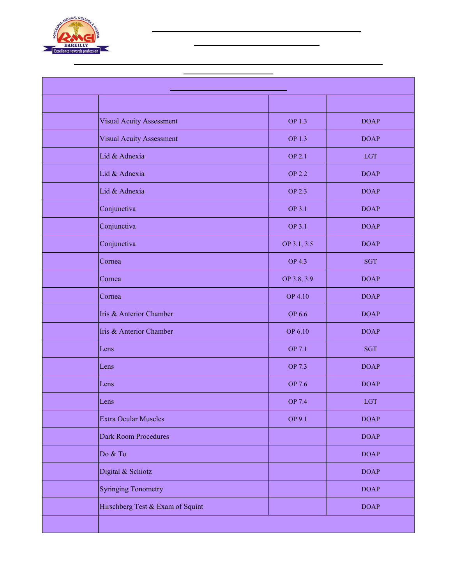

## **Pilibhit By-pass Road, Bareilly**

| <b>Department of Ophthalmology</b> |                                  |                        |                                  |
|------------------------------------|----------------------------------|------------------------|----------------------------------|
| <b>Days</b>                        | <b>Topic</b>                     | <b>Compentency No.</b> | <b>Teaching Learning Methods</b> |
| Day 1                              | <b>Visual Acuity Assessment</b>  | OP 1.3                 | <b>DOAP</b>                      |
| Day 2                              | <b>Visual Acuity Assessment</b>  | OP 1.3                 | <b>DOAP</b>                      |
| Day 3                              | Lid & Adnexia                    | <b>OP 2.1</b>          | <b>LGT</b>                       |
| Day 4                              | Lid & Adnexia                    | <b>OP 2.2</b>          | <b>DOAP</b>                      |
| Day 5                              | Lid & Adnexia                    | <b>OP 2.3</b>          | <b>DOAP</b>                      |
| Day 6                              | Conjunctiva                      | <b>OP 3.1</b>          | <b>DOAP</b>                      |
| Day 7                              | Conjunctiva                      | <b>OP 3.1</b>          | <b>DOAP</b>                      |
| Day 8                              | Conjunctiva                      | OP 3.1, 3.5            | <b>DOAP</b>                      |
| Day 9                              | Cornea                           | <b>OP 4.3</b>          | <b>SGT</b>                       |
| Day 10                             | Cornea                           | OP 3.8, 3.9            | <b>DOAP</b>                      |
| Day 11                             | Cornea                           | <b>OP 4.10</b>         | <b>DOAP</b>                      |
| Day 12                             | Iris & Anterior Chamber          | <b>OP 6.6</b>          | <b>DOAP</b>                      |
| Day 13                             | Iris & Anterior Chamber          | OP 6.10                | <b>DOAP</b>                      |
| Day 14                             | Lens                             | OP 7.1                 | <b>SGT</b>                       |
| Day 15                             | Lens                             | OP 7.3                 | <b>DOAP</b>                      |
| Day 16                             | Lens                             | OP 7.6                 | <b>DOAP</b>                      |
| <b>Day 17</b>                      | Lens                             | <b>OP 7.4</b>          | <b>LGT</b>                       |
| <b>Day 18</b>                      | <b>Extra Ocular Muscles</b>      | OP 9.1                 | <b>DOAP</b>                      |
| <b>Day 19</b>                      | <b>Dark Room Procedures</b>      |                        | <b>DOAP</b>                      |
| <b>Day 20</b>                      | Do & To                          |                        | <b>DOAP</b>                      |
| <b>Day 21</b>                      | Digital & Schiotz                |                        | <b>DOAP</b>                      |
| <b>Day 22</b>                      | <b>Syringing Tonometry</b>       |                        | <b>DOAP</b>                      |
| <b>Day 23</b>                      | Hirschberg Test & Exam of Squint |                        | <b>DOAP</b>                      |
| <b>Day 24</b>                      | <b>Ward Living Test</b>          |                        |                                  |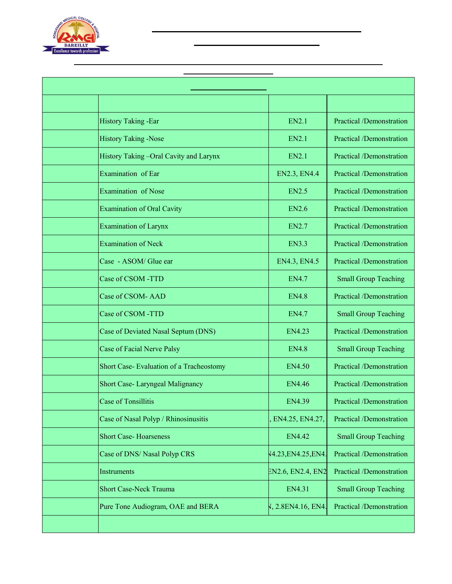

## **Pilibhit By-pass Road, Bareilly**

| <b>Department of E.N.T.</b> |                                          |                        |                                  |
|-----------------------------|------------------------------------------|------------------------|----------------------------------|
| <b>Days</b>                 | <b>Topic</b>                             | <b>Compentency No.</b> | <b>Teaching Learning Methods</b> |
| Day 1                       | <b>History Taking -Ear</b>               | <b>EN2.1</b>           | Practical /Demonstration         |
| Day 2                       | <b>History Taking -Nose</b>              | <b>EN2.1</b>           | Practical /Demonstration         |
| Day 3                       | History Taking-Oral Cavity and Larynx    | <b>EN2.1</b>           | Practical /Demonstration         |
| Day 4                       | Examination of Ear                       | EN2.3, EN4.4           | Practical /Demonstration         |
| Day 5                       | Examination of Nose                      | <b>EN2.5</b>           | Practical /Demonstration         |
| Day 6                       | <b>Examination of Oral Cavity</b>        | <b>EN2.6</b>           | Practical /Demonstration         |
| Day 7                       | <b>Examination of Larynx</b>             | <b>EN2.7</b>           | Practical /Demonstration         |
| Day 8                       | <b>Examination of Neck</b>               | <b>EN3.3</b>           | Practical /Demonstration         |
| Day 9                       | Case - ASOM/ Glue ear                    | EN4.3, EN4.5           | Practical /Demonstration         |
| Day 10                      | Case of CSOM -TTD                        | <b>EN4.7</b>           | <b>Small Group Teaching</b>      |
| Day 11                      | Case of CSOM- AAD                        | <b>EN4.8</b>           | Practical /Demonstration         |
| Day 12                      | Case of CSOM -TTD                        | <b>EN4.7</b>           | <b>Small Group Teaching</b>      |
| Day 13                      | Case of Deviated Nasal Septum (DNS)      | <b>EN4.23</b>          | Practical /Demonstration         |
| Day 14                      | Case of Facial Nerve Palsy               | <b>EN4.8</b>           | <b>Small Group Teaching</b>      |
| Day 15                      | Short Case- Evaluation of a Tracheostomy | <b>EN4.50</b>          | Practical /Demonstration         |
| Day 16                      | Short Case- Laryngeal Malignancy         | <b>EN4.46</b>          | <b>Practical /Demonstration</b>  |
| Day 17                      | <b>Case of Tonsillitis</b>               | <b>EN4.39</b>          | Practical /Demonstration         |
| Day 18                      | Case of Nasal Polyp / Rhinosinusitis     | EN4.25, EN4.27,        | Practical /Demonstration         |
| <b>Day 19</b>               | <b>Short Case-Hoarseness</b>             | EN4.42                 | <b>Small Group Teaching</b>      |
| <b>Day 20</b>               | Case of DNS/ Nasal Polyp CRS             | 14.23, EN4.25, EN4.    | Practical /Demonstration         |
| Day 21                      | Instruments                              | EN2.6, EN2.4, EN2      | Practical /Demonstration         |
| Day 22                      | <b>Short Case-Neck Trauma</b>            | EN4.31                 | <b>Small Group Teaching</b>      |
| Day 23                      | Pure Tone Audiogram, OAE and BERA        | V, 2.8EN4.16, EN4.     | Practical /Demonstration         |
| <b>Day 24</b>               | <b>Ward Living Test</b>                  |                        |                                  |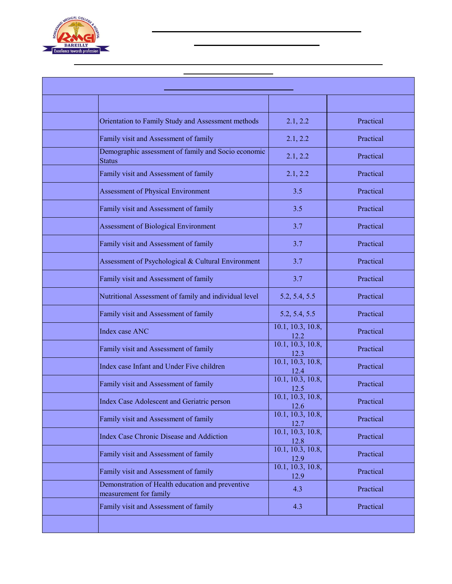

### **Pilibhit By-pass Road, Bareilly**

| <b>Department of Community Medicine</b> |                                                                            |                                                       |                                  |
|-----------------------------------------|----------------------------------------------------------------------------|-------------------------------------------------------|----------------------------------|
| <b>Days</b>                             | <b>Topic</b>                                                               | <b>Compentency No.</b>                                | <b>Teaching Learning Methods</b> |
| Day 1                                   | Orientation to Family Study and Assessment methods                         | 2.1, 2.2                                              | Practical                        |
| Day 2                                   | Family visit and Assessment of family                                      | 2.1, 2.2                                              | Practical                        |
| Day 3                                   | Demographic assessment of family and Socio economic<br><b>Status</b>       | 2.1, 2.2                                              | Practical                        |
| Day 4                                   | Family visit and Assessment of family                                      | 2.1, 2.2                                              | Practical                        |
| Day 5                                   | Assessment of Physical Environment                                         | 3.5                                                   | Practical                        |
| Day 6                                   | Family visit and Assessment of family                                      | 3.5                                                   | Practical                        |
| Day 7                                   | <b>Assessment of Biological Environment</b>                                | 3.7                                                   | Practical                        |
| Day 8                                   | Family visit and Assessment of family                                      | 3.7                                                   | Practical                        |
| Day 9                                   | Assessment of Psychological & Cultural Environment                         | 3.7                                                   | Practical                        |
| <b>Day 10</b>                           | Family visit and Assessment of family                                      | 3.7                                                   | Practical                        |
| Day 11                                  | Nutritional Assessment of family and individual level                      | 5.2, 5.4, 5.5                                         | Practical                        |
| Day 12                                  | Family visit and Assessment of family                                      | 5.2, 5.4, 5.5                                         | Practical                        |
| Day 13                                  | Index case ANC                                                             | 10.1, 10.3, 10.8,<br>12.2                             | Practical                        |
| Day 14                                  | Family visit and Assessment of family                                      | 10.1, 10.3, 10.8,<br>$\frac{12.3}{10.1, 10.3, 10.8,}$ | Practical                        |
| Day 15                                  | Index case Infant and Under Five children                                  | 12.4                                                  | Practical                        |
| Day 16                                  | Family visit and Assessment of family                                      | 10.1, 10.3, 10.8,<br>12.5                             | Practical                        |
| Day 17                                  | Index Case Adolescent and Geriatric person                                 | 10.1, 10.3, 10.8,<br>12.6                             | Practical                        |
| Day 18                                  | Family visit and Assessment of family                                      | 10.1, 10.3, 10.8,<br>12.7                             | Practical                        |
| <b>Day 19</b>                           | Index Case Chronic Disease and Addiction                                   | 10.1, 10.3, 10.8,<br>12.8                             | Practical                        |
| <b>Day 20</b>                           | Family visit and Assessment of family                                      | 10.1, 10.3, 10.8,<br>12.9                             | Practical                        |
| <b>Day 21</b>                           | Family visit and Assessment of family                                      | 10.1, 10.3, 10.8,<br>12.9                             | Practical                        |
| <b>Day 22</b>                           | Demonstration of Health education and preventive<br>measurement for family | 4.3                                                   | Practical                        |
| <b>Day 23</b>                           | Family visit and Assessment of family                                      | 4.3                                                   | Practical                        |
| <b>Day 24</b>                           | <b>Ward Living Test</b>                                                    |                                                       |                                  |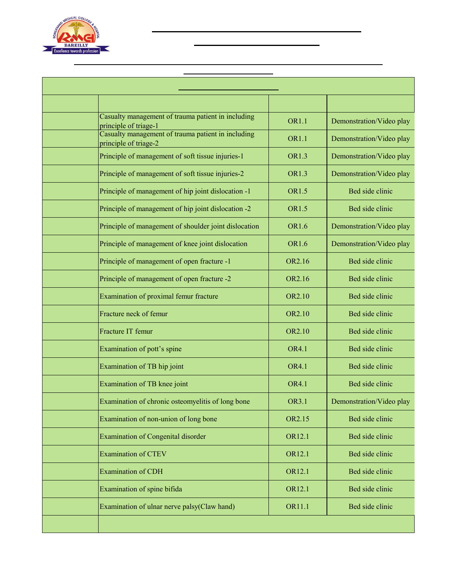

### **Pilibhit By-pass Road, Bareilly**

| <b>Department of Orthopaedics</b> |                                                                             |                        |                                  |
|-----------------------------------|-----------------------------------------------------------------------------|------------------------|----------------------------------|
| <b>Days</b>                       | <b>Topic</b>                                                                | <b>Compentency No.</b> | <b>Teaching Learning Methods</b> |
| Day 1                             | Casualty management of trauma patient in including<br>principle of triage-1 | <b>OR1.1</b>           | Demonstration/Video play         |
| Day 2                             | Casualty management of trauma patient in including<br>principle of triage-2 | <b>OR1.1</b>           | Demonstration/Video play         |
| Day 3                             | Principle of management of soft tissue injuries-1                           | <b>OR1.3</b>           | Demonstration/Video play         |
| Day 4                             | Principle of management of soft tissue injuries-2                           | <b>OR1.3</b>           | Demonstration/Video play         |
| Day 5                             | Principle of management of hip joint dislocation -1                         | <b>OR1.5</b>           | Bed side clinic                  |
| Day 6                             | Principle of management of hip joint dislocation -2                         | <b>OR1.5</b>           | Bed side clinic                  |
| Day 7                             | Principle of management of shoulder joint dislocation                       | <b>OR1.6</b>           | Demonstration/Video play         |
| Day 8                             | Principle of management of knee joint dislocation                           | <b>OR1.6</b>           | Demonstration/Video play         |
| Day 9                             | Principle of management of open fracture -1                                 | OR2.16                 | Bed side clinic                  |
| Day 10                            | Principle of management of open fracture -2                                 | OR2.16                 | Bed side clinic                  |
| Day 11                            | Examination of proximal femur fracture                                      | <b>OR2.10</b>          | Bed side clinic                  |
| Day 12                            | Fracture neck of femur                                                      | <b>OR2.10</b>          | Bed side clinic                  |
| Day 13                            | Fracture IT femur                                                           | OR2.10                 | Bed side clinic                  |
| Day 14                            | Examination of pott's spine                                                 | OR4.1                  | Bed side clinic                  |
| Day 15                            | Examination of TB hip joint                                                 | <b>OR4.1</b>           | Bed side clinic                  |
| Day 16                            | Examination of TB knee joint                                                | <b>OR4.1</b>           | Bed side clinic                  |
| Day 17                            | Examination of chronic osteomyelitis of long bone                           | <b>OR3.1</b>           | Demonstration/Video play         |
| Day 18                            | Examination of non-union of long bone                                       | OR2.15                 | Bed side clinic                  |
| <b>Day 19</b>                     | <b>Examination of Congenital disorder</b>                                   | OR12.1                 | Bed side clinic                  |
| <b>Day 20</b>                     | <b>Examination of CTEV</b>                                                  | OR12.1                 | Bed side clinic                  |
| <b>Day 21</b>                     | <b>Examination of CDH</b>                                                   | OR12.1                 | Bed side clinic                  |
| <b>Day 22</b>                     | Examination of spine bifida                                                 | OR12.1                 | Bed side clinic                  |
| Day 23                            | Examination of ulnar nerve palsy(Claw hand)                                 | OR11.1                 | Bed side clinic                  |
| <b>Day 24</b>                     | <b>Ward Living Test</b>                                                     |                        |                                  |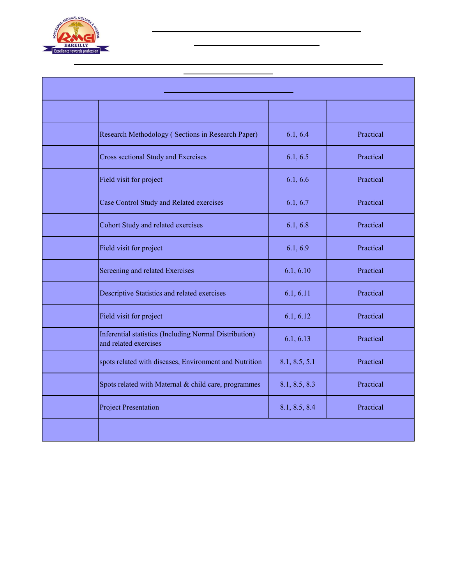

## **Pilibhit By-pass Road, Bareilly**

| <b>Department of Community Medicine</b> |                                                                                 |                        |                                  |
|-----------------------------------------|---------------------------------------------------------------------------------|------------------------|----------------------------------|
| <b>Days</b>                             | <b>Topic</b>                                                                    | <b>Compentency No.</b> | <b>Teaching Learning Methods</b> |
| Day 1                                   | Research Methodology (Sections in Research Paper)                               | 6.1, 6.4               | Practical                        |
| Day 2                                   | Cross sectional Study and Exercises                                             | 6.1, 6.5               | Practical                        |
| Day 3                                   | Field visit for project                                                         | 6.1, 6.6               | Practical                        |
| Day 4                                   | Case Control Study and Related exercises                                        | 6.1, 6.7               | Practical                        |
| Day 5                                   | Cohort Study and related exercises                                              | 6.1, 6.8               | Practical                        |
| Day 6                                   | Field visit for project                                                         | 6.1, 6.9               | Practical                        |
| Day 7                                   | Screening and related Exercises                                                 | 6.1, 6.10              | Practical                        |
| Day 8                                   | Descriptive Statistics and related exercises                                    | 6.1, 6.11              | Practical                        |
| Day 9                                   | Field visit for project                                                         | 6.1, 6.12              | Practical                        |
| Day 10                                  | Inferential statistics (Including Normal Distribution)<br>and related exercises | 6.1, 6.13              | Practical                        |
| Day 11                                  | spots related with diseases, Environment and Nutrition                          | 8.1, 8.5, 5.1          | Practical                        |
| Day 12                                  | Spots related with Maternal & child care, programmes                            | 8.1, 8.5, 8.3          | Practical                        |
| Day 13                                  | <b>Project Presentation</b>                                                     | 8.1, 8.5, 8.4          | Practical                        |
| Day 14                                  | <b>Ward Living Test</b>                                                         |                        |                                  |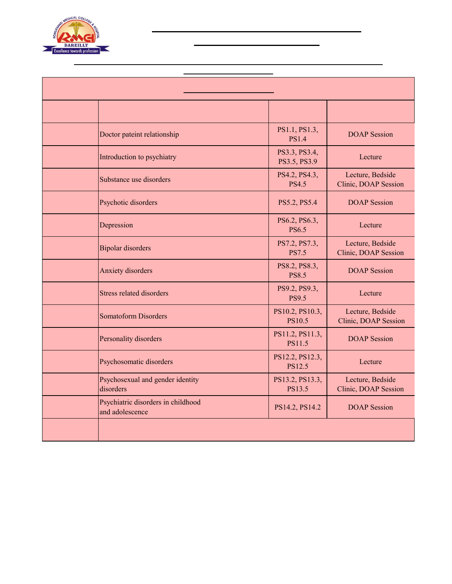

## **Pilibhit By-pass Road, Bareilly**

| <b>Department of Psychiatry</b> |                                                       |                                  |                                          |
|---------------------------------|-------------------------------------------------------|----------------------------------|------------------------------------------|
| <b>Days</b>                     | <b>Topic</b>                                          | <b>Compentency No.</b>           | <b>Teaching Learning Methods</b>         |
| Day 1                           | Doctor pateint relationship                           | PS1.1, PS1.3,<br><b>PS1.4</b>    | <b>DOAP</b> Session                      |
| Day 2                           | Introduction to psychiatry                            | PS3.3, PS3.4,<br>PS3.5, PS3.9    | Lecture                                  |
| Day 3                           | Substance use disorders                               | PS4.2, PS4.3,<br><b>PS4.5</b>    | Lecture, Bedside<br>Clinic, DOAP Session |
| Day 4                           | Psychotic disorders                                   | PS5.2, PS5.4                     | <b>DOAP</b> Session                      |
| Day 5                           | Depression                                            | PS6.2, PS6.3,<br><b>PS6.5</b>    | Lecture                                  |
| Day 6                           | <b>Bipolar disorders</b>                              | PS7.2, PS7.3,<br><b>PS7.5</b>    | Lecture, Bedside<br>Clinic, DOAP Session |
| Day 7                           | <b>Anxiety</b> disorders                              | PS8.2, PS8.3,<br><b>PS8.5</b>    | <b>DOAP</b> Session                      |
| Day 8                           | Stress related disorders                              | PS9.2, PS9.3,<br><b>PS9.5</b>    | Lecture                                  |
| Day 9                           | <b>Somatoform Disorders</b>                           | PS10.2, PS10.3,<br><b>PS10.5</b> | Lecture, Bedside<br>Clinic, DOAP Session |
| Day 10                          | Personality disorders                                 | PS11.2, PS11.3,<br><b>PS11.5</b> | <b>DOAP</b> Session                      |
| Day 11                          | Psychosomatic disorders                               | PS12.2, PS12.3,<br><b>PS12.5</b> | Lecture                                  |
| Day 12                          | Psychosexual and gender identity<br>disorders         | PS13.2, PS13.3,<br>PS13.5        | Lecture, Bedside<br>Clinic, DOAP Session |
| Day 13                          | Psychiatric disorders in childhood<br>and adolescence | PS14.2, PS14.2                   | <b>DOAP</b> Session                      |
| Day 14                          | <b>Ward Living Test</b>                               |                                  |                                          |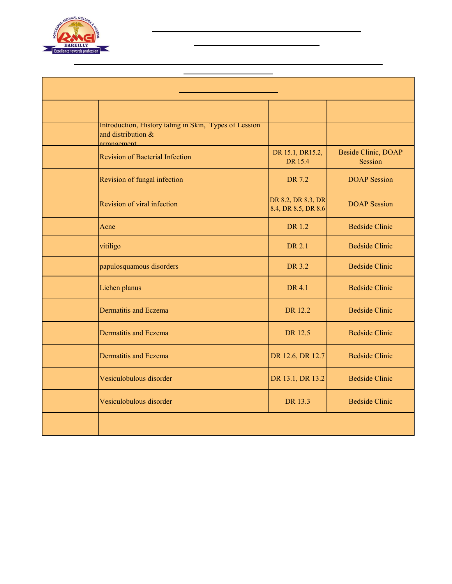

## **Pilibhit By-pass Road, Bareilly**

| <b>Department of Dermatology</b> |                                                                                             |                                           |                                  |
|----------------------------------|---------------------------------------------------------------------------------------------|-------------------------------------------|----------------------------------|
| <b>Days</b>                      | <b>Topic</b>                                                                                | <b>Compentency No.</b>                    | <b>Teaching Learning Methods</b> |
| Day 1                            | Introduction, History taling in Skin, Types of Lession<br>and distribution &<br>arrangement |                                           |                                  |
| Day 2                            | <b>Revision of Bacterial Infection</b>                                                      | DR 15.1, DR15.2,<br>DR 15.4               | Beside Clinic, DOAP<br>Session   |
| Day 3                            | Revision of fungal infection                                                                | DR 7.2                                    | <b>DOAP</b> Session              |
| Day 4                            | Revision of viral infection                                                                 | DR 8.2, DR 8.3, DR<br>8.4, DR 8.5, DR 8.6 | <b>DOAP</b> Session              |
| Day 5                            | Acne                                                                                        | DR 1.2                                    | <b>Bedside Clinic</b>            |
| Day 6                            | vitiligo                                                                                    | DR 2.1                                    | <b>Bedside Clinic</b>            |
| Day 7                            | papulosquamous disorders                                                                    | DR 3.2                                    | <b>Bedside Clinic</b>            |
| Day 8                            | Lichen planus                                                                               | DR 4.1                                    | <b>Bedside Clinic</b>            |
| Day 9                            | Dermatitis and Eczema                                                                       | DR 12.2                                   | <b>Bedside Clinic</b>            |
| Day 10                           | <b>Dermatitis and Eczema</b>                                                                | DR 12.5                                   | <b>Bedside Clinic</b>            |
| Day 11                           | Dermatitis and Eczema                                                                       | DR 12.6, DR 12.7                          | <b>Bedside Clinic</b>            |
| Day 12                           | Vesiculobulous disorder                                                                     | DR 13.1, DR 13.2                          | <b>Bedside Clinic</b>            |
| Day 13                           | Vesiculobulous disorder                                                                     | DR 13.3                                   | <b>Bedside Clinic</b>            |
| Day 14                           | <b>Ward Living Test</b>                                                                     |                                           |                                  |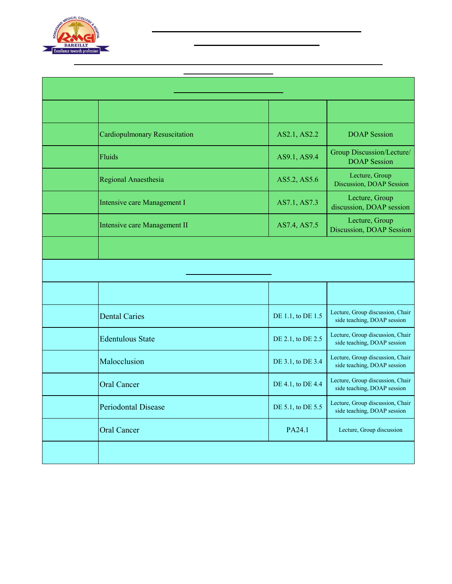

## **Pilibhit By-pass Road, Bareilly**

| <b>Department of Anaesthesiology</b> |                                      |                        |                                                                 |
|--------------------------------------|--------------------------------------|------------------------|-----------------------------------------------------------------|
| <b>Days</b>                          | <b>Topic</b>                         | <b>Compentency No.</b> | <b>Teaching Learning Methods</b>                                |
| Day 1                                | <b>Cardiopulmonary Resuscitation</b> | AS2.1, AS2.2           | <b>DOAP</b> Session                                             |
| Day 2                                | Fluids                               | AS9.1, AS9.4           | Group Discussion/Lecture/<br><b>DOAP</b> Session                |
| Day 3                                | Regional Anaesthesia                 | AS5.2, AS5.6           | Lecture, Group<br>Discussion, DOAP Session                      |
| Day 4                                | Intensive care Management I          | AS7.1, AS7.3           | Lecture, Group<br>discussion, DOAP session                      |
| Day 5                                | Intensive care Management II         | AS7.4, AS7.5           | Lecture, Group<br>Discussion, DOAP Session                      |
| Day 6                                | <b>Ward Living Test</b>              |                        |                                                                 |
| <b>Department of Dentistry</b>       |                                      |                        |                                                                 |
| <b>Days</b>                          | <b>Topic</b>                         | <b>Compentency No.</b> | <b>Teaching Learning Methods</b>                                |
| Day 1                                | <b>Dental Caries</b>                 | DE 1.1, to DE 1.5      | Lecture, Group discussion, Chair<br>side teaching, DOAP session |
| Day 2                                | <b>Edentulous State</b>              | DE 2.1, to DE 2.5      | Lecture, Group discussion, Chair<br>side teaching, DOAP session |
| Day 3                                | Malocclusion                         | DE 3.1, to DE 3.4      | Lecture, Group discussion, Chair<br>side teaching, DOAP session |
| Day 4                                | <b>Oral Cancer</b>                   | DE 4.1, to DE 4.4      | Lecture, Group discussion, Chair<br>side teaching, DOAP session |
| Day 5                                | <b>Periodontal Disease</b>           | DE 5.1, to DE 5.5      | Lecture, Group discussion, Chair<br>side teaching, DOAP session |
| Day 6                                | <b>Oral Cancer</b>                   | PA24.1                 | Lecture, Group discussion                                       |
| Day 7                                | <b>Ward Living Test</b>              |                        |                                                                 |